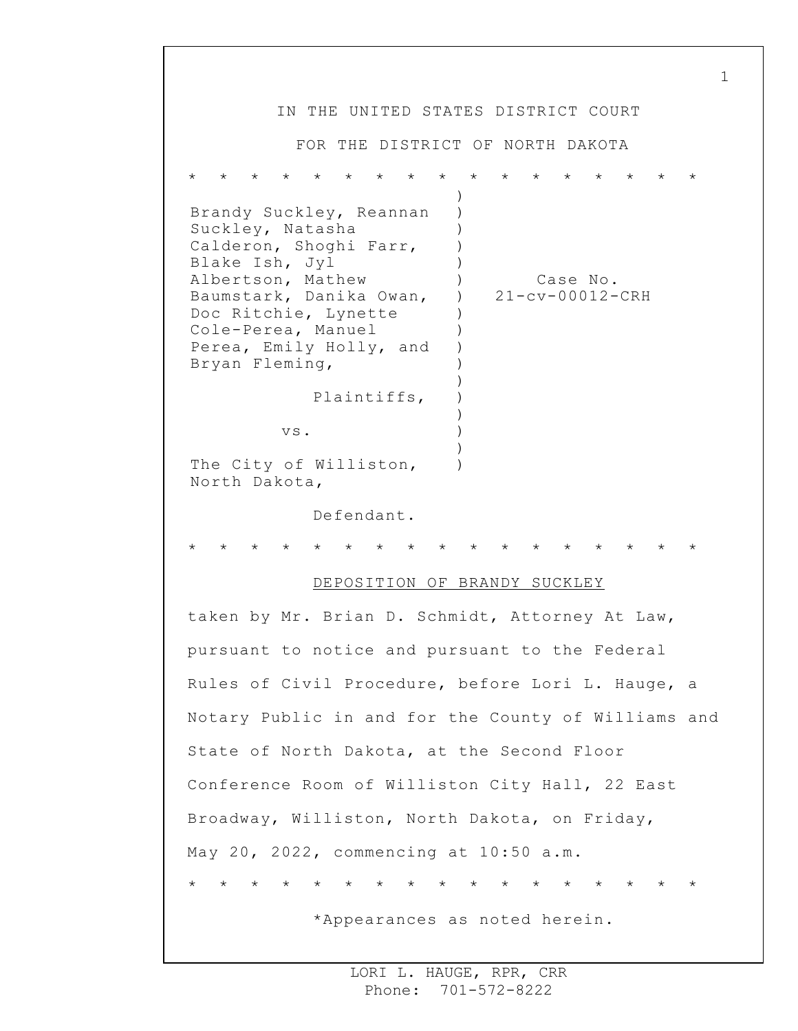IN THE UNITED STATES DISTRICT COURT FOR THE DISTRICT OF NORTH DAKOTA \* \* \* \* \* \* \* \* \* \* \* \* \* \* \* \* \* Brandy Suckley, Reannan Suckley, Natasha Calderon, Shoghi Farr, Blake Ish, Jyl Albertson, Mathew Baumstark, Danika Owan, Doc Ritchie, Lynette Cole-Perea, Manuel Perea, Emily Holly, and Bryan Fleming, Plaintiffs, vs. The City of Williston, North Dakota, Defendant. ) ) ) ) )  $)$  $\lambda$ ) ) ) ) ) )  $\lambda$ ) ) ) Case No. 21-cv-00012-CRH \* \* \* \* \* \* \* \* \* \* \* \* \* \* \* \* \* DEPOSITION OF BRANDY SUCKLEY taken by Mr. Brian D. Schmidt, Attorney At Law, pursuant to notice and pursuant to the Federal Rules of Civil Procedure, before Lori L. Hauge, a Notary Public in and for the County of Williams and State of North Dakota, at the Second Floor Conference Room of Williston City Hall, 22 East Broadway, Williston, North Dakota, on Friday, May 20, 2022, commencing at 10:50 a.m. \* \* \* \* \* \* \* \* \* \* \* \* \* \* \* \* \* \*Appearances as noted herein.

1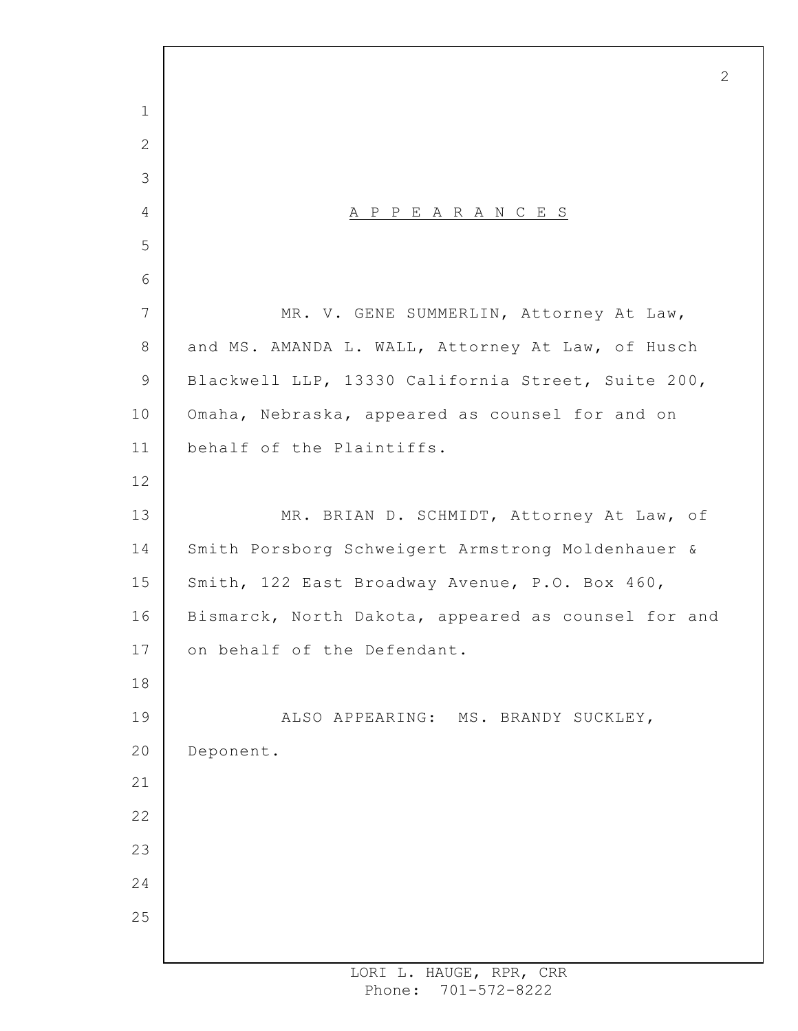A P P E A R A N C E S MR. V. GENE SUMMERLIN, Attorney At Law, and MS. AMANDA L. WALL, Attorney At Law, of Husch Blackwell LLP, 13330 California Street, Suite 200, Omaha, Nebraska, appeared as counsel for and on behalf of the Plaintiffs. MR. BRIAN D. SCHMIDT, Attorney At Law, of Smith Porsborg Schweigert Armstrong Moldenhauer & Smith, 122 East Broadway Avenue, P.O. Box 460, Bismarck, North Dakota, appeared as counsel for and on behalf of the Defendant. ALSO APPEARING: MS. BRANDY SUCKLEY, Deponent.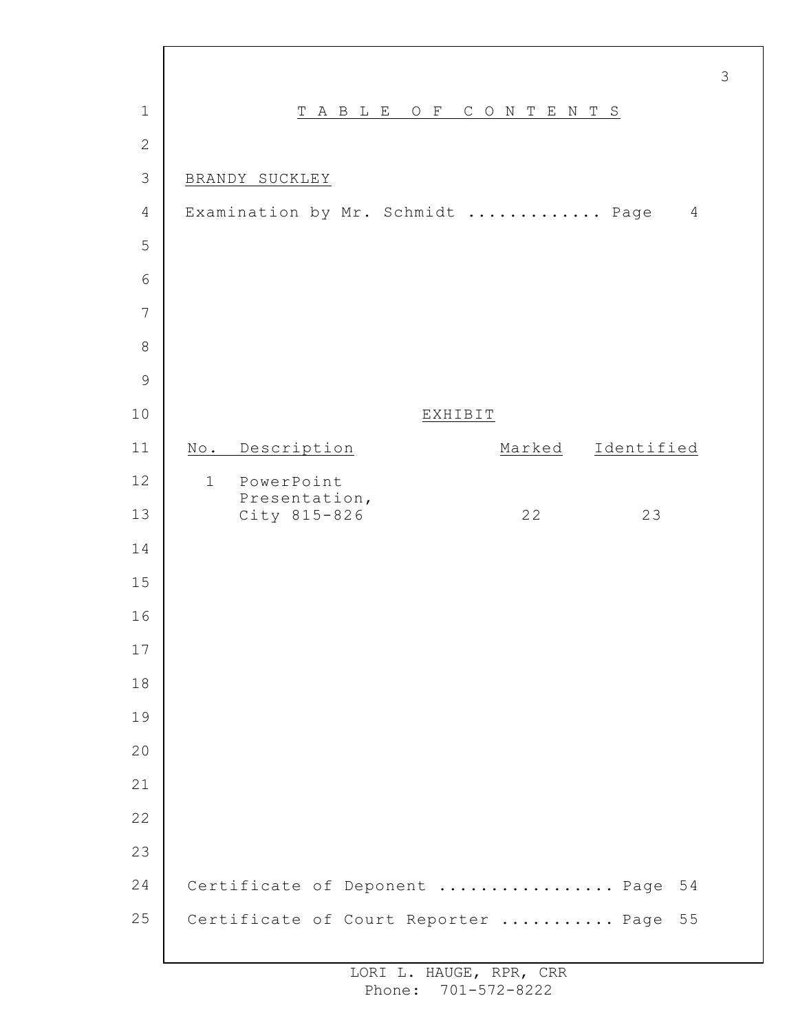| $\mathbf 1$   |              |                               | T A B L E O F |  |                | CONTENTS                            |            |                |
|---------------|--------------|-------------------------------|---------------|--|----------------|-------------------------------------|------------|----------------|
| $\mathbf{2}$  |              |                               |               |  |                |                                     |            |                |
| 3             |              | BRANDY SUCKLEY                |               |  |                |                                     |            |                |
| 4             |              |                               |               |  |                | Examination by Mr. Schmidt  Page    |            | $\overline{4}$ |
| 5             |              |                               |               |  |                |                                     |            |                |
| 6             |              |                               |               |  |                |                                     |            |                |
| 7             |              |                               |               |  |                |                                     |            |                |
| $\,8\,$       |              |                               |               |  |                |                                     |            |                |
| $\mathcal{G}$ |              |                               |               |  |                |                                     |            |                |
| 10            |              |                               |               |  | <b>EXHIBIT</b> |                                     |            |                |
| 11            |              | No. Description               |               |  |                | Marked                              | Identified |                |
| 12            | $\mathbf{1}$ | PowerPoint                    |               |  |                |                                     |            |                |
| 13            |              | Presentation,<br>City 815-826 |               |  |                | 22                                  | 23         |                |
| 14            |              |                               |               |  |                |                                     |            |                |
| 15            |              |                               |               |  |                |                                     |            |                |
| 16            |              |                               |               |  |                |                                     |            |                |
| 17            |              |                               |               |  |                |                                     |            |                |
| 18            |              |                               |               |  |                |                                     |            |                |
| 19            |              |                               |               |  |                |                                     |            |                |
| 20            |              |                               |               |  |                |                                     |            |                |
| 21            |              |                               |               |  |                |                                     |            |                |
| 22            |              |                               |               |  |                |                                     |            |                |
| 23            |              |                               |               |  |                |                                     |            |                |
| 24            |              |                               |               |  |                | Certificate of Deponent  Page       |            | 54             |
| 25            |              |                               |               |  |                | Certificate of Court Reporter  Page |            | 55             |
|               |              |                               |               |  |                |                                     |            |                |

 $\Gamma$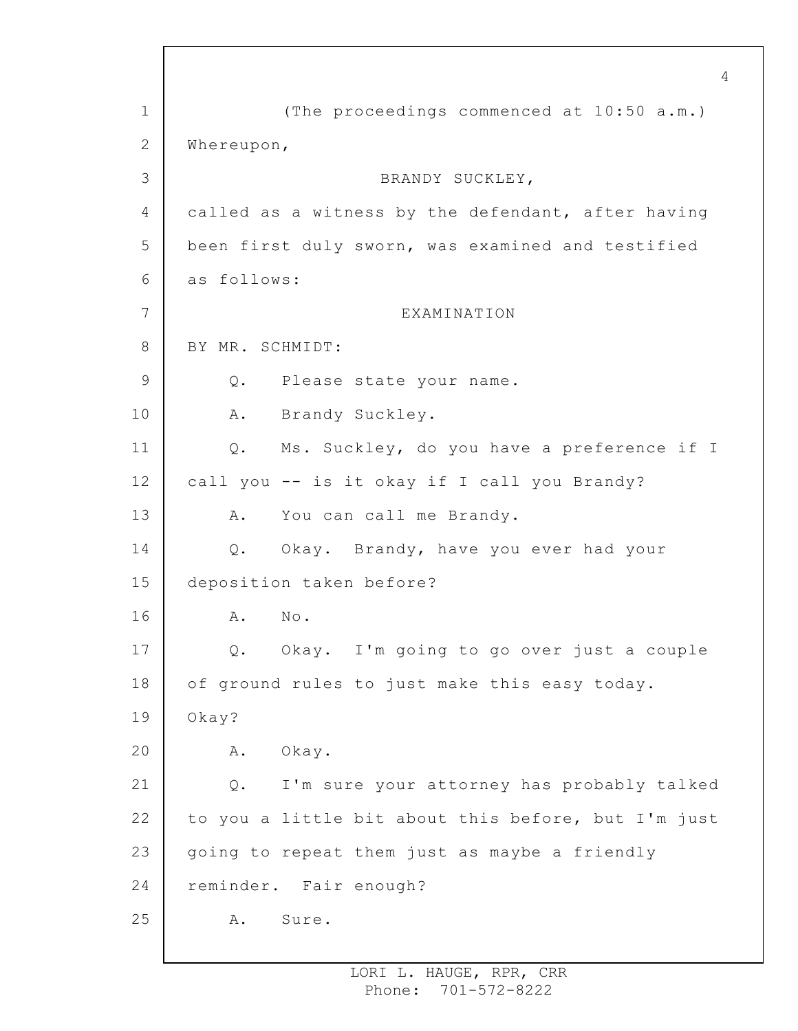1 2 3 4 5 6 7 8 9 10 11 12 13 14 15 16 17 18 19 20 21 22 23 24 25 4 (The proceedings commenced at 10:50 a.m.) Whereupon, BRANDY SUCKLEY, called as a witness by the defendant, after having been first duly sworn, was examined and testified as follows: EXAMINATION BY MR. SCHMIDT: Q. Please state your name. A. Brandy Suckley. Q. Ms. Suckley, do you have a preference if I call you -- is it okay if I call you Brandy? A. You can call me Brandy. Q. Okay. Brandy, have you ever had your deposition taken before? A. No. Q. Okay. I'm going to go over just a couple of ground rules to just make this easy today. Okay? A. Okay. Q. I'm sure your attorney has probably talked to you a little bit about this before, but I'm just going to repeat them just as maybe a friendly reminder. Fair enough? A. Sure.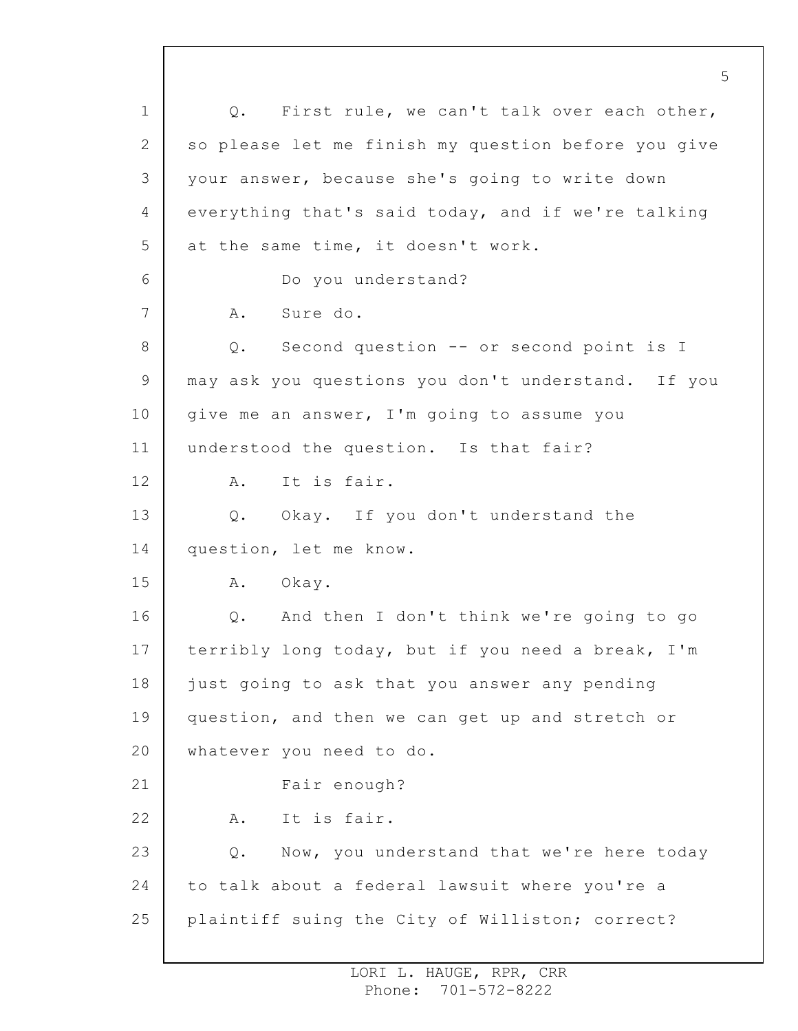1 2 3 4 5 6 7 8 9 10 11 12 13 14 15 16 17 18 19 20 21 22 23 24 25 5 Q. First rule, we can't talk over each other, so please let me finish my question before you give your answer, because she's going to write down everything that's said today, and if we're talking at the same time, it doesn't work. Do you understand? A. Sure do. Q. Second question -- or second point is I may ask you questions you don't understand. If you give me an answer, I'm going to assume you understood the question. Is that fair? A. It is fair. Q. Okay. If you don't understand the question, let me know. A. Okay. Q. And then I don't think we're going to go terribly long today, but if you need a break, I'm just going to ask that you answer any pending question, and then we can get up and stretch or whatever you need to do. Fair enough? A. It is fair. Q. Now, you understand that we're here today to talk about a federal lawsuit where you're a plaintiff suing the City of Williston; correct?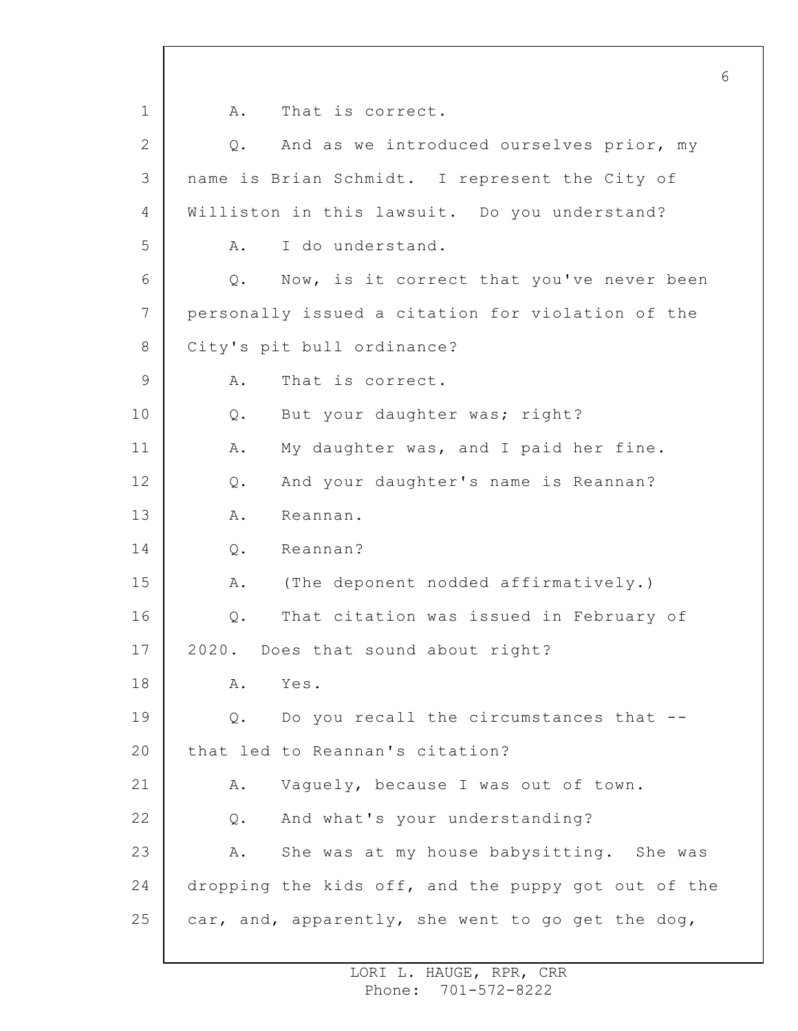1 2 3 4 5 6 7 8 9 10 11 12 13 14 15 16 17 18 19 20 21 22 23 24 25 6 A. That is correct. Q. And as we introduced ourselves prior, my name is Brian Schmidt. I represent the City of Williston in this lawsuit. Do you understand? A. I do understand. Q. Now, is it correct that you've never been personally issued a citation for violation of the City's pit bull ordinance? A. That is correct. Q. But your daughter was; right? A. My daughter was, and I paid her fine. Q. And your daughter's name is Reannan? A. Reannan. Q. Reannan? A. (The deponent nodded affirmatively.) Q. That citation was issued in February of 2020. Does that sound about right? A. Yes. Q. Do you recall the circumstances that - that led to Reannan's citation? A. Vaguely, because I was out of town. Q. And what's your understanding? A. She was at my house babysitting. She was dropping the kids off, and the puppy got out of the car, and, apparently, she went to go get the dog,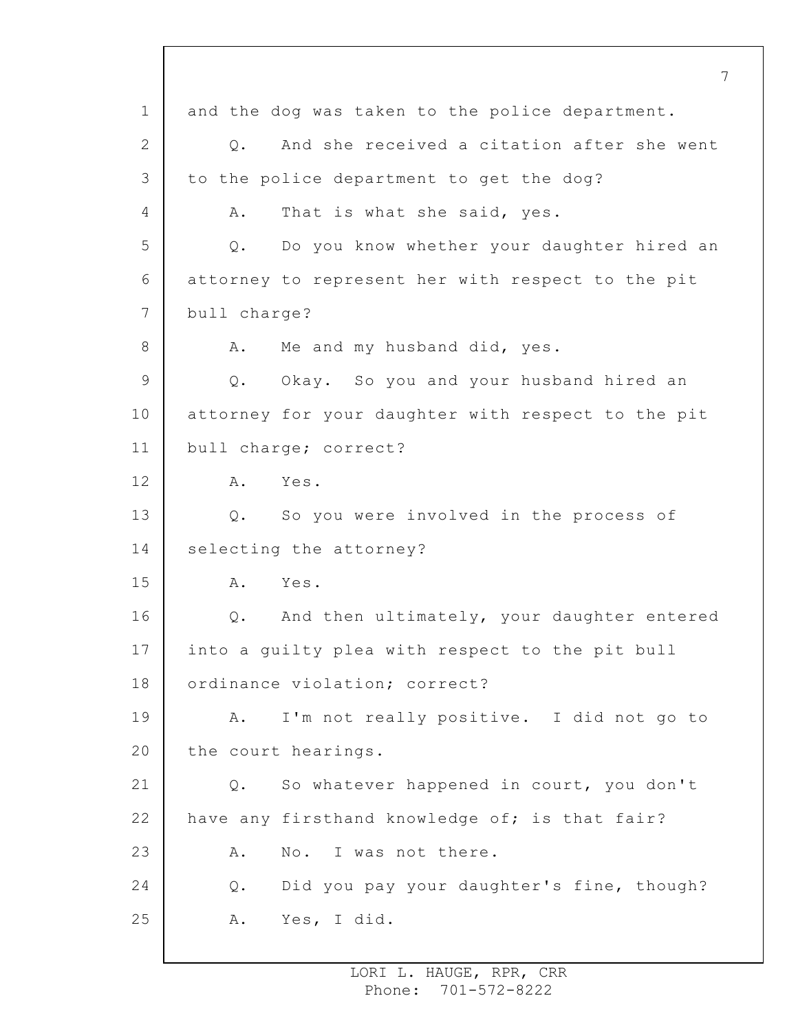1 2 3 4 5 6 7 8 9 10 11 12 13 14 15 16 17 18 19 20 21 22 23 24 25 7 and the dog was taken to the police department. Q. And she received a citation after she went to the police department to get the dog? A. That is what she said, yes. Q. Do you know whether your daughter hired an attorney to represent her with respect to the pit bull charge? A. Me and my husband did, yes. Q. Okay. So you and your husband hired an attorney for your daughter with respect to the pit bull charge; correct? A. Yes. Q. So you were involved in the process of selecting the attorney? A. Yes. Q. And then ultimately, your daughter entered into a guilty plea with respect to the pit bull ordinance violation; correct? A. I'm not really positive. I did not go to the court hearings. Q. So whatever happened in court, you don't have any firsthand knowledge of; is that fair? A. No. I was not there. Q. Did you pay your daughter's fine, though? A. Yes, I did.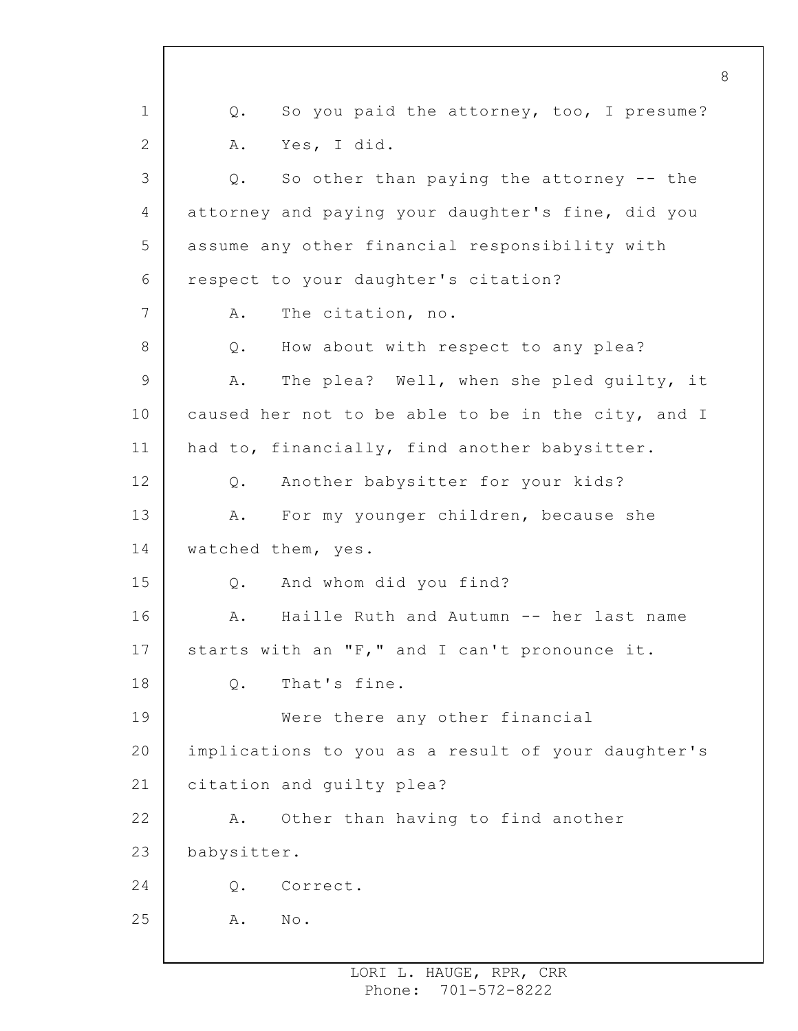1 2 3 4 5 6 7 8 9 10 11 12 13 14 15 16 17 18 19 20 21 22 23 24 25 8 Q. So you paid the attorney, too, I presume? A. Yes, I did. Q. So other than paying the attorney -- the attorney and paying your daughter's fine, did you assume any other financial responsibility with respect to your daughter's citation? A. The citation, no. Q. How about with respect to any plea? A. The plea? Well, when she pled guilty, it caused her not to be able to be in the city, and I had to, financially, find another babysitter. Q. Another babysitter for your kids? A. For my younger children, because she watched them, yes. Q. And whom did you find? A. Haille Ruth and Autumn -- her last name starts with an "F," and I can't pronounce it. Q. That's fine. Were there any other financial implications to you as a result of your daughter's citation and guilty plea? A. Other than having to find another babysitter. Q. Correct. A. No.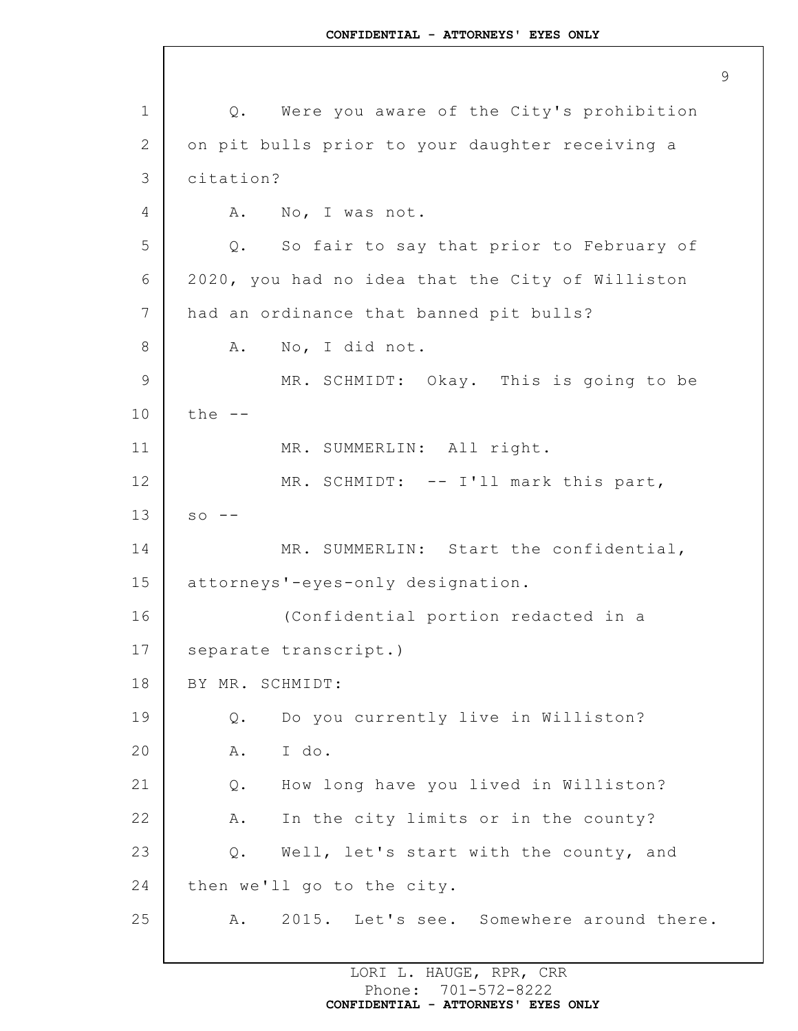9

1 2 3 4 5 6 7 8 9 10 11 12 13 14 15 16 17 18 19 20 21 22 23 24 25 Q. Were you aware of the City's prohibition on pit bulls prior to your daughter receiving a citation? A. No, I was not. Q. So fair to say that prior to February of 2020, you had no idea that the City of Williston had an ordinance that banned pit bulls? A. No, I did not. MR. SCHMIDT: Okay. This is going to be the -- MR. SUMMERLIN: All right. MR. SCHMIDT: -- I'll mark this part,  $so$   $-$ MR. SUMMERLIN: Start the confidential, attorneys'-eyes-only designation. (Confidential portion redacted in a separate transcript.) BY MR. SCHMIDT: Q. Do you currently live in Williston? A. I do. Q. How long have you lived in Williston? A. In the city limits or in the county? Q. Well, let's start with the county, and then we'll go to the city. A. 2015. Let's see. Somewhere around there.

> LORI L. HAUGE, RPR, CRR Phone: 701-572-8222 **CONFIDENTIAL - ATTORNEYS' EYES ONLY**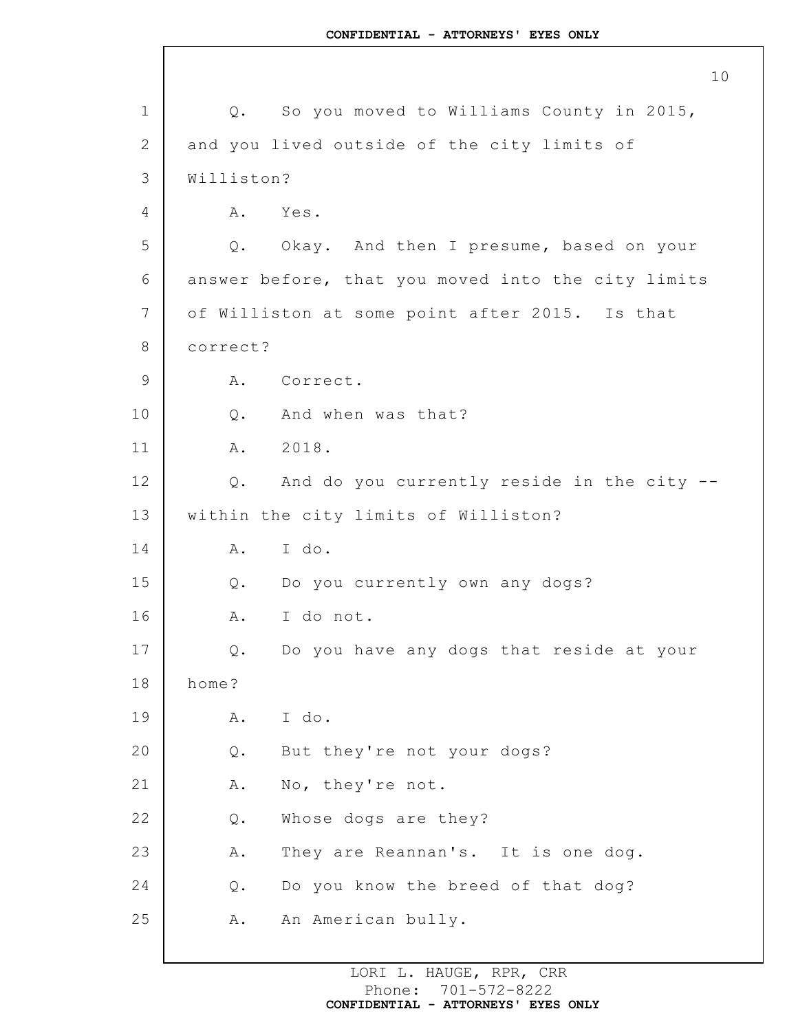1 2 3 4 5 6 7 8 9 10 11 12 13 14 15 16 17 18 19 20 21 22 23 24 25 Q. So you moved to Williams County in 2015, and you lived outside of the city limits of Williston? A. Yes. Q. Okay. And then I presume, based on your answer before, that you moved into the city limits of Williston at some point after 2015. Is that correct? A. Correct. Q. And when was that? A. 2018. Q. And do you currently reside in the city - within the city limits of Williston? A. I do. Q. Do you currently own any dogs? A. I do not. Q. Do you have any dogs that reside at your home? A. I do. Q. But they're not your dogs? A. No, they're not. Q. Whose dogs are they? A. They are Reannan's. It is one dog. Q. Do you know the breed of that dog? A. An American bully.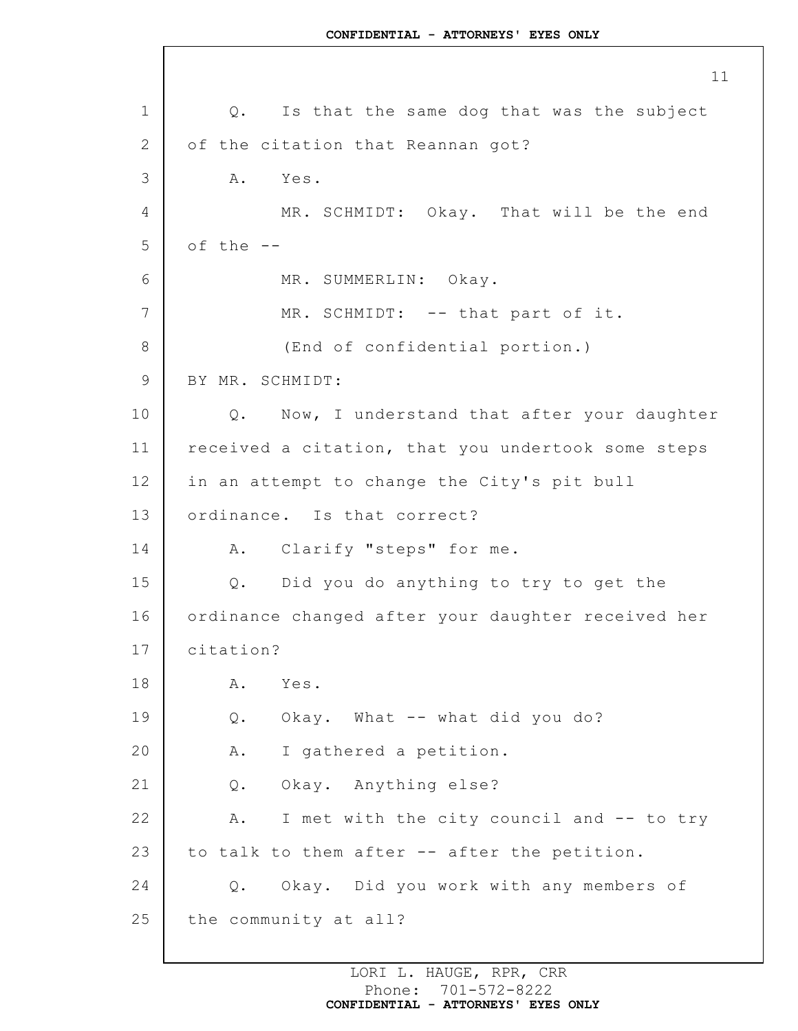1 2 3 4 5 6 7 8 9 10 11 12 13 14 15 16 17 18 19 20 21 22 23 24 25 Q. Is that the same dog that was the subject of the citation that Reannan got? A. Yes. MR. SCHMIDT: Okay. That will be the end of the -- MR. SUMMERLIN: Okay. MR. SCHMIDT: -- that part of it. (End of confidential portion.) BY MR. SCHMIDT: Q. Now, I understand that after your daughter received a citation, that you undertook some steps in an attempt to change the City's pit bull ordinance. Is that correct? A. Clarify "steps" for me. Q. Did you do anything to try to get the ordinance changed after your daughter received her citation? A. Yes. Q. Okay. What -- what did you do? A. I gathered a petition. Q. Okay. Anything else? A. I met with the city council and -- to try to talk to them after -- after the petition. Q. Okay. Did you work with any members of the community at all?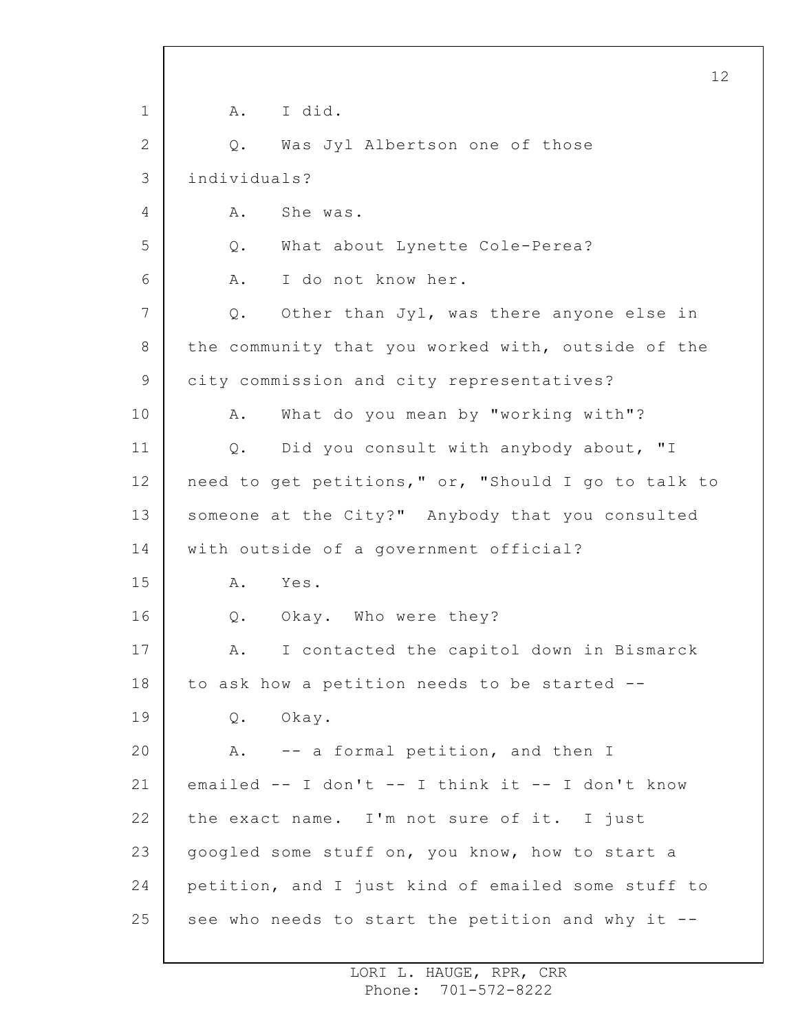1 2 3 4 5 6 7 8 9 10 11 12 13 14 15 16 17 18 19 20 21 22 23 24 25 12 A. I did. Q. Was Jyl Albertson one of those individuals? A. She was. Q. What about Lynette Cole-Perea? A. I do not know her. Q. Other than Jyl, was there anyone else in the community that you worked with, outside of the city commission and city representatives? A. What do you mean by "working with"? Q. Did you consult with anybody about, "I need to get petitions," or, "Should I go to talk to someone at the City?" Anybody that you consulted with outside of a government official? A. Yes. Q. Okay. Who were they? A. I contacted the capitol down in Bismarck to ask how a petition needs to be started -- Q. Okay. A. -- a formal petition, and then I emailed -- I don't -- I think it -- I don't know the exact name. I'm not sure of it. I just googled some stuff on, you know, how to start a petition, and I just kind of emailed some stuff to see who needs to start the petition and why it --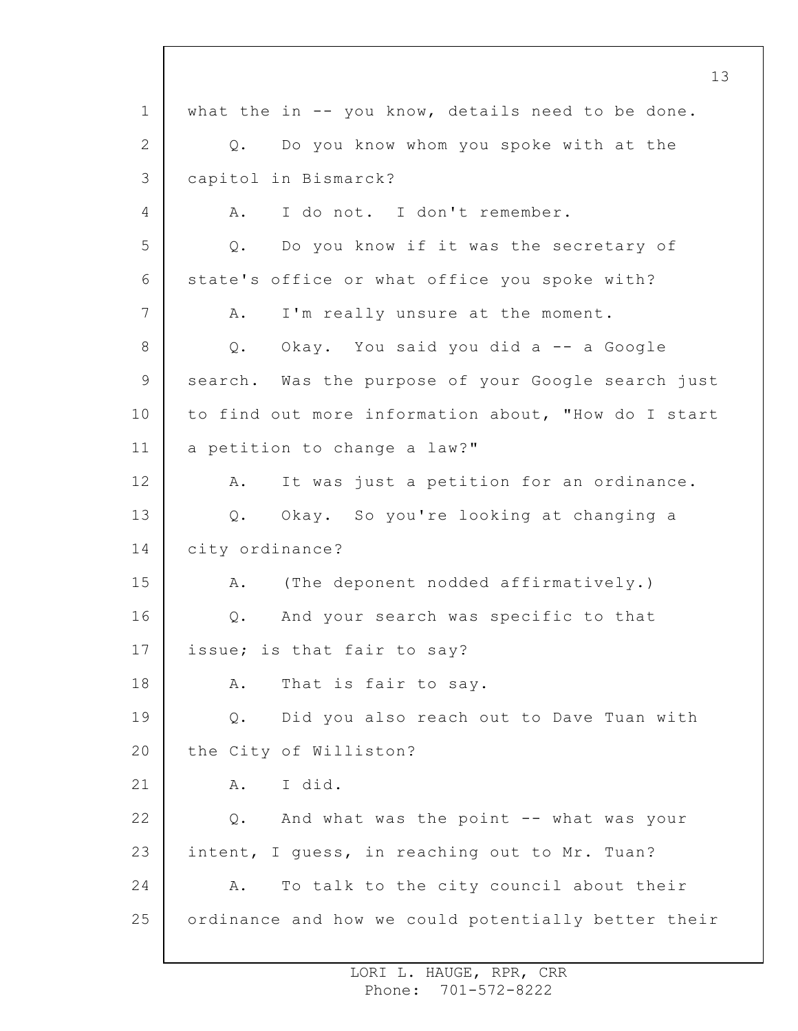1 2 3 4 5 6 7 8 9 10 11 12 13 14 15 16 17 18 19 20 21 22 23 24 25 13 what the in  $-$  you know, details need to be done. Q. Do you know whom you spoke with at the capitol in Bismarck? A. I do not. I don't remember. Q. Do you know if it was the secretary of state's office or what office you spoke with? A. I'm really unsure at the moment. Q. Okay. You said you did a -- a Google search. Was the purpose of your Google search just to find out more information about, "How do I start a petition to change a law?" A. It was just a petition for an ordinance. Q. Okay. So you're looking at changing a city ordinance? A. (The deponent nodded affirmatively.) Q. And your search was specific to that issue; is that fair to say? A. That is fair to say. Q. Did you also reach out to Dave Tuan with the City of Williston? A. I did. Q. And what was the point -- what was your intent, I guess, in reaching out to Mr. Tuan? A. To talk to the city council about their ordinance and how we could potentially better their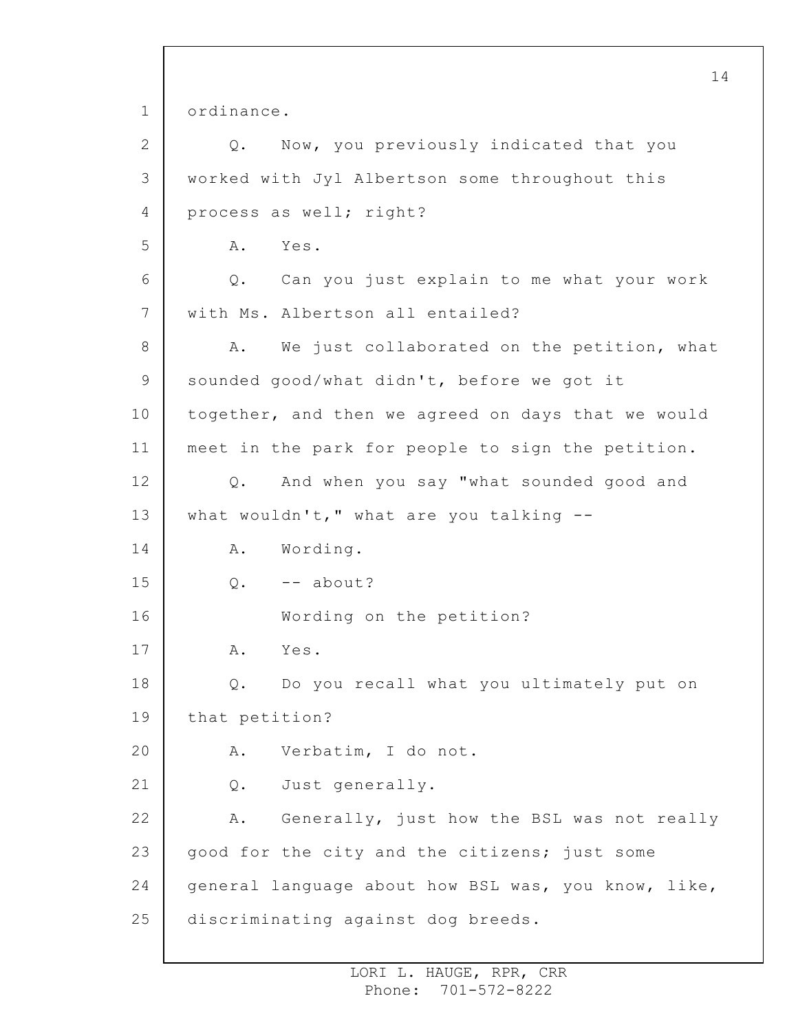1 2 3 4 5 6 7 8 9 10 11 12 13 14 15 16 17 18 19 20 21 22 23 24 25 14 ordinance. Q. Now, you previously indicated that you worked with Jyl Albertson some throughout this process as well; right? A. Yes. Q. Can you just explain to me what your work with Ms. Albertson all entailed? A. We just collaborated on the petition, what sounded good/what didn't, before we got it together, and then we agreed on days that we would meet in the park for people to sign the petition. Q. And when you say "what sounded good and what wouldn't," what are you talking  $-$ -A. Wording.  $0. - -$  about? Wording on the petition? A. Yes. Q. Do you recall what you ultimately put on that petition? A. Verbatim, I do not. Q. Just generally. A. Generally, just how the BSL was not really good for the city and the citizens; just some general language about how BSL was, you know, like, discriminating against dog breeds.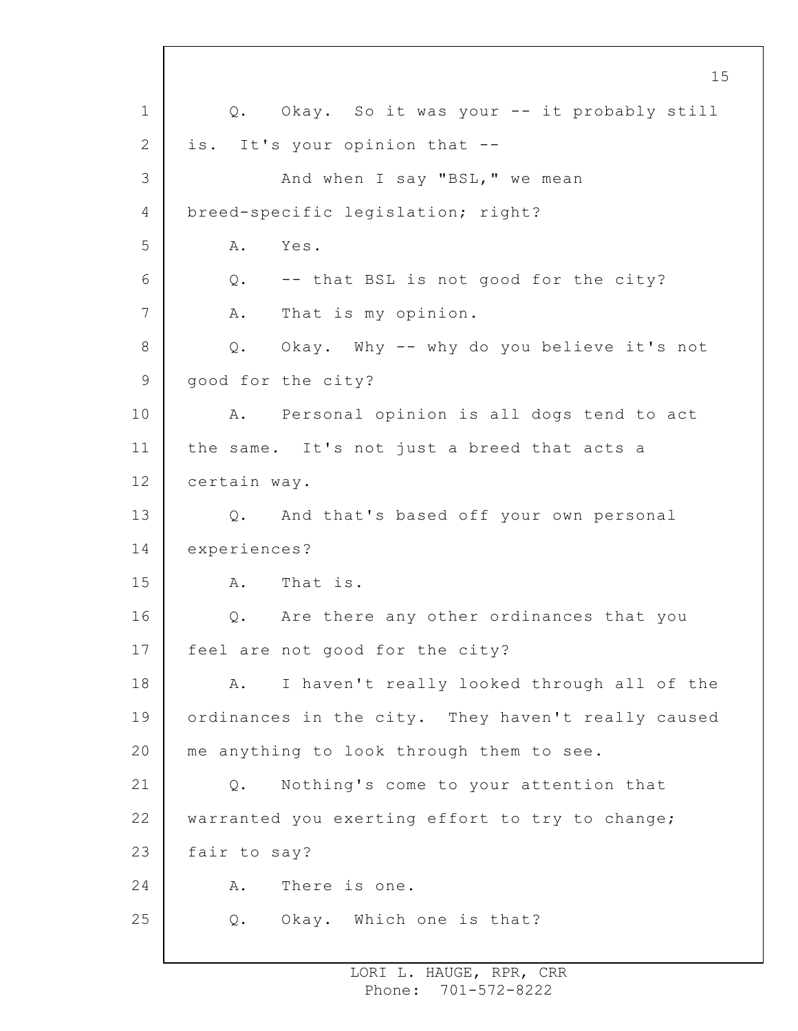1 2 3 4 5 6 7 8 9 10 11 12 13 14 15 16 17 18 19 20 21 22 23 24 25 Q. Okay. So it was your -- it probably still is. It's your opinion that -- And when I say "BSL," we mean breed-specific legislation; right? A. Yes. Q. -- that BSL is not good for the city? A. That is my opinion. Q. Okay. Why -- why do you believe it's not good for the city? A. Personal opinion is all dogs tend to act the same. It's not just a breed that acts a certain way. Q. And that's based off your own personal experiences? A. That is. Q. Are there any other ordinances that you feel are not good for the city? A. I haven't really looked through all of the ordinances in the city. They haven't really caused me anything to look through them to see. Q. Nothing's come to your attention that warranted you exerting effort to try to change; fair to say? A. There is one. Q. Okay. Which one is that?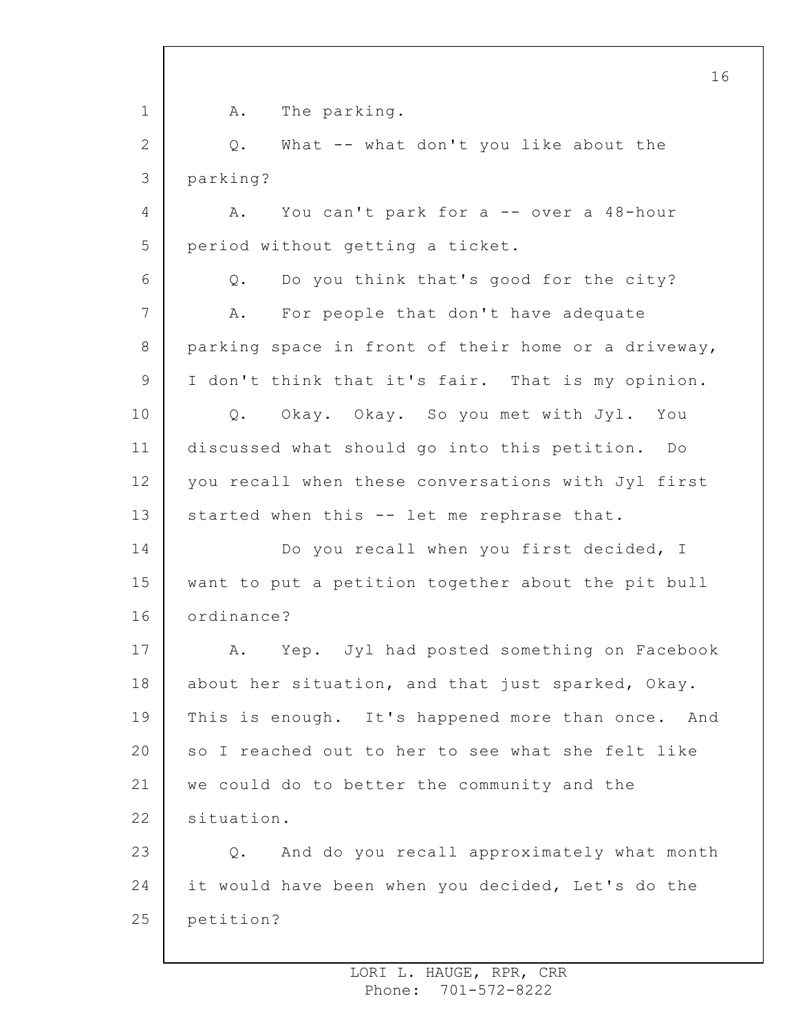1 2 3 4 5 6 7 8 9 10 11 12 13 14 15 16 17 18 19 20 21 22 23 24 25 A. The parking. Q. What -- what don't you like about the parking? A. You can't park for a -- over a 48-hour period without getting a ticket. Q. Do you think that's good for the city? A. For people that don't have adequate parking space in front of their home or a driveway, I don't think that it's fair. That is my opinion. Q. Okay. Okay. So you met with Jyl. You discussed what should go into this petition. Do you recall when these conversations with Jyl first started when this -- let me rephrase that. Do you recall when you first decided, I want to put a petition together about the pit bull ordinance? A. Yep. Jyl had posted something on Facebook about her situation, and that just sparked, Okay. This is enough. It's happened more than once. And so I reached out to her to see what she felt like we could do to better the community and the situation. Q. And do you recall approximately what month it would have been when you decided, Let's do the petition?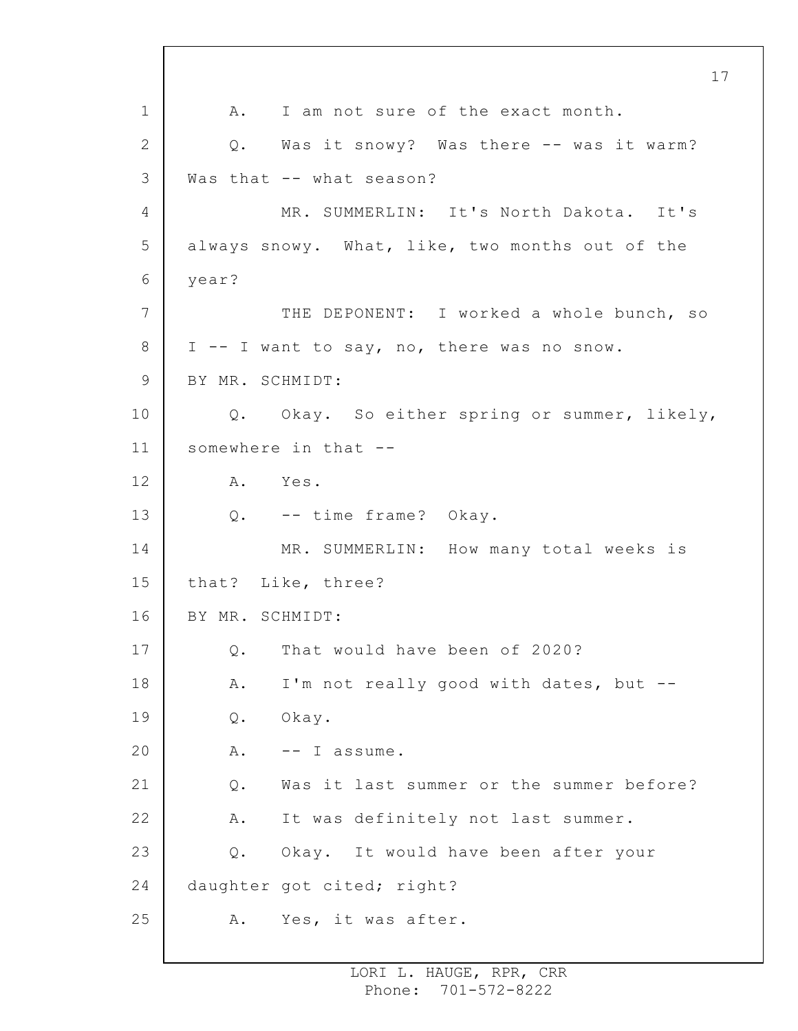1 2 3 4 5 6 7 8 9 10 11 12 13 14 15 16 17 18 19 20 21 22 23 24 25 17 A. I am not sure of the exact month. Q. Was it snowy? Was there -- was it warm? Was that -- what season? MR. SUMMERLIN: It's North Dakota. It's always snowy. What, like, two months out of the year? THE DEPONENT: I worked a whole bunch, so I -- I want to say, no, there was no snow. BY MR. SCHMIDT: Q. Okay. So either spring or summer, likely, somewhere in that -- A. Yes. Q. -- time frame? Okay. MR. SUMMERLIN: How many total weeks is that? Like, three? BY MR. SCHMIDT: Q. That would have been of 2020? A. I'm not really good with dates, but -- Q. Okay. A. -- I assume. Q. Was it last summer or the summer before? A. It was definitely not last summer. Q. Okay. It would have been after your daughter got cited; right? A. Yes, it was after.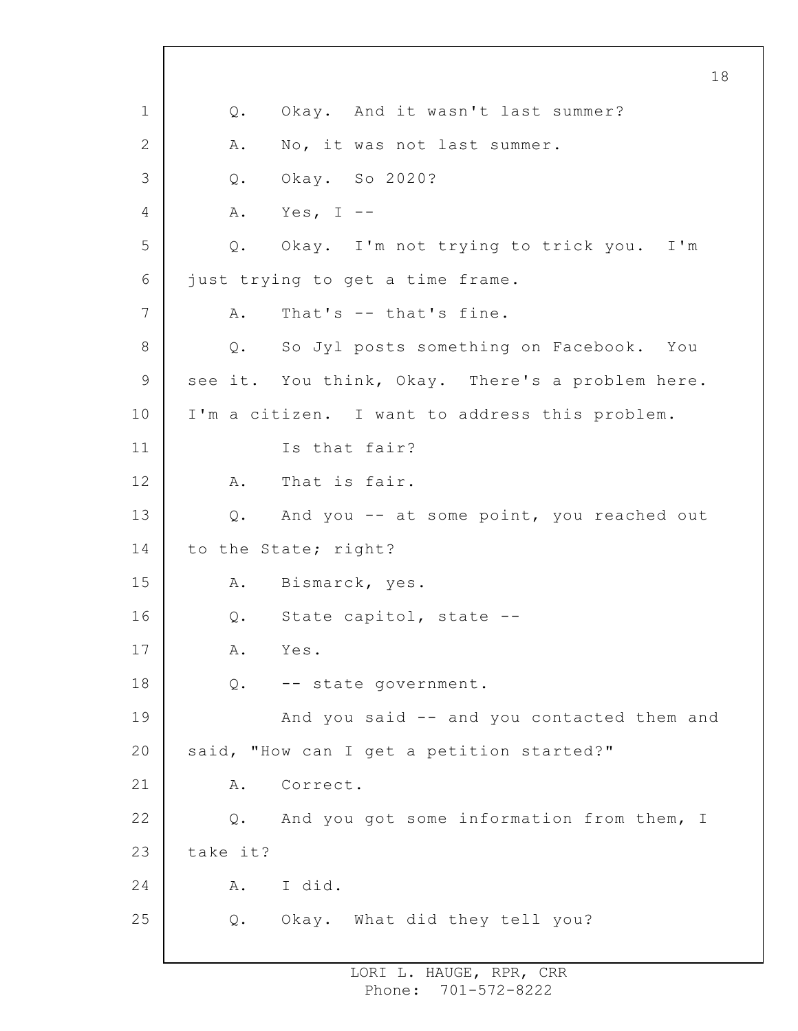1 2 3 4 5 6 7 8 9 10 11 12 13 14 15 16 17 18 19 20 21 22 23 24 25 18 Q. Okay. And it wasn't last summer? A. No, it was not last summer. Q. Okay. So 2020? A. Yes, I -- Q. Okay. I'm not trying to trick you. I'm just trying to get a time frame. A. That's -- that's fine. Q. So Jyl posts something on Facebook. You see it. You think, Okay. There's a problem here. I'm a citizen. I want to address this problem. Is that fair? A. That is fair. Q. And you -- at some point, you reached out to the State; right? A. Bismarck, yes. Q. State capitol, state -- A. Yes. Q. -- state government. And you said -- and you contacted them and said, "How can I get a petition started?" A. Correct. Q. And you got some information from them, I take it? A. I did. Q. Okay. What did they tell you?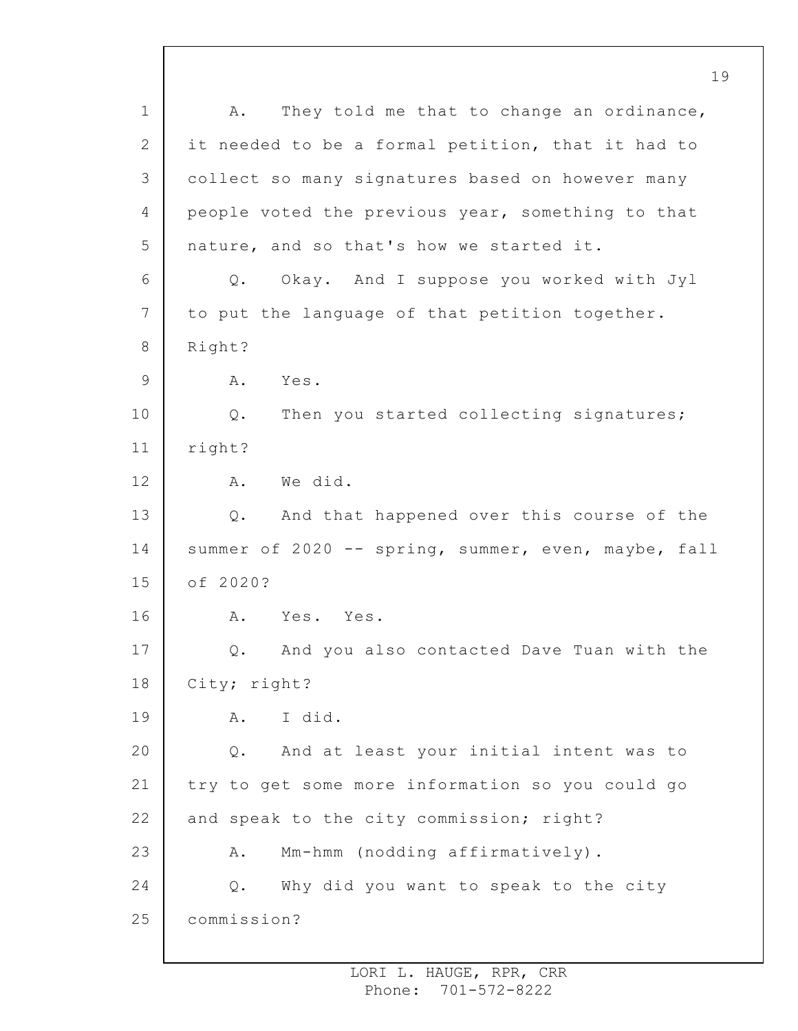1 2 3 4 5 6 7 8 9 10 11 12 13 14 15 16 17 18 19 20 21 22 23 24 25 A. They told me that to change an ordinance, it needed to be a formal petition, that it had to collect so many signatures based on however many people voted the previous year, something to that nature, and so that's how we started it. Q. Okay. And I suppose you worked with Jyl to put the language of that petition together. Right? A. Yes. Q. Then you started collecting signatures; right? A. We did. Q. And that happened over this course of the summer of 2020 -- spring, summer, even, maybe, fall of 2020? A. Yes. Yes. Q. And you also contacted Dave Tuan with the City; right? A. I did. Q. And at least your initial intent was to try to get some more information so you could go and speak to the city commission; right? A. Mm-hmm (nodding affirmatively). Q. Why did you want to speak to the city commission?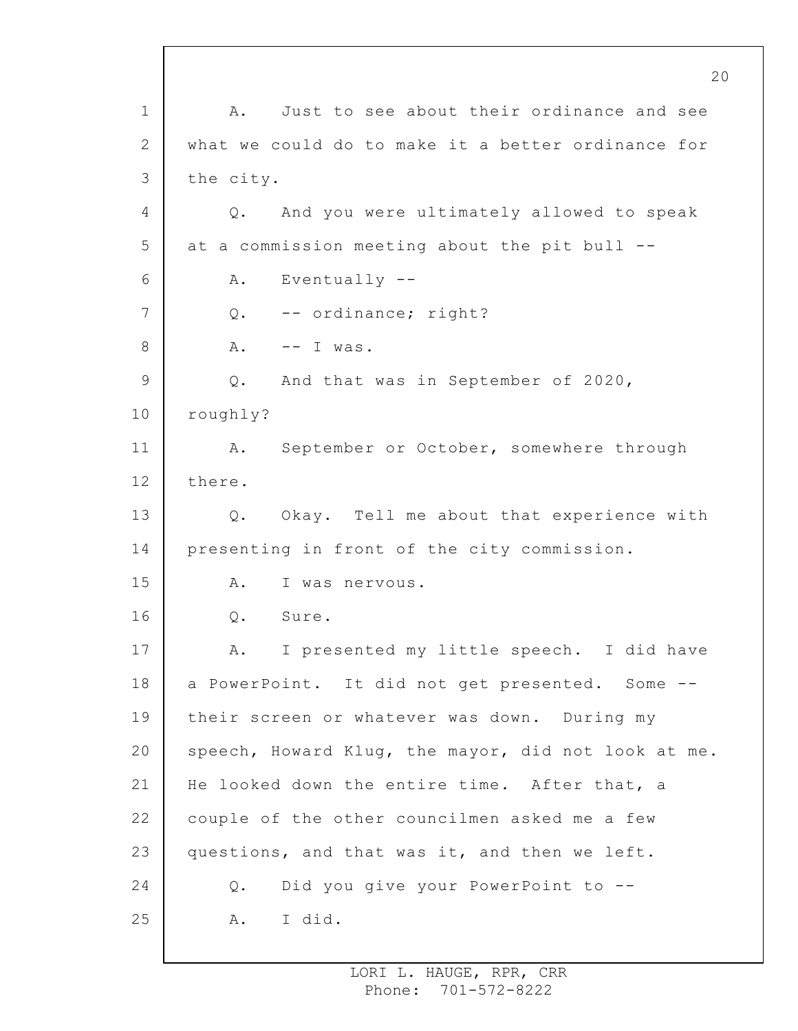1 2 3 4 5 6 7 8 9 10 11 12 13 14 15 16 17 18 19 20 21 22 23 24 25 A. Just to see about their ordinance and see what we could do to make it a better ordinance for the city. Q. And you were ultimately allowed to speak at a commission meeting about the pit bull -- A. Eventually -- Q. -- ordinance; right?  $A.$  -- I was. Q. And that was in September of 2020, roughly? A. September or October, somewhere through there. Q. Okay. Tell me about that experience with presenting in front of the city commission. A. I was nervous. Q. Sure. A. I presented my little speech. I did have a PowerPoint. It did not get presented. Some - their screen or whatever was down. During my speech, Howard Klug, the mayor, did not look at me. He looked down the entire time. After that, a couple of the other councilmen asked me a few questions, and that was it, and then we left. Q. Did you give your PowerPoint to -- A. I did.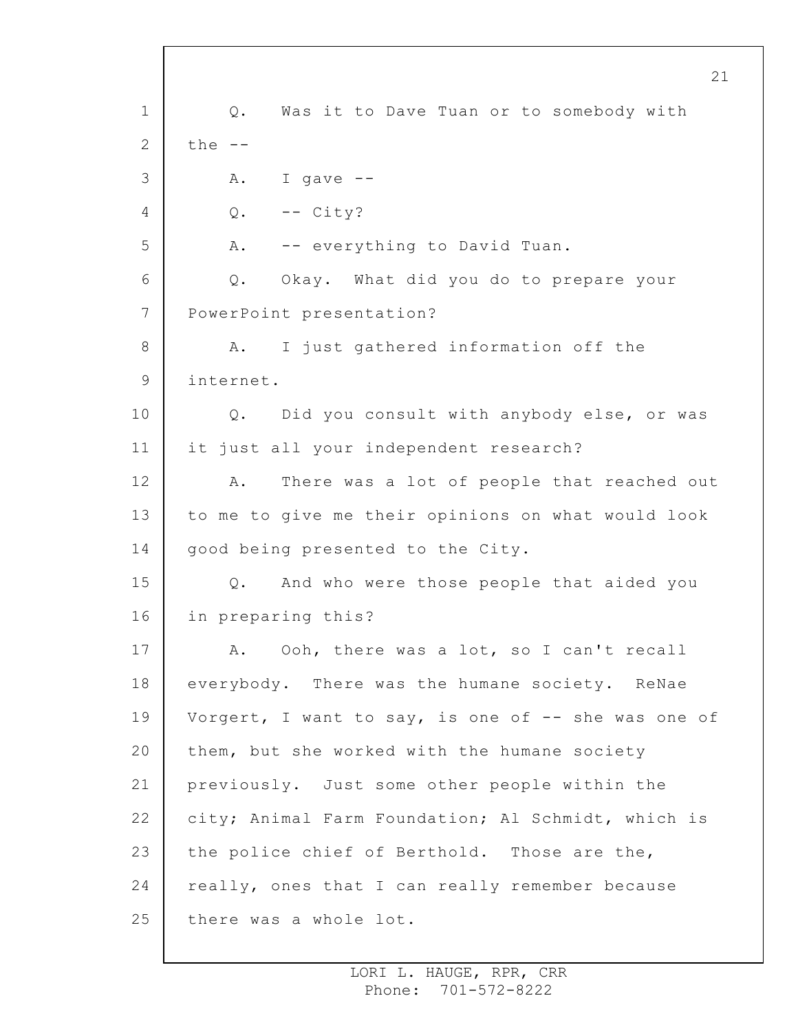1 2 3 4 5 6 7 8 9 10 11 12 13 14 15 16 17 18 19 20 21 22 23 24 25 Q. Was it to Dave Tuan or to somebody with the  $--$ A. I gave --  $Q. \t-- City?$ A. -- everything to David Tuan. Q. Okay. What did you do to prepare your PowerPoint presentation? A. I just gathered information off the internet. Q. Did you consult with anybody else, or was it just all your independent research? A. There was a lot of people that reached out to me to give me their opinions on what would look good being presented to the City. Q. And who were those people that aided you in preparing this? A. Ooh, there was a lot, so I can't recall everybody. There was the humane society. ReNae Vorgert, I want to say, is one of  $-$ - she was one of them, but she worked with the humane society previously. Just some other people within the city; Animal Farm Foundation; Al Schmidt, which is the police chief of Berthold. Those are the, really, ones that I can really remember because there was a whole lot.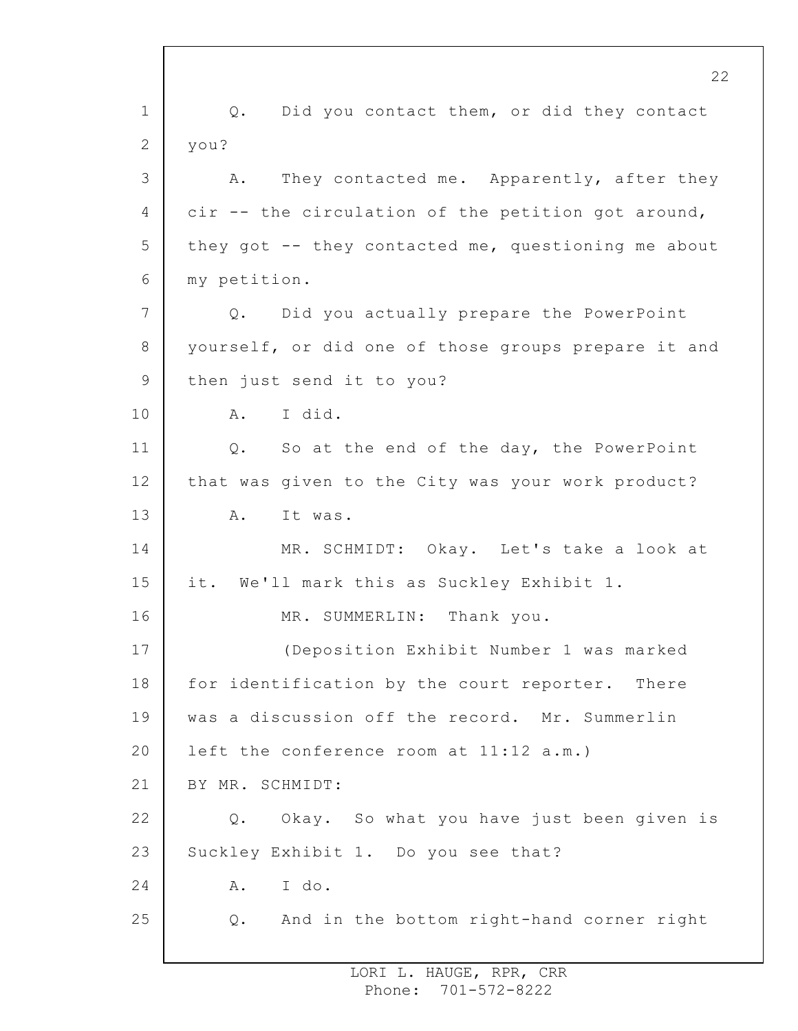1 2 3 4 5 6 7 8 9 10 11 12 13 14 15 16 17 18 19 20 21 22 23 24 25 Q. Did you contact them, or did they contact you? A. They contacted me. Apparently, after they cir -- the circulation of the petition got around, they got -- they contacted me, questioning me about my petition. Q. Did you actually prepare the PowerPoint yourself, or did one of those groups prepare it and then just send it to you? A. I did. Q. So at the end of the day, the PowerPoint that was given to the City was your work product? A. It was. MR. SCHMIDT: Okay. Let's take a look at it. We'll mark this as Suckley Exhibit 1. MR. SUMMERLIN: Thank you. (Deposition Exhibit Number 1 was marked for identification by the court reporter. There was a discussion off the record. Mr. Summerlin left the conference room at 11:12 a.m.) BY MR. SCHMIDT: Q. Okay. So what you have just been given is Suckley Exhibit 1. Do you see that? A. I do. Q. And in the bottom right-hand corner right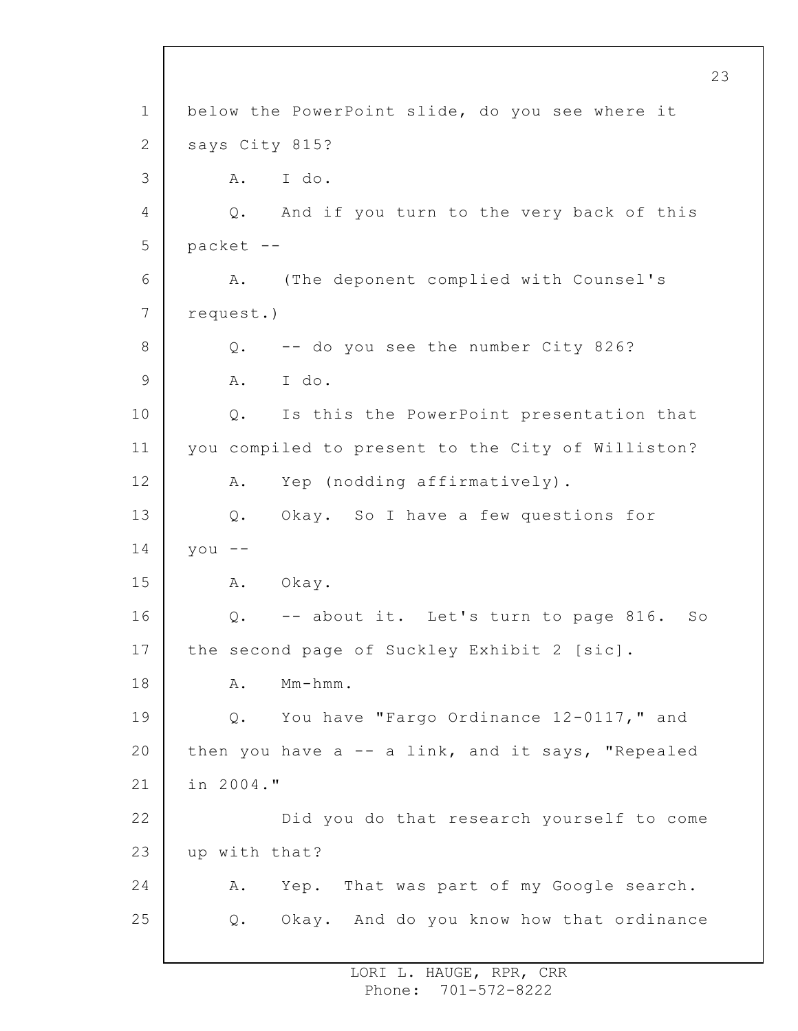1 2 3 4 5 6 7 8 9 10 11 12 13 14 15 16 17 18 19 20 21 22 23 24 25 below the PowerPoint slide, do you see where it says City 815? A. I do. Q. And if you turn to the very back of this packet -- A. (The deponent complied with Counsel's request.) Q. -- do you see the number City 826? A. I do. Q. Is this the PowerPoint presentation that you compiled to present to the City of Williston? A. Yep (nodding affirmatively). Q. Okay. So I have a few questions for  $y \circ u$  --A. Okay. Q. -- about it. Let's turn to page 816. So the second page of Suckley Exhibit 2 [sic]. A. Mm-hmm. Q. You have "Fargo Ordinance 12-0117," and then you have  $a - - a$  link, and it says, "Repealed in 2004." Did you do that research yourself to come up with that? A. Yep. That was part of my Google search. Q. Okay. And do you know how that ordinance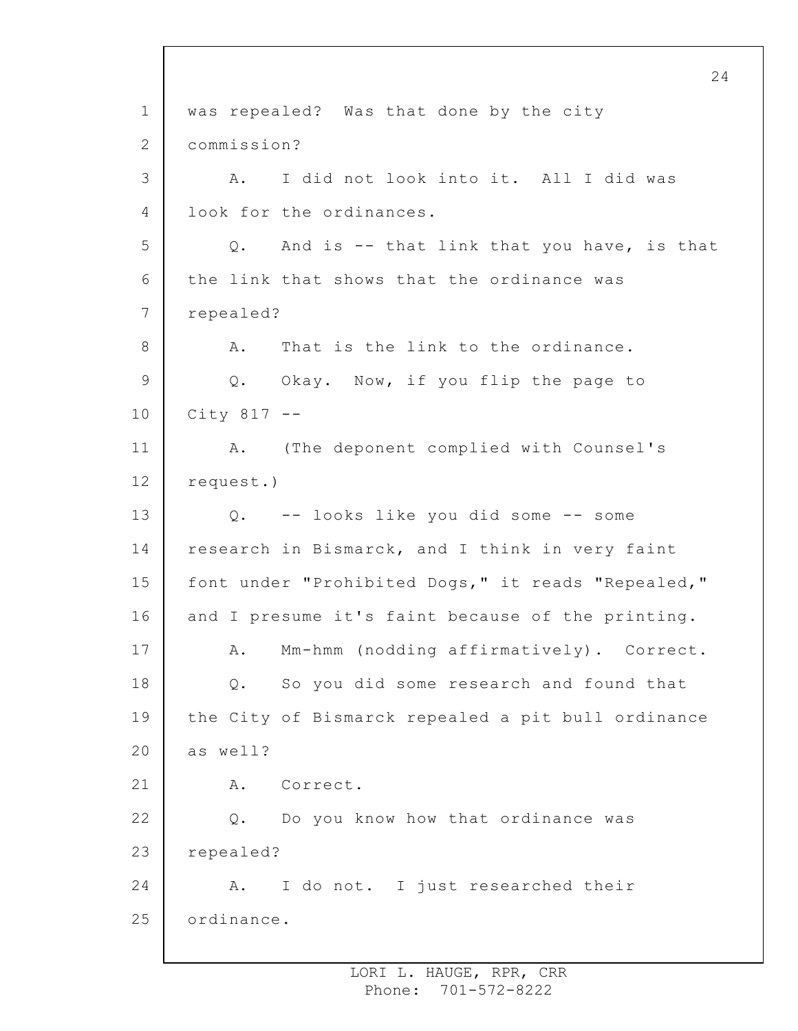1 2 3 4 5 6 7 8 9 10 11 12 13 14 15 16 17 18 19 20 21 22 23 24 25 was repealed? Was that done by the city commission? A. I did not look into it. All I did was look for the ordinances. Q. And is -- that link that you have, is that the link that shows that the ordinance was repealed? A. That is the link to the ordinance. Q. Okay. Now, if you flip the page to  $City 817 - -$ A. (The deponent complied with Counsel's request.) Q. -- looks like you did some -- some research in Bismarck, and I think in very faint font under "Prohibited Dogs," it reads "Repealed," and I presume it's faint because of the printing. A. Mm-hmm (nodding affirmatively). Correct. Q. So you did some research and found that the City of Bismarck repealed a pit bull ordinance as well? A. Correct. Q. Do you know how that ordinance was repealed? A. I do not. I just researched their ordinance.

24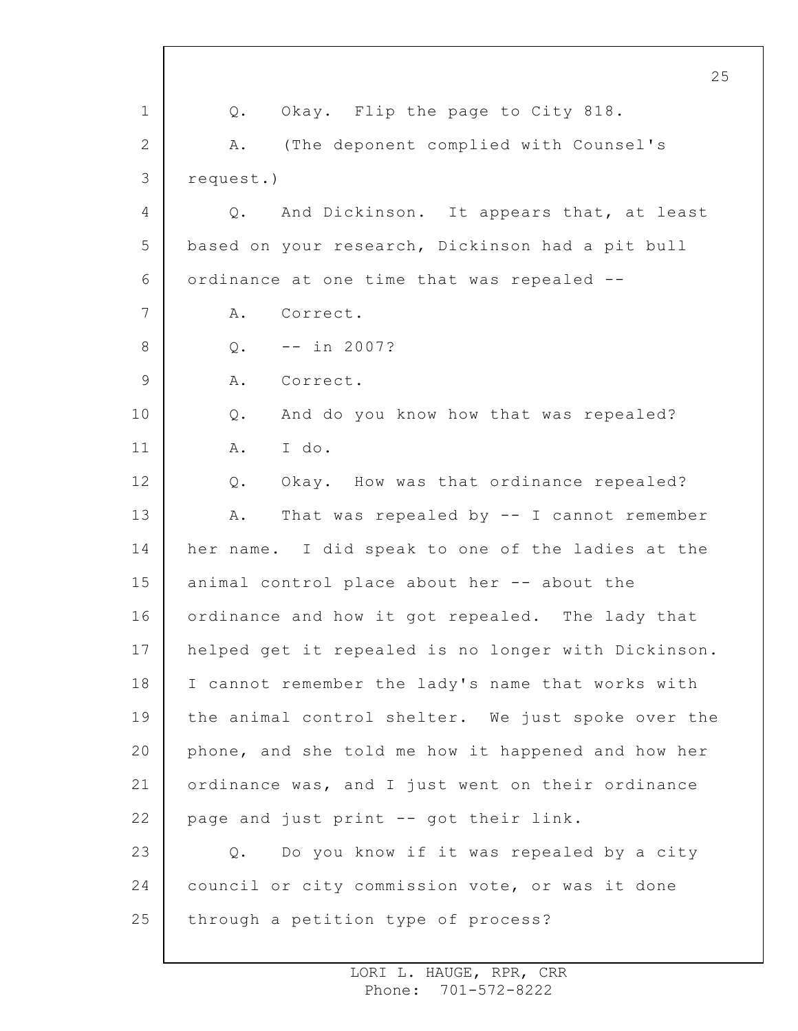1 2 3 4 5 6 7 8 9 10 11 12 13 14 15 16 17 18 19 20 21 22 23 24 25 25 Q. Okay. Flip the page to City 818. A. (The deponent complied with Counsel's request.) Q. And Dickinson. It appears that, at least based on your research, Dickinson had a pit bull ordinance at one time that was repealed -- A. Correct.  $0. - - in 2007?$ A. Correct. Q. And do you know how that was repealed? A. I do. Q. Okay. How was that ordinance repealed? A. That was repealed by -- I cannot remember her name. I did speak to one of the ladies at the animal control place about her -- about the ordinance and how it got repealed. The lady that helped get it repealed is no longer with Dickinson. I cannot remember the lady's name that works with the animal control shelter. We just spoke over the phone, and she told me how it happened and how her ordinance was, and I just went on their ordinance page and just print -- got their link. Q. Do you know if it was repealed by a city council or city commission vote, or was it done through a petition type of process?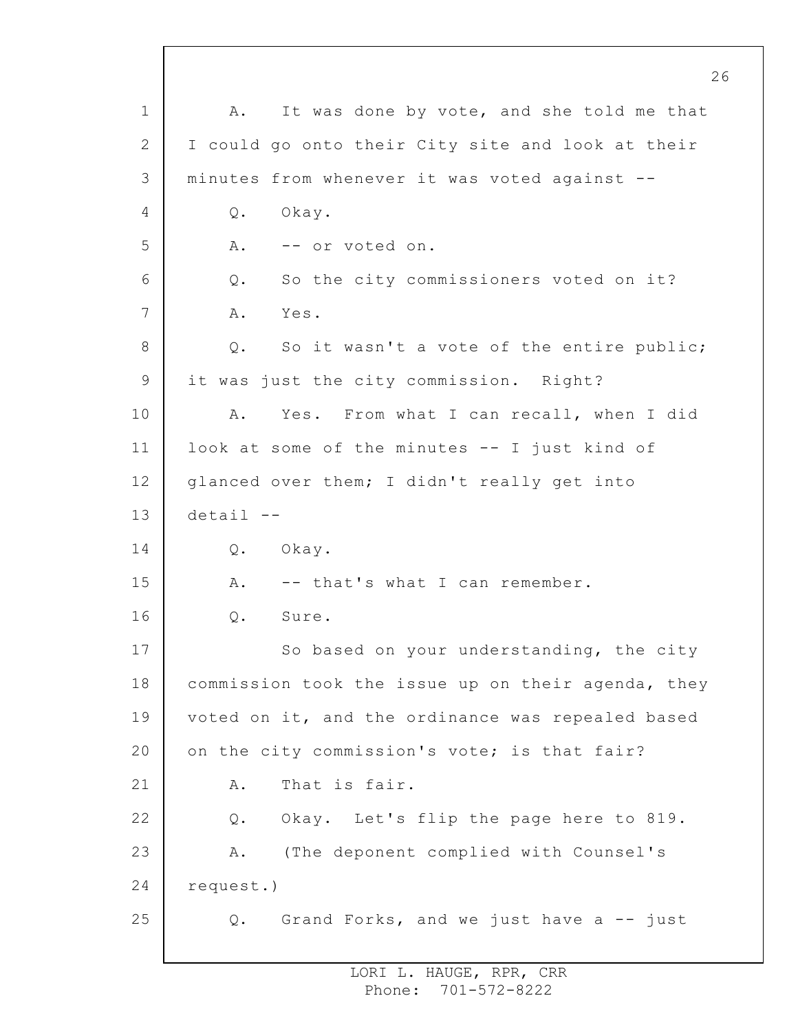1 2 3 4 5 6 7 8 9 10 11 12 13 14 15 16 17 18 19 20 21 22 23 24 25 A. It was done by vote, and she told me that I could go onto their City site and look at their minutes from whenever it was voted against -- Q. Okay. A. -- or voted on. Q. So the city commissioners voted on it? A. Yes. Q. So it wasn't a vote of the entire public; it was just the city commission. Right? A. Yes. From what I can recall, when I did look at some of the minutes -- I just kind of glanced over them; I didn't really get into detail -- Q. Okay. A. -- that's what I can remember. Q. Sure. So based on your understanding, the city commission took the issue up on their agenda, they voted on it, and the ordinance was repealed based on the city commission's vote; is that fair? A. That is fair. Q. Okay. Let's flip the page here to 819. A. (The deponent complied with Counsel's request.) Q. Grand Forks, and we just have a -- just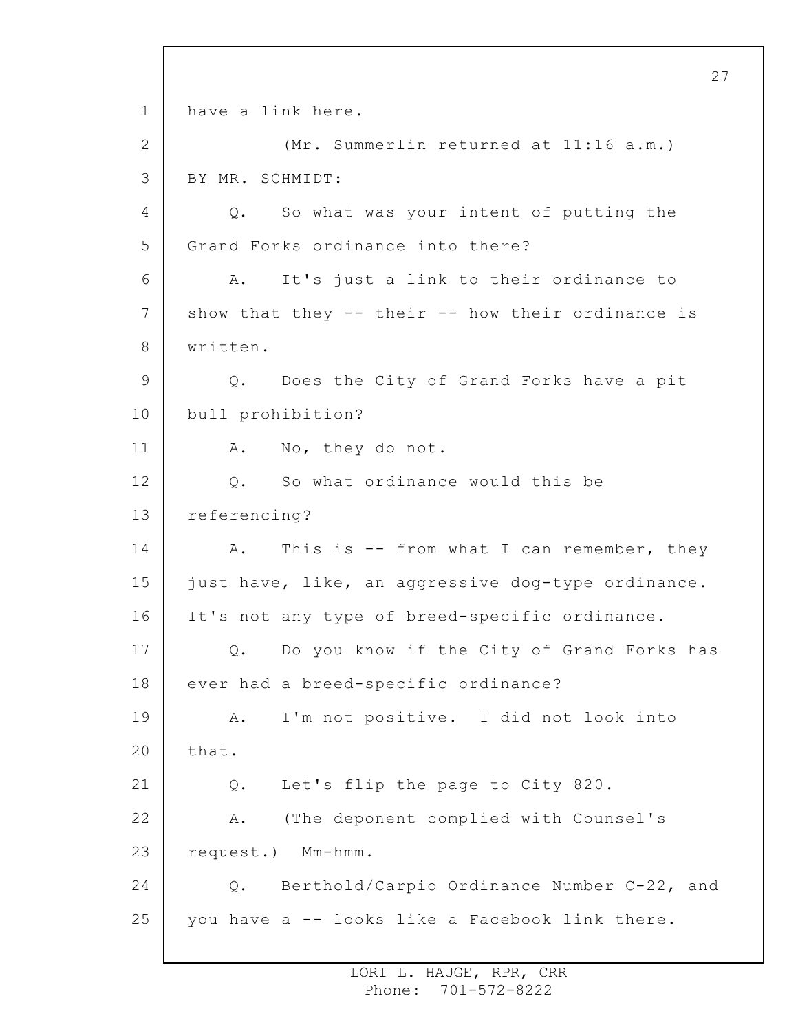1 2 3 4 5 6 7 8 9 10 11 12 13 14 15 16 17 18 19 20 21 22 23 24 25 have a link here. (Mr. Summerlin returned at 11:16 a.m.) BY MR. SCHMIDT: Q. So what was your intent of putting the Grand Forks ordinance into there? A. It's just a link to their ordinance to show that they -- their -- how their ordinance is written. Q. Does the City of Grand Forks have a pit bull prohibition? A. No, they do not. Q. So what ordinance would this be referencing? A. This is -- from what I can remember, they just have, like, an aggressive dog-type ordinance. It's not any type of breed-specific ordinance. Q. Do you know if the City of Grand Forks has ever had a breed-specific ordinance? A. I'm not positive. I did not look into that. Q. Let's flip the page to City 820. A. (The deponent complied with Counsel's request.) Mm-hmm. Q. Berthold/Carpio Ordinance Number C-22, and you have a -- looks like a Facebook link there.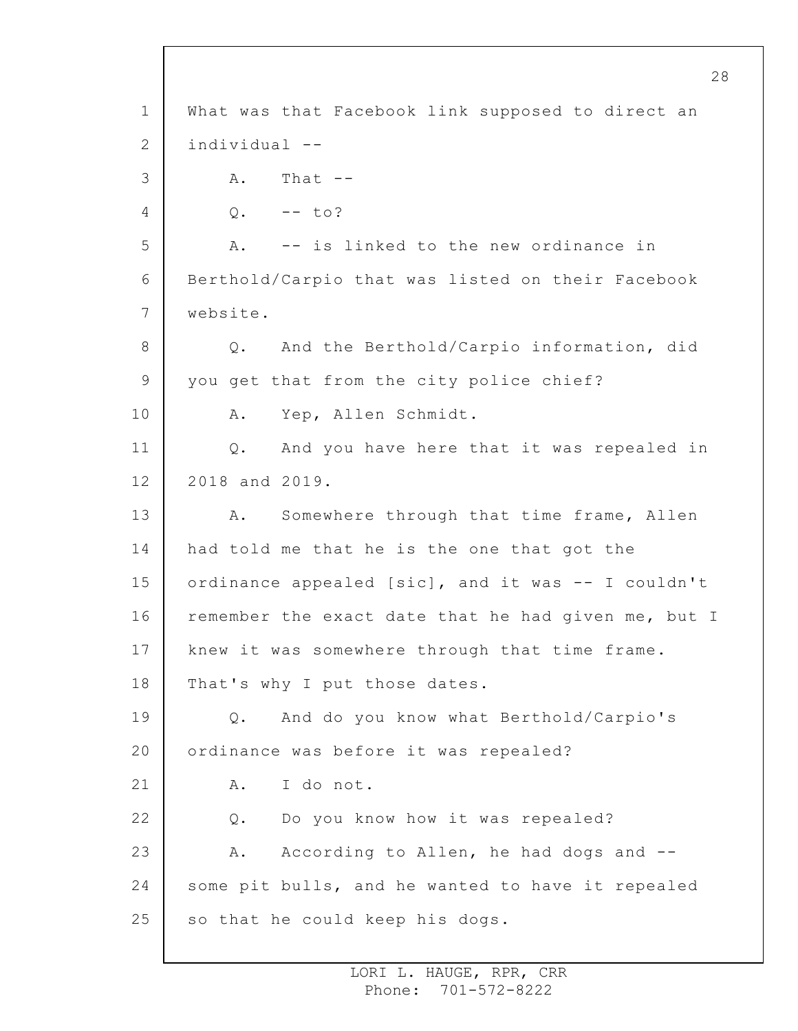1 2 3 4 5 6 7 8 9 10 11 12 13 14 15 16 17 18 19 20 21 22 23 24 25 What was that Facebook link supposed to direct an individual -- A. That --  $Q. - -$  to? A. -- is linked to the new ordinance in Berthold/Carpio that was listed on their Facebook website. Q. And the Berthold/Carpio information, did you get that from the city police chief? A. Yep, Allen Schmidt. Q. And you have here that it was repealed in 2018 and 2019. A. Somewhere through that time frame, Allen had told me that he is the one that got the ordinance appealed [sic], and it was -- I couldn't remember the exact date that he had given me, but I knew it was somewhere through that time frame. That's why I put those dates. Q. And do you know what Berthold/Carpio's ordinance was before it was repealed? A. I do not. Q. Do you know how it was repealed? A. According to Allen, he had dogs and - some pit bulls, and he wanted to have it repealed so that he could keep his dogs.

> LORI L. HAUGE, RPR, CRR Phone: 701-572-8222

28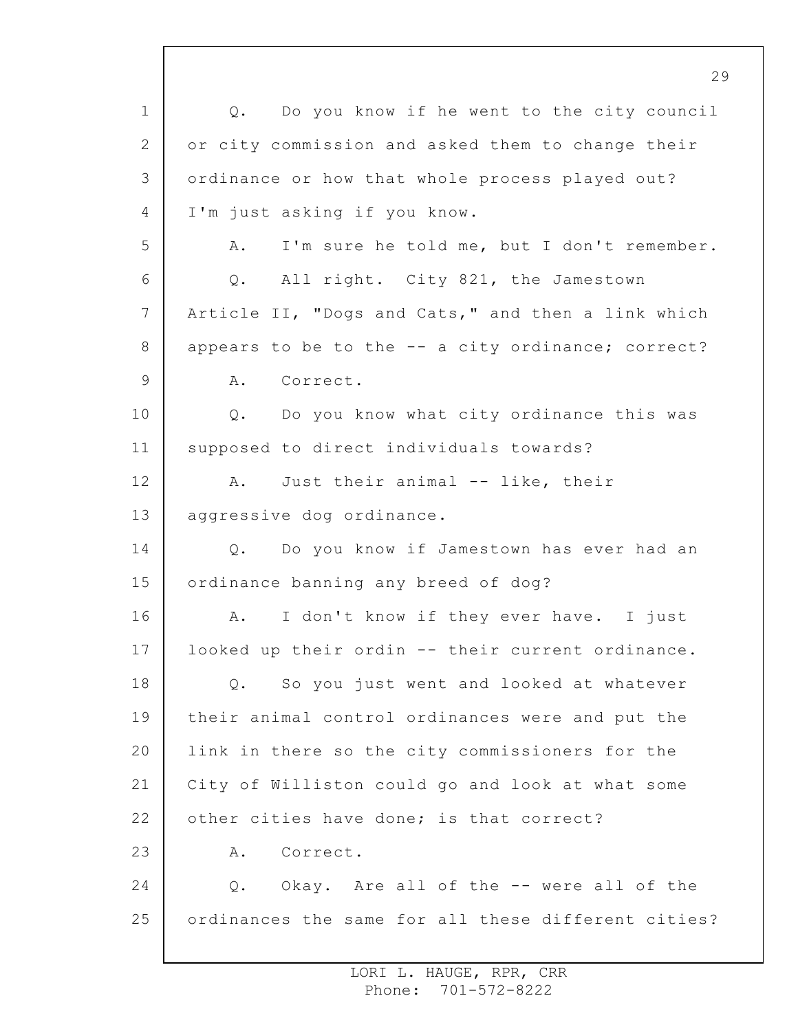1 2 3 4 5 6 7 8 9 10 11 12 13 14 15 16 17 18 19 20 21 22 23 24 25 Q. Do you know if he went to the city council or city commission and asked them to change their ordinance or how that whole process played out? I'm just asking if you know. A. I'm sure he told me, but I don't remember. Q. All right. City 821, the Jamestown Article II, "Dogs and Cats," and then a link which appears to be to the -- a city ordinance; correct? A. Correct. Q. Do you know what city ordinance this was supposed to direct individuals towards? A. Just their animal -- like, their aggressive dog ordinance. Q. Do you know if Jamestown has ever had an ordinance banning any breed of dog? A. I don't know if they ever have. I just looked up their ordin -- their current ordinance. Q. So you just went and looked at whatever their animal control ordinances were and put the link in there so the city commissioners for the City of Williston could go and look at what some other cities have done; is that correct? A. Correct. Q. Okay. Are all of the -- were all of the ordinances the same for all these different cities?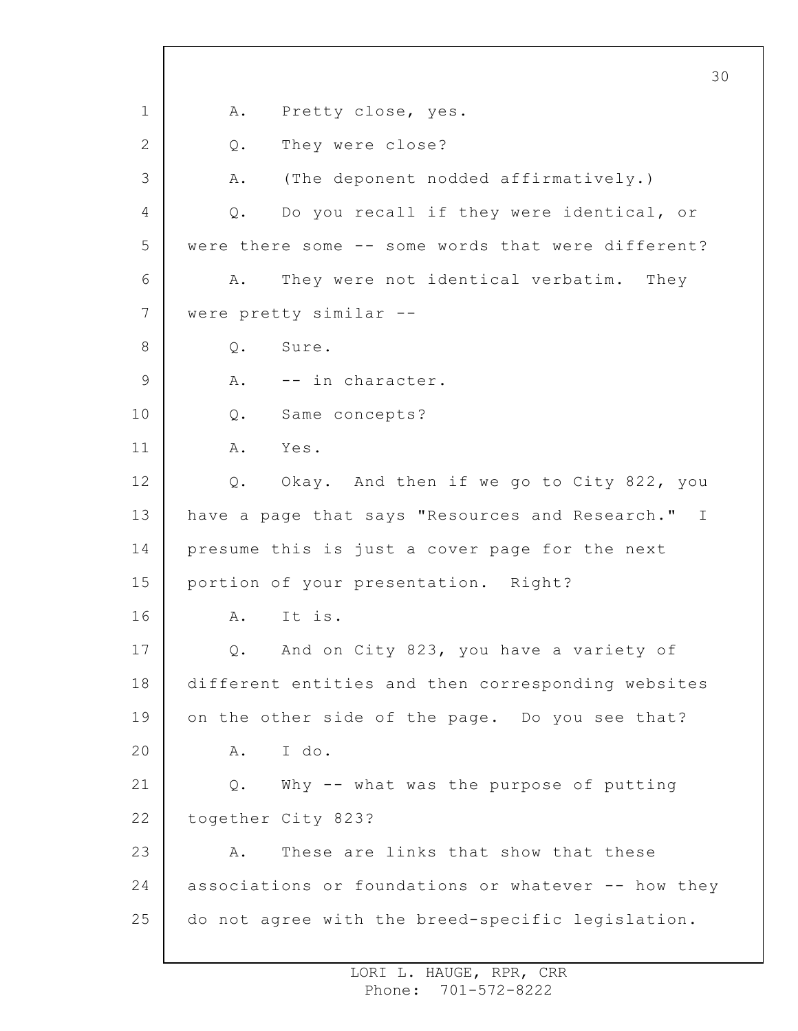1 2 3 4 5 6 7 8 9 10 11 12 13 14 15 16 17 18 19 20 21 22 23 24 25 30 A. Pretty close, yes. Q. They were close? A. (The deponent nodded affirmatively.) Q. Do you recall if they were identical, or were there some -- some words that were different? A. They were not identical verbatim. They were pretty similar -- Q. Sure. A. -- in character. Q. Same concepts? A. Yes. Q. Okay. And then if we go to City 822, you have a page that says "Resources and Research." I presume this is just a cover page for the next portion of your presentation. Right? A. It is. Q. And on City 823, you have a variety of different entities and then corresponding websites on the other side of the page. Do you see that? A. I do. Q. Why -- what was the purpose of putting together City 823? A. These are links that show that these associations or foundations or whatever -- how they do not agree with the breed-specific legislation.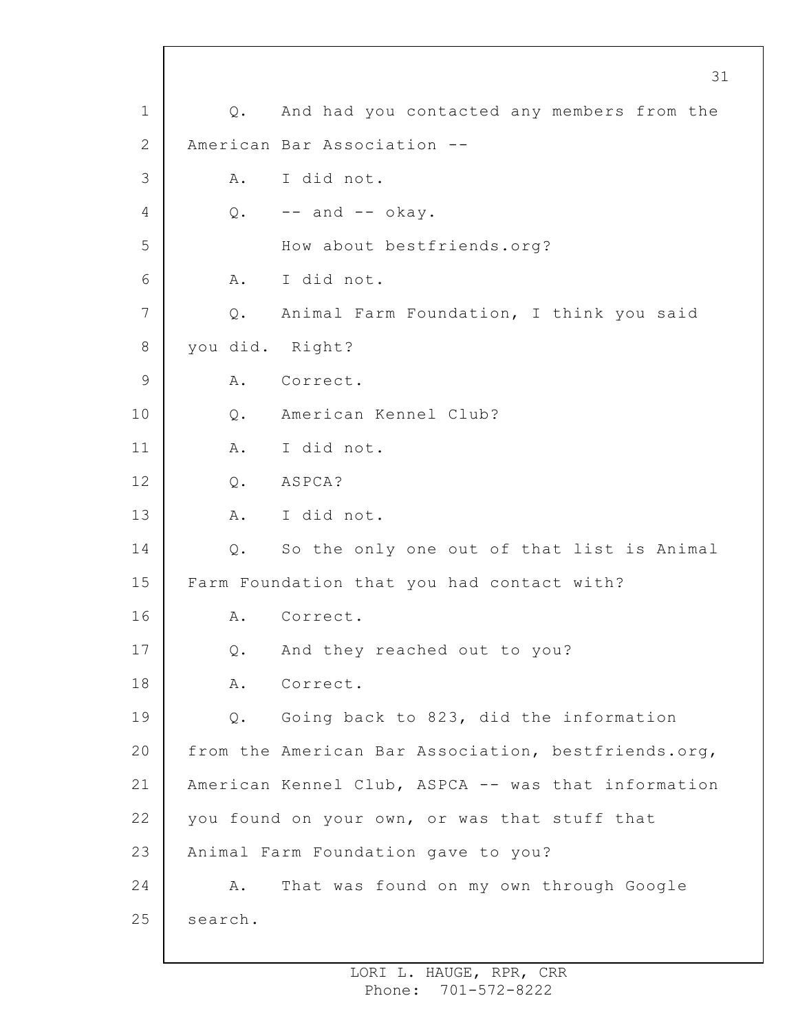1 2 3 4 5 6 7 8 9 10 11 12 13 14 15 16 17 18 19 20 21 22 23 24 25 31 Q. And had you contacted any members from the American Bar Association -- A. I did not.  $Q.$  -- and -- okay. How about bestfriends.org? A. I did not. Q. Animal Farm Foundation, I think you said you did. Right? A. Correct. Q. American Kennel Club? A. I did not. Q. ASPCA? A. I did not. Q. So the only one out of that list is Animal Farm Foundation that you had contact with? A. Correct. Q. And they reached out to you? A. Correct. Q. Going back to 823, did the information from the American Bar Association, bestfriends.org, American Kennel Club, ASPCA -- was that information you found on your own, or was that stuff that Animal Farm Foundation gave to you? A. That was found on my own through Google search.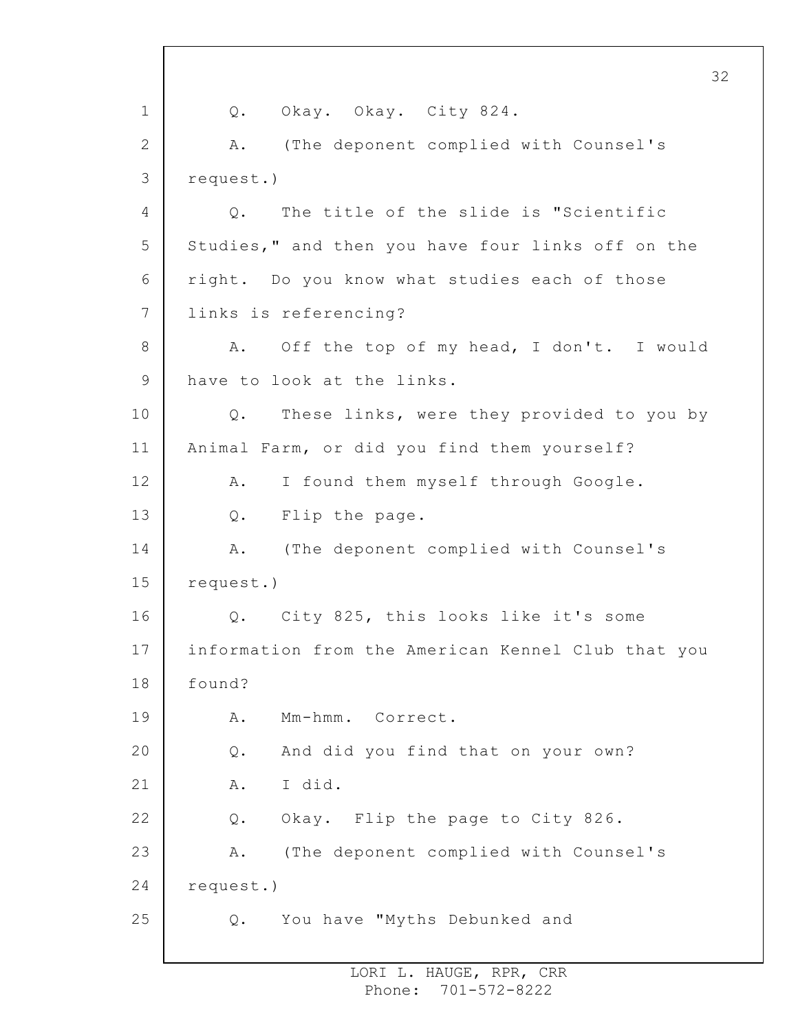1 2 3 4 5 6 7 8 9 10 11 12 13 14 15 16 17 18 19 20 21 22 23 24 25 32 Q. Okay. Okay. City 824. A. (The deponent complied with Counsel's request.) Q. The title of the slide is "Scientific Studies," and then you have four links off on the right. Do you know what studies each of those links is referencing? A. Off the top of my head, I don't. I would have to look at the links. Q. These links, were they provided to you by Animal Farm, or did you find them yourself? A. I found them myself through Google. Q. Flip the page. A. (The deponent complied with Counsel's request.) Q. City 825, this looks like it's some information from the American Kennel Club that you found? A. Mm-hmm. Correct. Q. And did you find that on your own? A. I did. Q. Okay. Flip the page to City 826. A. (The deponent complied with Counsel's request.) Q. You have "Myths Debunked and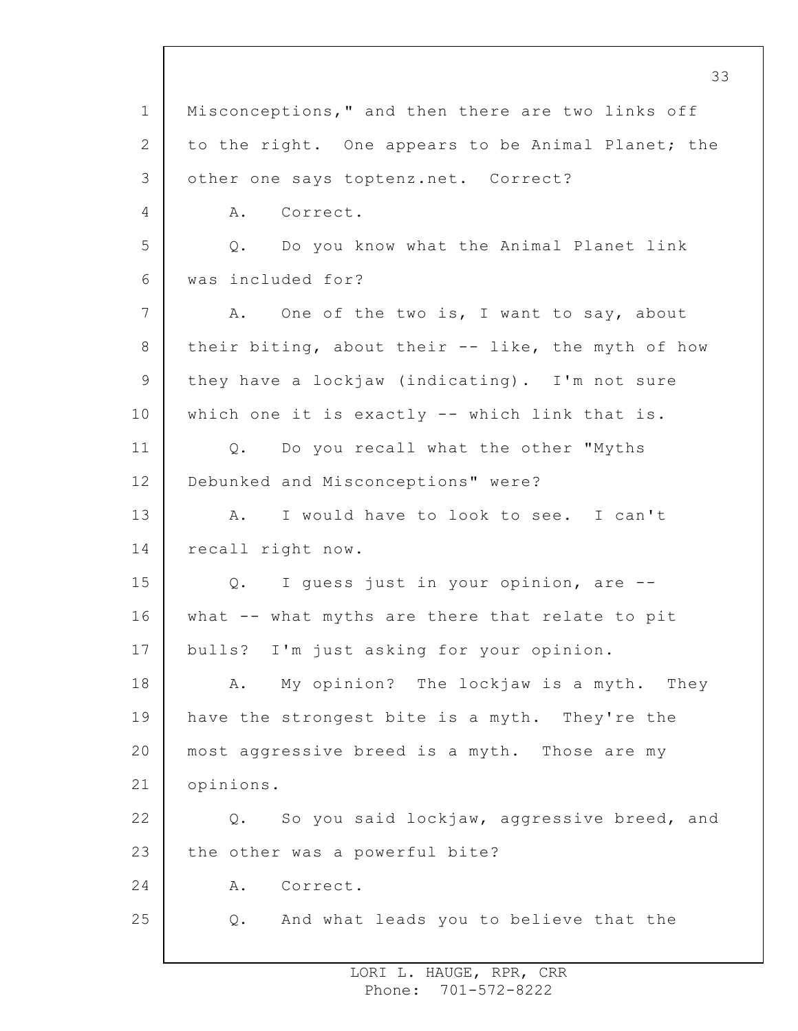1 2 3 4 5 6 7 8 9 10 11 12 13 14 15 16 17 18 19 20 21 22 23 24 25 33 Misconceptions," and then there are two links off to the right. One appears to be Animal Planet; the other one says toptenz.net. Correct? A. Correct. Q. Do you know what the Animal Planet link was included for? A. One of the two is, I want to say, about their biting, about their -- like, the myth of how they have a lockjaw (indicating). I'm not sure which one it is exactly -- which link that is. Q. Do you recall what the other "Myths Debunked and Misconceptions" were? A. I would have to look to see. I can't recall right now. Q. I guess just in your opinion, are - what -- what myths are there that relate to pit bulls? I'm just asking for your opinion. A. My opinion? The lockjaw is a myth. They have the strongest bite is a myth. They're the most aggressive breed is a myth. Those are my opinions. Q. So you said lockjaw, aggressive breed, and the other was a powerful bite? A. Correct. Q. And what leads you to believe that the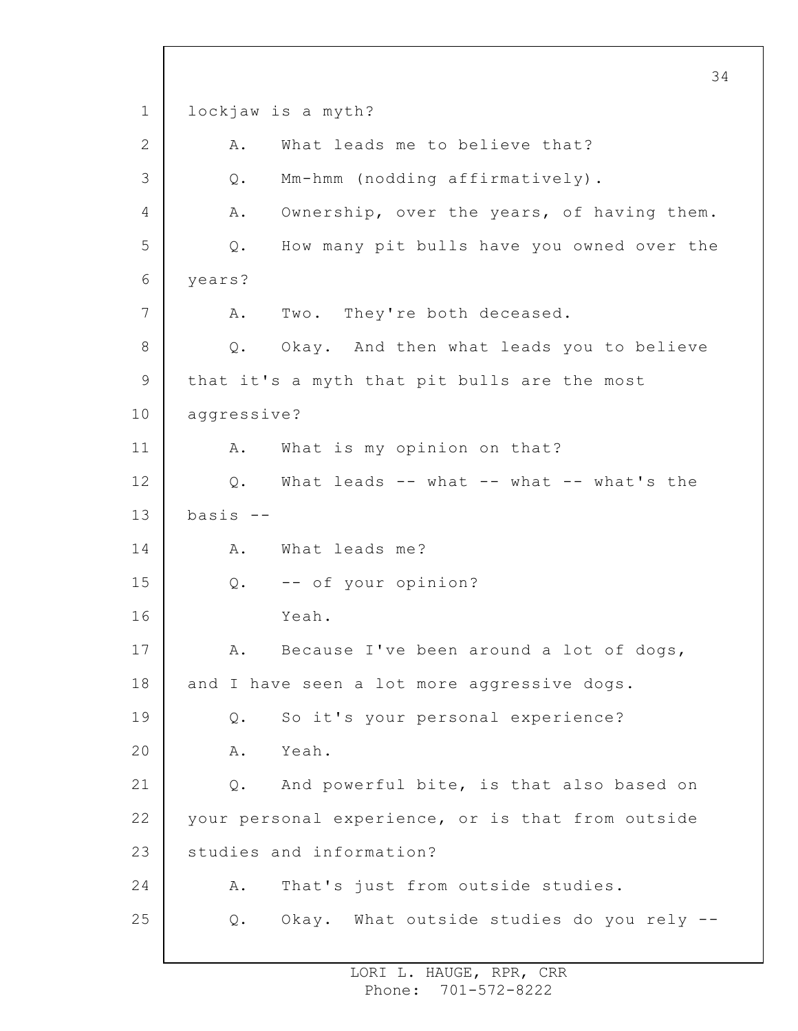1 2 3 4 5 6 7 8 9 10 11 12 13 14 15 16 17 18 19 20 21 22 23 24 25 34 lockjaw is a myth? A. What leads me to believe that? Q. Mm-hmm (nodding affirmatively). A. Ownership, over the years, of having them. Q. How many pit bulls have you owned over the years? A. Two. They're both deceased. Q. Okay. And then what leads you to believe that it's a myth that pit bulls are the most aggressive? A. What is my opinion on that? Q. What leads -- what -- what -- what's the basis -- A. What leads me? Q. -- of your opinion? Yeah. A. Because I've been around a lot of dogs, and I have seen a lot more aggressive dogs. Q. So it's your personal experience? A. Yeah. Q. And powerful bite, is that also based on your personal experience, or is that from outside studies and information? A. That's just from outside studies. Q. Okay. What outside studies do you rely --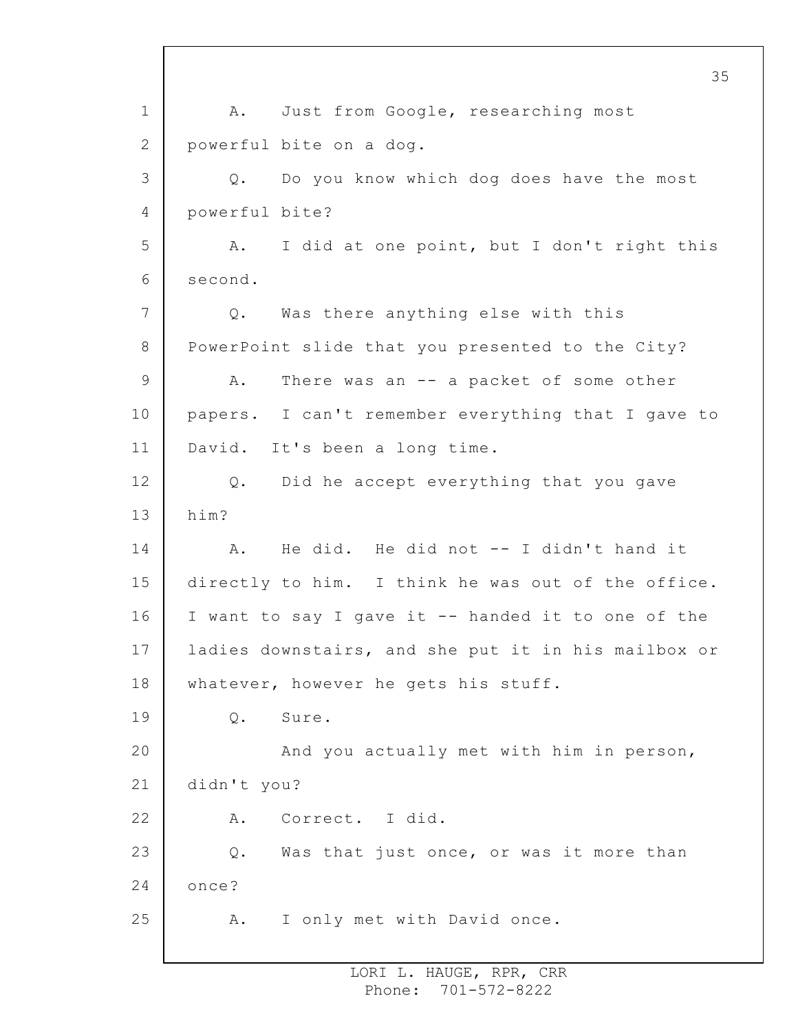1 2 3 4 5 6 7 8 9 10 11 12 13 14 15 16 17 18 19 20 21 22 23 24 25 A. Just from Google, researching most powerful bite on a dog. Q. Do you know which dog does have the most powerful bite? A. I did at one point, but I don't right this second. Q. Was there anything else with this PowerPoint slide that you presented to the City? A. There was an -- a packet of some other papers. I can't remember everything that I gave to David. It's been a long time. Q. Did he accept everything that you gave him? A. He did. He did not -- I didn't hand it directly to him. I think he was out of the office. I want to say I gave it -- handed it to one of the ladies downstairs, and she put it in his mailbox or whatever, however he gets his stuff. Q. Sure. And you actually met with him in person, didn't you? A. Correct. I did. Q. Was that just once, or was it more than once? A. I only met with David once.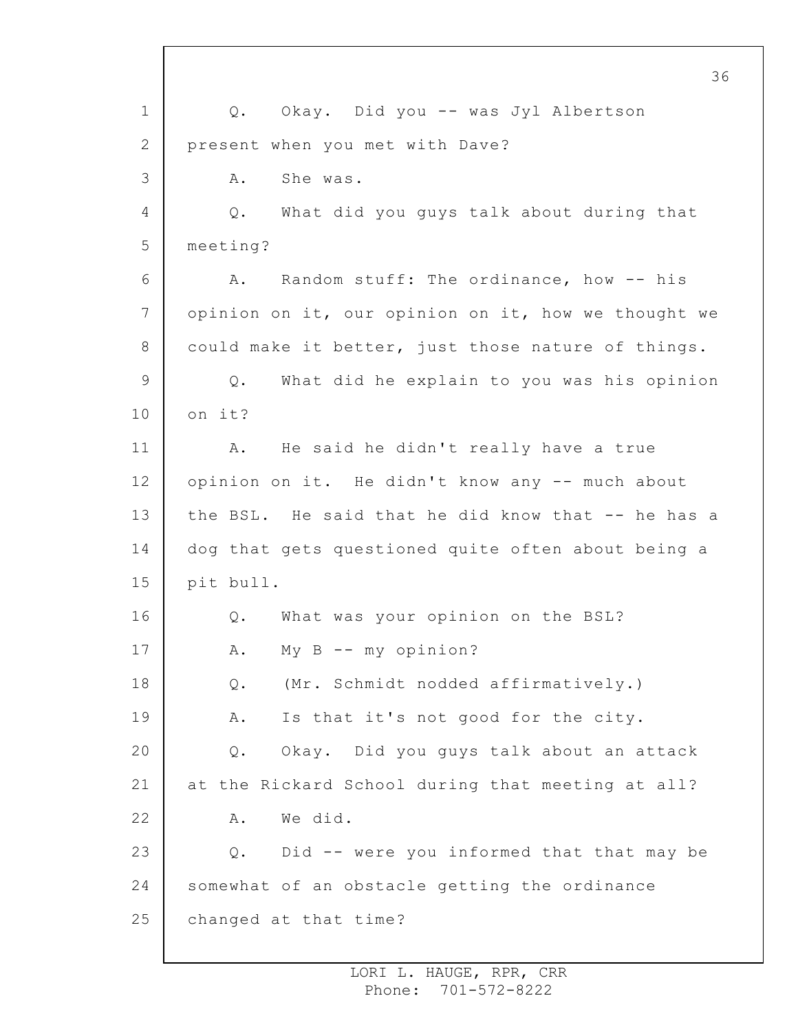1 2 3 4 5 6 7 8 9 10 11 12 13 14 15 16 17 18 19 20 21 22 23 24 25 36 Q. Okay. Did you -- was Jyl Albertson present when you met with Dave? A. She was. Q. What did you guys talk about during that meeting? A. Random stuff: The ordinance, how -- his opinion on it, our opinion on it, how we thought we could make it better, just those nature of things. Q. What did he explain to you was his opinion on it? A. He said he didn't really have a true opinion on it. He didn't know any -- much about the BSL. He said that he did know that -- he has a dog that gets questioned quite often about being a pit bull. Q. What was your opinion on the BSL? A. My B -- my opinion? Q. (Mr. Schmidt nodded affirmatively.) A. Is that it's not good for the city. Q. Okay. Did you guys talk about an attack at the Rickard School during that meeting at all? A. We did. Q. Did -- were you informed that that may be somewhat of an obstacle getting the ordinance changed at that time?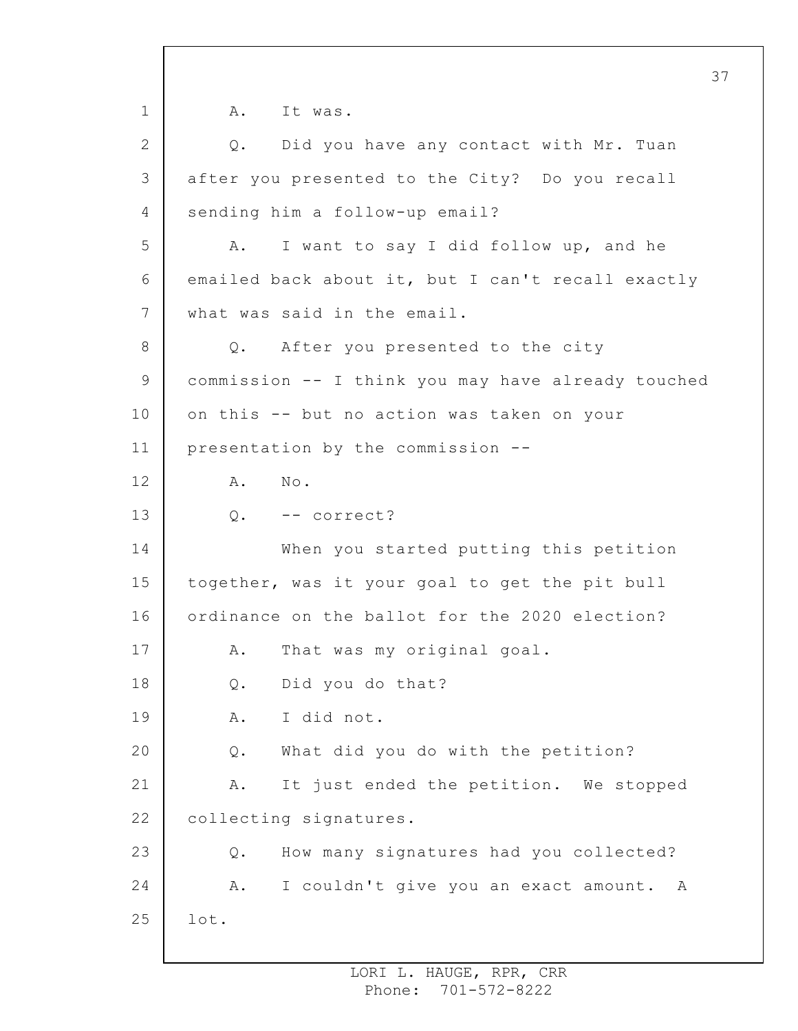1 2 3 4 5 6 7 8 9 10 11 12 13 14 15 16 17 18 19 20 21 22 23 24 25 A. It was. Q. Did you have any contact with Mr. Tuan after you presented to the City? Do you recall sending him a follow-up email? A. I want to say I did follow up, and he emailed back about it, but I can't recall exactly what was said in the email. Q. After you presented to the city commission -- I think you may have already touched on this -- but no action was taken on your presentation by the commission -- A. No. Q. -- correct? When you started putting this petition together, was it your goal to get the pit bull ordinance on the ballot for the 2020 election? A. That was my original goal. Q. Did you do that? A. I did not. Q. What did you do with the petition? A. It just ended the petition. We stopped collecting signatures. Q. How many signatures had you collected? A. I couldn't give you an exact amount. A lot.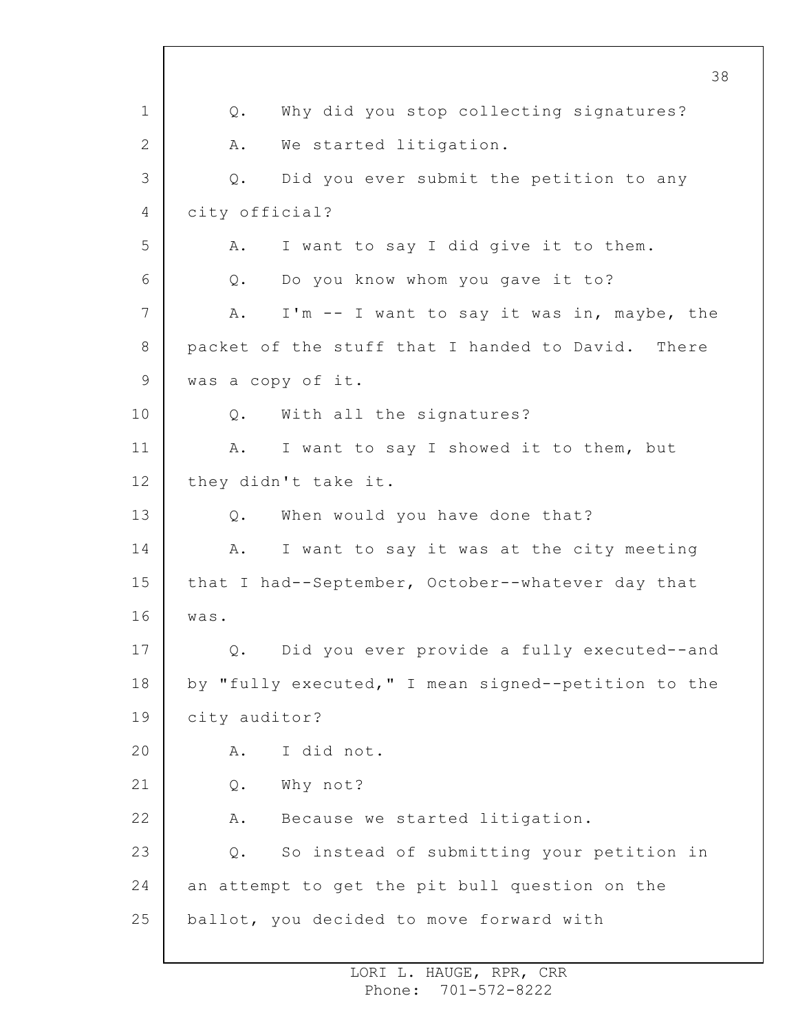1 2 3 4 5 6 7 8 9 10 11 12 13 14 15 16 17 18 19 20 21 22 23 24 25 38 Q. Why did you stop collecting signatures? A. We started litigation. Q. Did you ever submit the petition to any city official? A. I want to say I did give it to them. Q. Do you know whom you gave it to? A. I'm -- I want to say it was in, maybe, the packet of the stuff that I handed to David. There was a copy of it. Q. With all the signatures? A. I want to say I showed it to them, but they didn't take it. Q. When would you have done that? A. I want to say it was at the city meeting that I had--September, October--whatever day that was. Q. Did you ever provide a fully executed--and by "fully executed," I mean signed--petition to the city auditor? A. I did not. Q. Why not? A. Because we started litigation. Q. So instead of submitting your petition in an attempt to get the pit bull question on the ballot, you decided to move forward with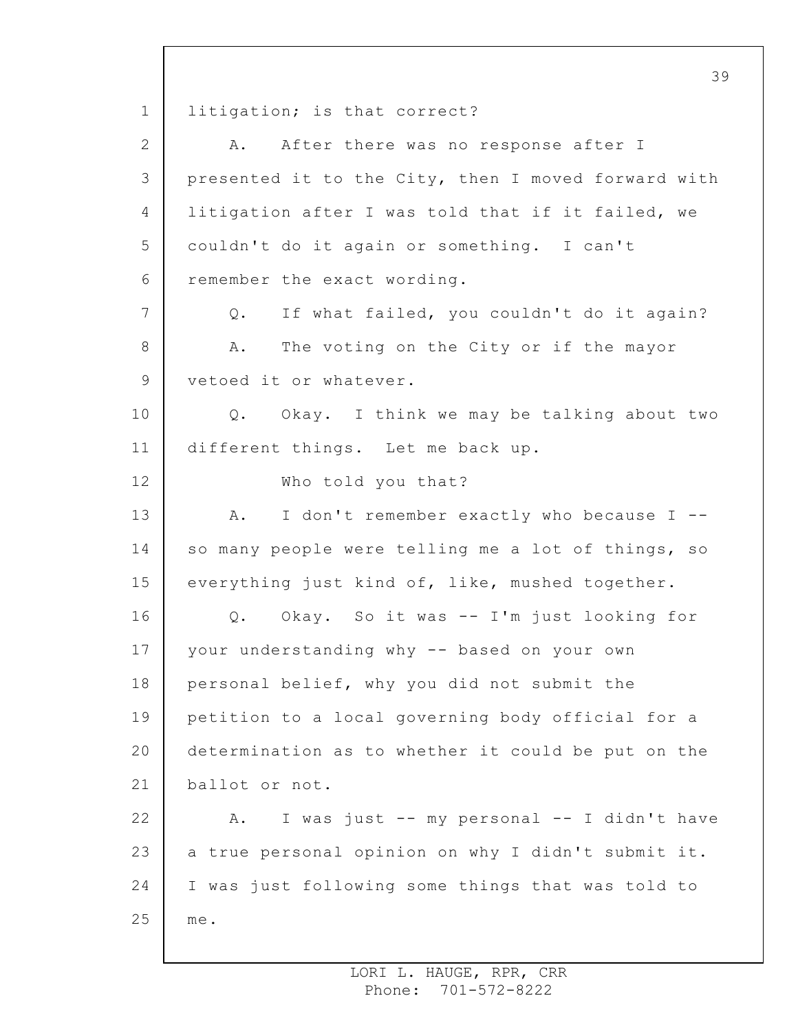1 2 3 4 5 6 7 8 9 10 11 12 13 14 15 16 17 18 19 20 21 22 23 24 25 litigation; is that correct? A. After there was no response after I presented it to the City, then I moved forward with litigation after I was told that if it failed, we couldn't do it again or something. I can't remember the exact wording. Q. If what failed, you couldn't do it again? A. The voting on the City or if the mayor vetoed it or whatever. Q. Okay. I think we may be talking about two different things. Let me back up. Who told you that? A. I don't remember exactly who because I -so many people were telling me a lot of things, so everything just kind of, like, mushed together. Q. Okay. So it was -- I'm just looking for your understanding why -- based on your own personal belief, why you did not submit the petition to a local governing body official for a determination as to whether it could be put on the ballot or not. A. I was just -- my personal -- I didn't have a true personal opinion on why I didn't submit it. I was just following some things that was told to me.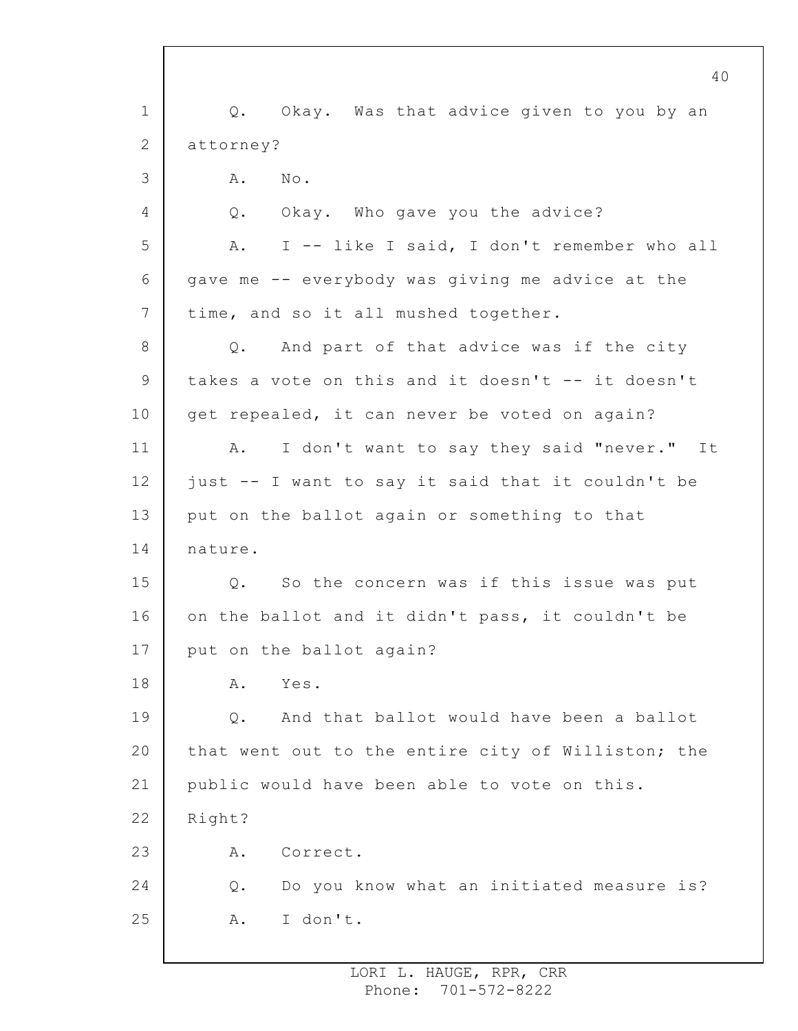1 2 3 4 5 6 7 8 9 10 11 12 13 14 15 16 17 18 19 20 21 22 23 24 25 40 Q. Okay. Was that advice given to you by an attorney? A. No. Q. Okay. Who gave you the advice? A. I -- like I said, I don't remember who all gave me -- everybody was giving me advice at the time, and so it all mushed together. Q. And part of that advice was if the city takes a vote on this and it doesn't -- it doesn't get repealed, it can never be voted on again? A. I don't want to say they said "never." It just -- I want to say it said that it couldn't be put on the ballot again or something to that nature. Q. So the concern was if this issue was put on the ballot and it didn't pass, it couldn't be put on the ballot again? A. Yes. Q. And that ballot would have been a ballot that went out to the entire city of Williston; the public would have been able to vote on this. Right? A. Correct. Q. Do you know what an initiated measure is? A. I don't.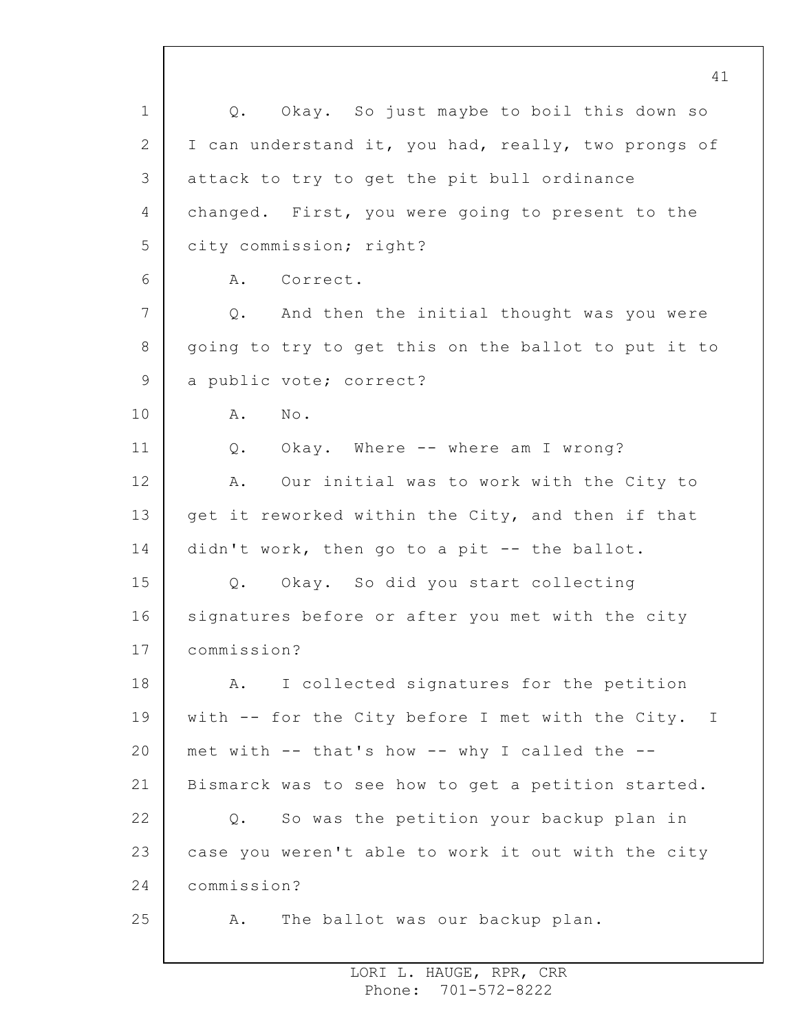1 2 3 4 5 6 7 8 9 10 11 12 13 14 15 16 17 18 19 20 21 22 23 24 25 Q. Okay. So just maybe to boil this down so I can understand it, you had, really, two prongs of attack to try to get the pit bull ordinance changed. First, you were going to present to the city commission; right? A. Correct. Q. And then the initial thought was you were going to try to get this on the ballot to put it to a public vote; correct? A. No. Q. Okay. Where -- where am I wrong? A. Our initial was to work with the City to get it reworked within the City, and then if that didn't work, then go to a pit -- the ballot. Q. Okay. So did you start collecting signatures before or after you met with the city commission? A. I collected signatures for the petition with -- for the City before I met with the City. I met with -- that's how -- why I called the -- Bismarck was to see how to get a petition started. Q. So was the petition your backup plan in case you weren't able to work it out with the city commission? A. The ballot was our backup plan.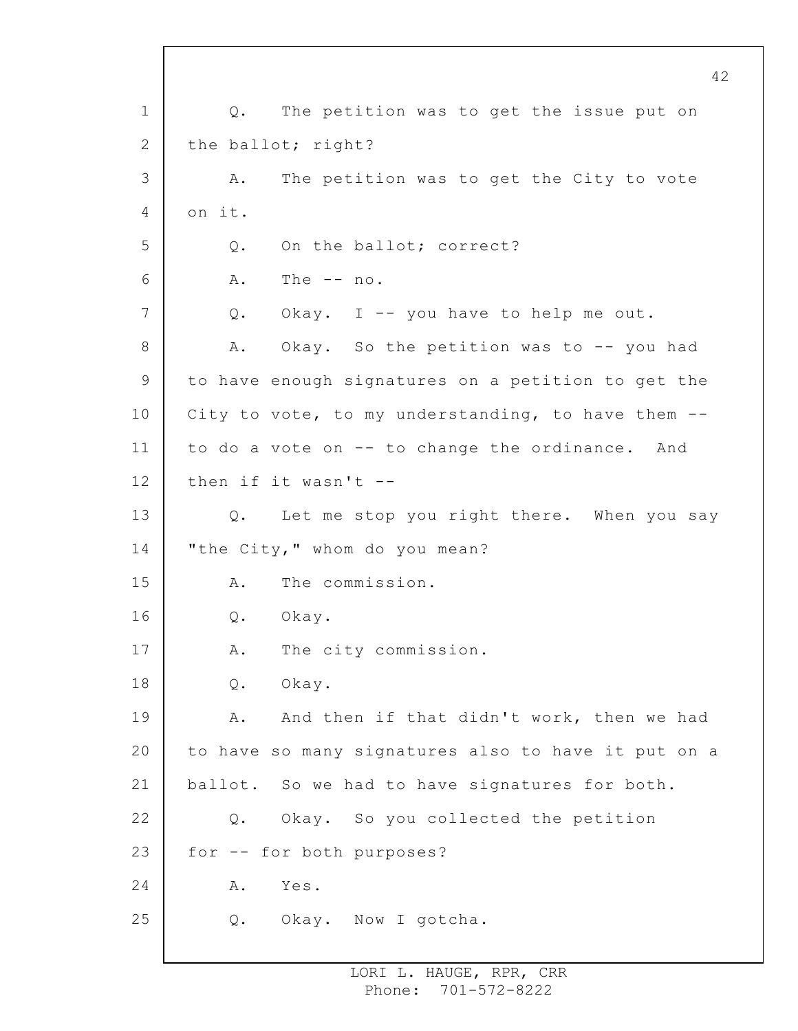1 2 3 4 5 6 7 8 9 10 11 12 13 14 15 16 17 18 19 20 21 22 23 24 25 42 Q. The petition was to get the issue put on the ballot; right? A. The petition was to get the City to vote on it. Q. On the ballot; correct? A. The -- no. Q. Okay. I -- you have to help me out. A. Okay. So the petition was to -- you had to have enough signatures on a petition to get the City to vote, to my understanding, to have them - to do a vote on -- to change the ordinance. And then if it wasn't -- Q. Let me stop you right there. When you say "the City," whom do you mean? A. The commission. Q. Okay. A. The city commission. Q. Okay. A. And then if that didn't work, then we had to have so many signatures also to have it put on a ballot. So we had to have signatures for both. Q. Okay. So you collected the petition for -- for both purposes? A. Yes. Q. Okay. Now I gotcha.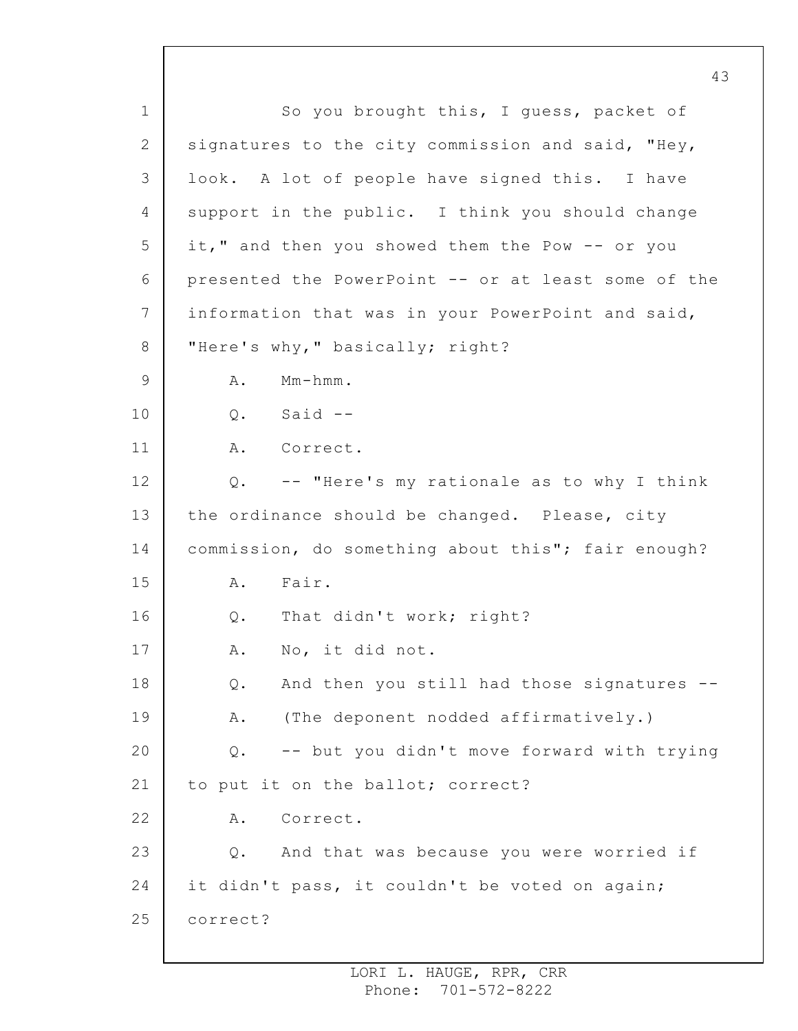1 2 3 4 5 6 7 8 9 10 11 12 13 14 15 16 17 18 19 20 21 22 23 24 25 So you brought this, I guess, packet of signatures to the city commission and said, "Hey, look. A lot of people have signed this. I have support in the public. I think you should change it," and then you showed them the Pow -- or you presented the PowerPoint -- or at least some of the information that was in your PowerPoint and said, "Here's why," basically; right? A. Mm-hmm. Q. Said -- A. Correct. Q. -- "Here's my rationale as to why I think the ordinance should be changed. Please, city commission, do something about this"; fair enough? A. Fair. Q. That didn't work; right? A. No, it did not. Q. And then you still had those signatures -- A. (The deponent nodded affirmatively.) Q. -- but you didn't move forward with trying to put it on the ballot; correct? A. Correct. Q. And that was because you were worried if it didn't pass, it couldn't be voted on again; correct?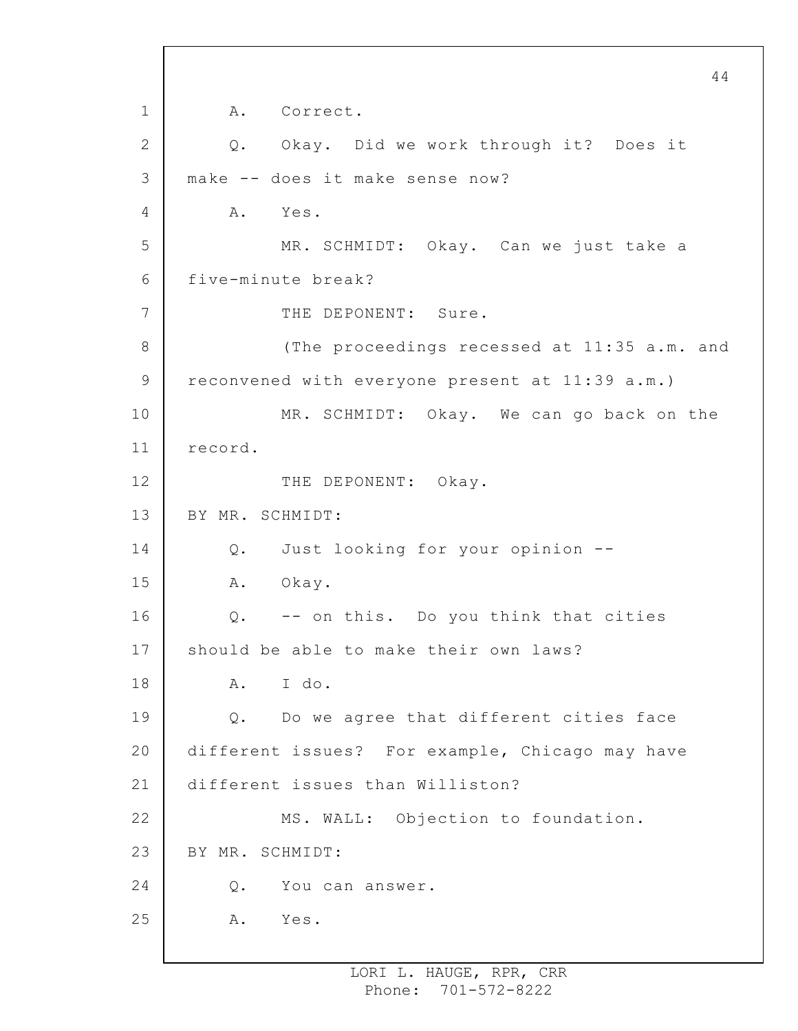```
1
 2
3
 4
5
 6
7
8
9
10
11
12
13
14
15
16
17
18
19
20
21
22
23
24
25
                                                       44
         A. Correct.
         Q. Okay. Did we work through it? Does it
     make -- does it make sense now?
         A. Yes.
              MR. SCHMIDT: Okay. Can we just take a
     five-minute break?
              THE DEPONENT: Sure.
              (The proceedings recessed at 11:35 a.m. and
     reconvened with everyone present at 11:39 a.m.)
              MR. SCHMIDT: Okay. We can go back on the
     record.
              THE DEPONENT: Okay.
     BY MR. SCHMIDT:
         Q. Just looking for your opinion --
         A. Okay.
         Q. -- on this. Do you think that cities
     should be able to make their own laws?
         A. I do.
         Q. Do we agree that different cities face
     different issues? For example, Chicago may have
     different issues than Williston?
              MS. WALL: Objection to foundation.
     BY MR. SCHMIDT:
         Q. You can answer.
         A. Yes.
```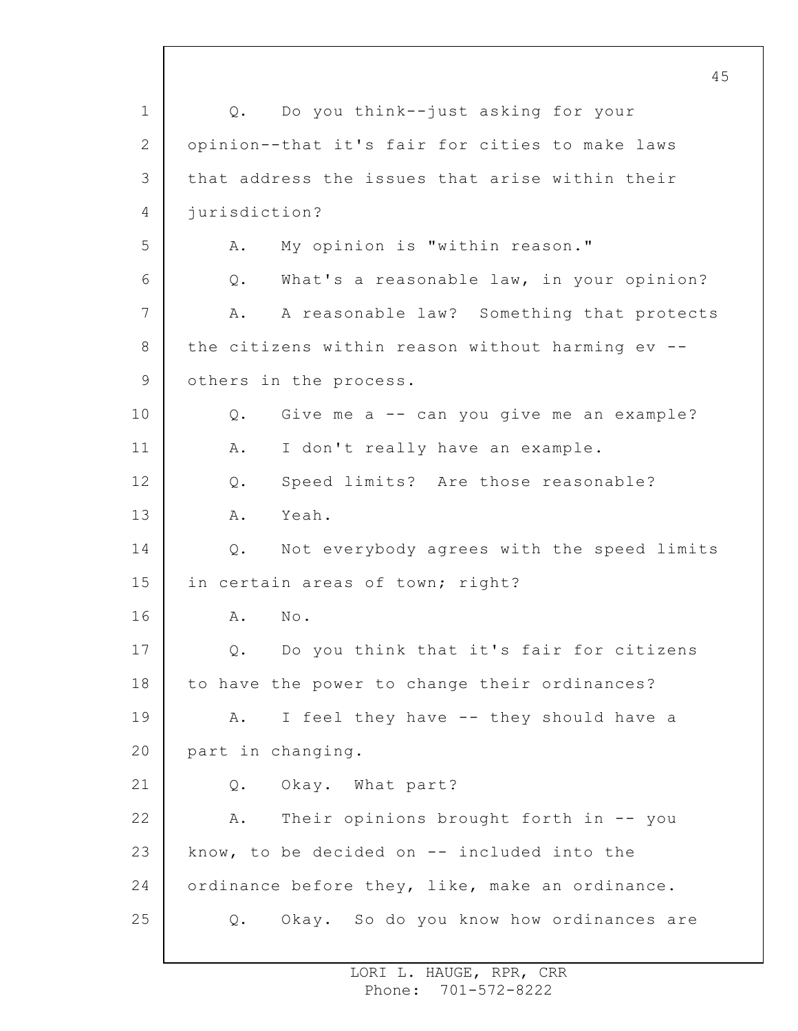1 2 3 4 5 6 7 8 9 10 11 12 13 14 15 16 17 18 19 20 21 22 23 24 25 Q. Do you think--just asking for your opinion--that it's fair for cities to make laws that address the issues that arise within their jurisdiction? A. My opinion is "within reason." Q. What's a reasonable law, in your opinion? A. A reasonable law? Something that protects the citizens within reason without harming ev - others in the process. Q. Give me a -- can you give me an example? A. I don't really have an example. Q. Speed limits? Are those reasonable? A. Yeah. Q. Not everybody agrees with the speed limits in certain areas of town; right? A. No. Q. Do you think that it's fair for citizens to have the power to change their ordinances? A. I feel they have -- they should have a part in changing. Q. Okay. What part? A. Their opinions brought forth in -- you know, to be decided on -- included into the ordinance before they, like, make an ordinance. Q. Okay. So do you know how ordinances are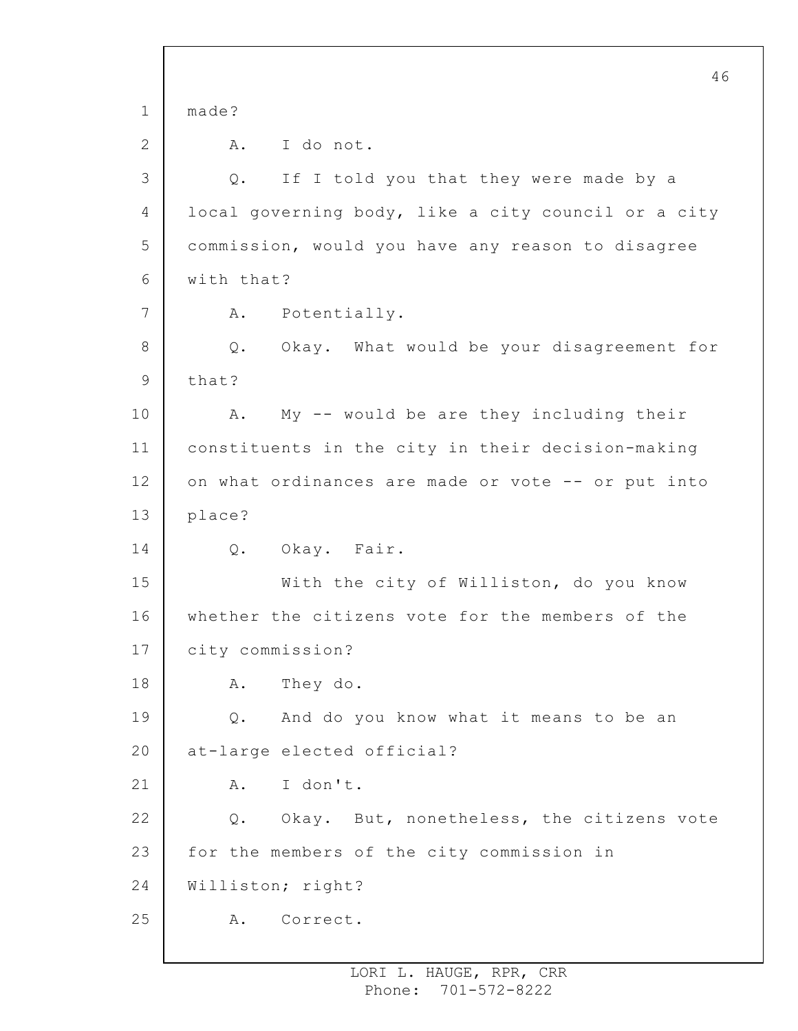1 2 3 4 5 6 7 8 9 10 11 12 13 14 15 16 17 18 19 20 21 22 23 24 25 46 made? A. I do not. Q. If I told you that they were made by a local governing body, like a city council or a city commission, would you have any reason to disagree with that? A. Potentially. Q. Okay. What would be your disagreement for that? A. My -- would be are they including their constituents in the city in their decision-making on what ordinances are made or vote -- or put into place? Q. Okay. Fair. With the city of Williston, do you know whether the citizens vote for the members of the city commission? A. They do. Q. And do you know what it means to be an at-large elected official? A. I don't. Q. Okay. But, nonetheless, the citizens vote for the members of the city commission in Williston; right? A. Correct.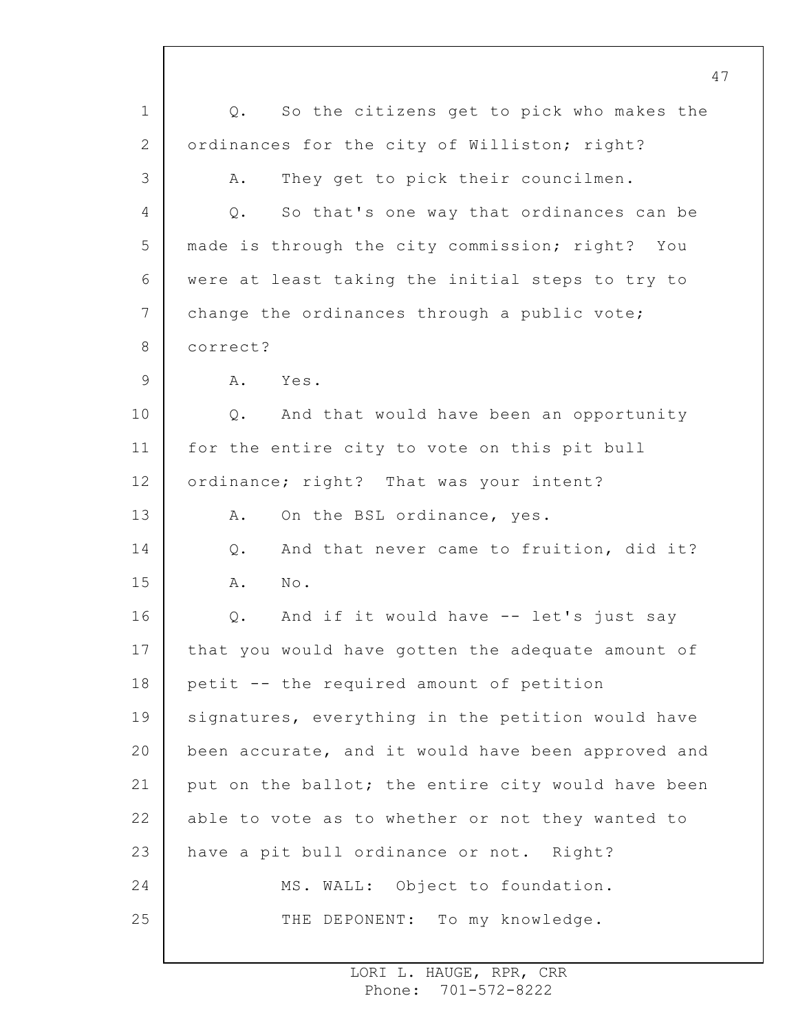1 2 3 4 5 6 7 8 9 10 11 12 13 14 15 16 17 18 19 20 21 22 23 24 25 Q. So the citizens get to pick who makes the ordinances for the city of Williston; right? A. They get to pick their councilmen. Q. So that's one way that ordinances can be made is through the city commission; right? You were at least taking the initial steps to try to change the ordinances through a public vote; correct? A. Yes. Q. And that would have been an opportunity for the entire city to vote on this pit bull ordinance; right? That was your intent? A. On the BSL ordinance, yes. Q. And that never came to fruition, did it? A. No. Q. And if it would have -- let's just say that you would have gotten the adequate amount of petit -- the required amount of petition signatures, everything in the petition would have been accurate, and it would have been approved and put on the ballot; the entire city would have been able to vote as to whether or not they wanted to have a pit bull ordinance or not. Right? MS. WALL: Object to foundation. THE DEPONENT: To my knowledge.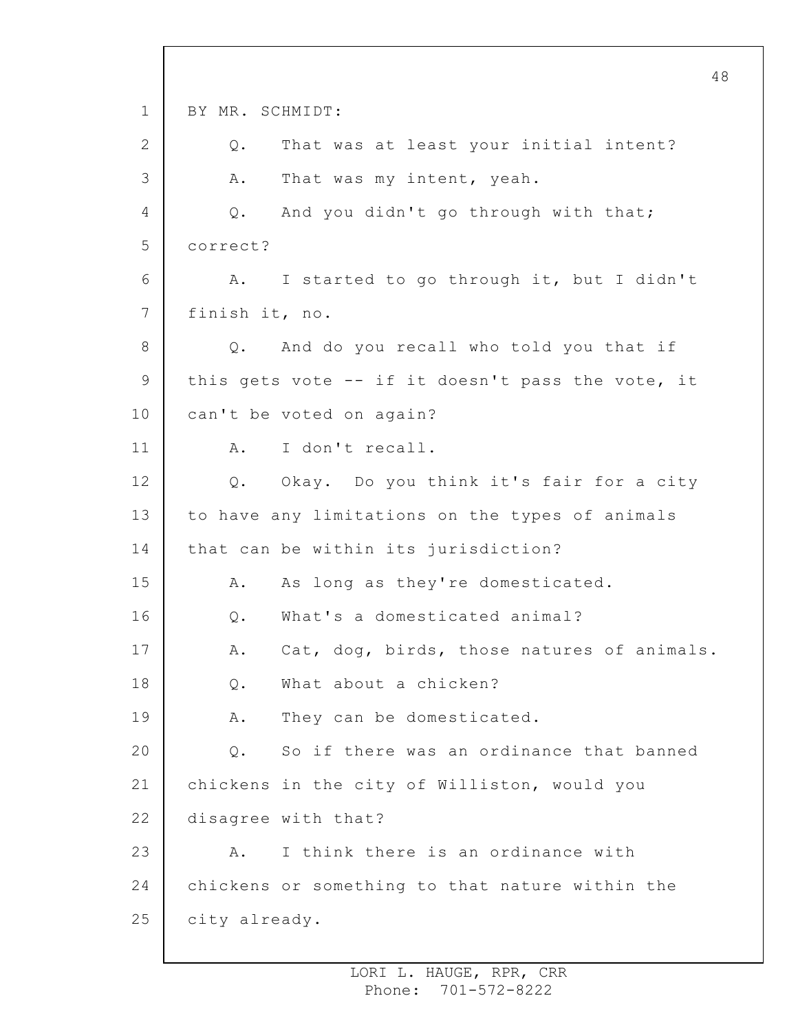1 2 3 4 5 6 7 8 9 10 11 12 13 14 15 16 17 18 19 20 21 22 23 24 25 48 BY MR. SCHMIDT: Q. That was at least your initial intent? A. That was my intent, yeah. Q. And you didn't go through with that; correct? A. I started to go through it, but I didn't finish it, no. Q. And do you recall who told you that if this gets vote -- if it doesn't pass the vote, it can't be voted on again? A. I don't recall. Q. Okay. Do you think it's fair for a city to have any limitations on the types of animals that can be within its jurisdiction? A. As long as they're domesticated. Q. What's a domesticated animal? A. Cat, dog, birds, those natures of animals. Q. What about a chicken? A. They can be domesticated. Q. So if there was an ordinance that banned chickens in the city of Williston, would you disagree with that? A. I think there is an ordinance with chickens or something to that nature within the city already.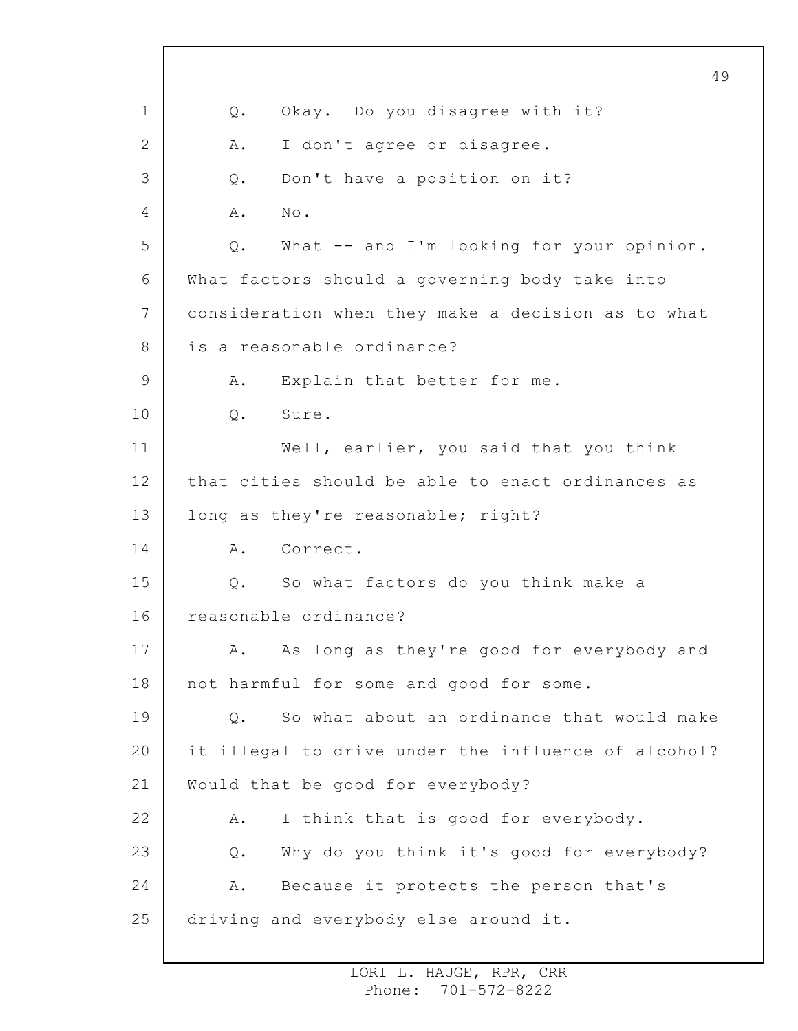1 2 3 4 5 6 7 8 9 10 11 12 13 14 15 16 17 18 19 20 21 22 23 24 25 49 Q. Okay. Do you disagree with it? A. I don't agree or disagree. Q. Don't have a position on it? A. No. Q. What -- and I'm looking for your opinion. What factors should a governing body take into consideration when they make a decision as to what is a reasonable ordinance? A. Explain that better for me. Q. Sure. Well, earlier, you said that you think that cities should be able to enact ordinances as long as they're reasonable; right? A. Correct. Q. So what factors do you think make a reasonable ordinance? A. As long as they're good for everybody and not harmful for some and good for some. Q. So what about an ordinance that would make it illegal to drive under the influence of alcohol? Would that be good for everybody? A. I think that is good for everybody. Q. Why do you think it's good for everybody? A. Because it protects the person that's driving and everybody else around it.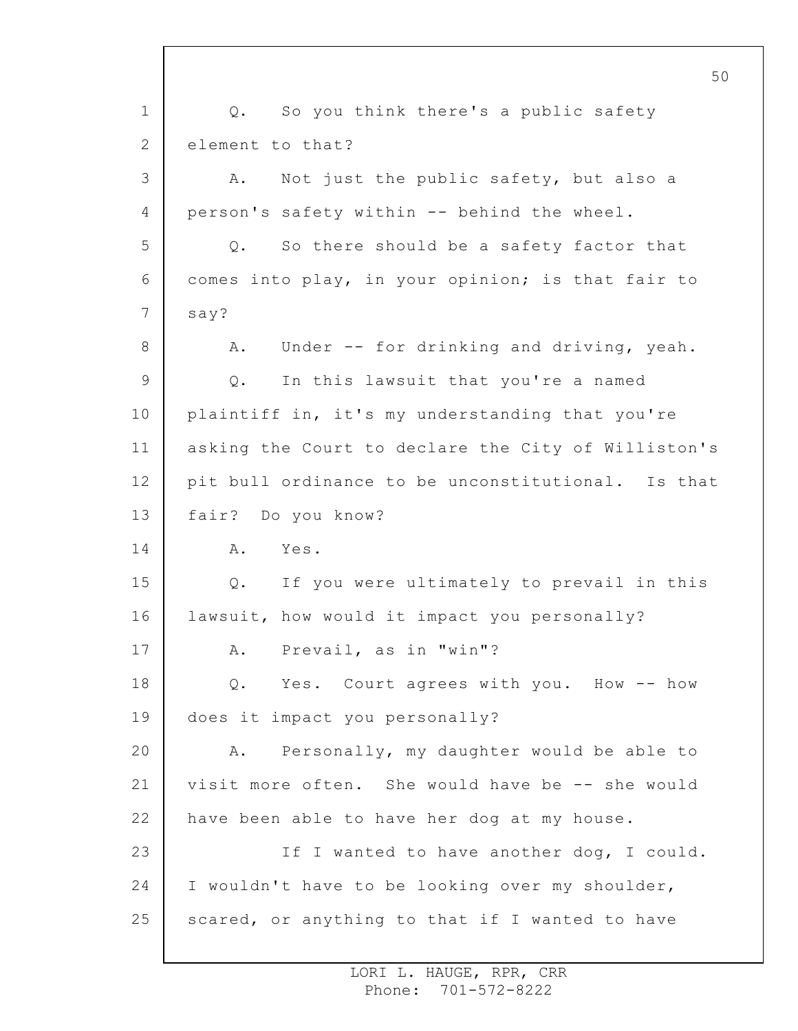1 2 3 4 5 6 7 8 9 10 11 12 13 14 15 16 17 18 19 20 21 22 23 24 25 50 Q. So you think there's a public safety element to that? A. Not just the public safety, but also a person's safety within -- behind the wheel. Q. So there should be a safety factor that comes into play, in your opinion; is that fair to say? A. Under -- for drinking and driving, yeah. Q. In this lawsuit that you're a named plaintiff in, it's my understanding that you're asking the Court to declare the City of Williston's pit bull ordinance to be unconstitutional. Is that fair? Do you know? A. Yes. Q. If you were ultimately to prevail in this lawsuit, how would it impact you personally? A. Prevail, as in "win"? Q. Yes. Court agrees with you. How -- how does it impact you personally? A. Personally, my daughter would be able to visit more often. She would have be -- she would have been able to have her dog at my house. If I wanted to have another dog, I could. I wouldn't have to be looking over my shoulder, scared, or anything to that if I wanted to have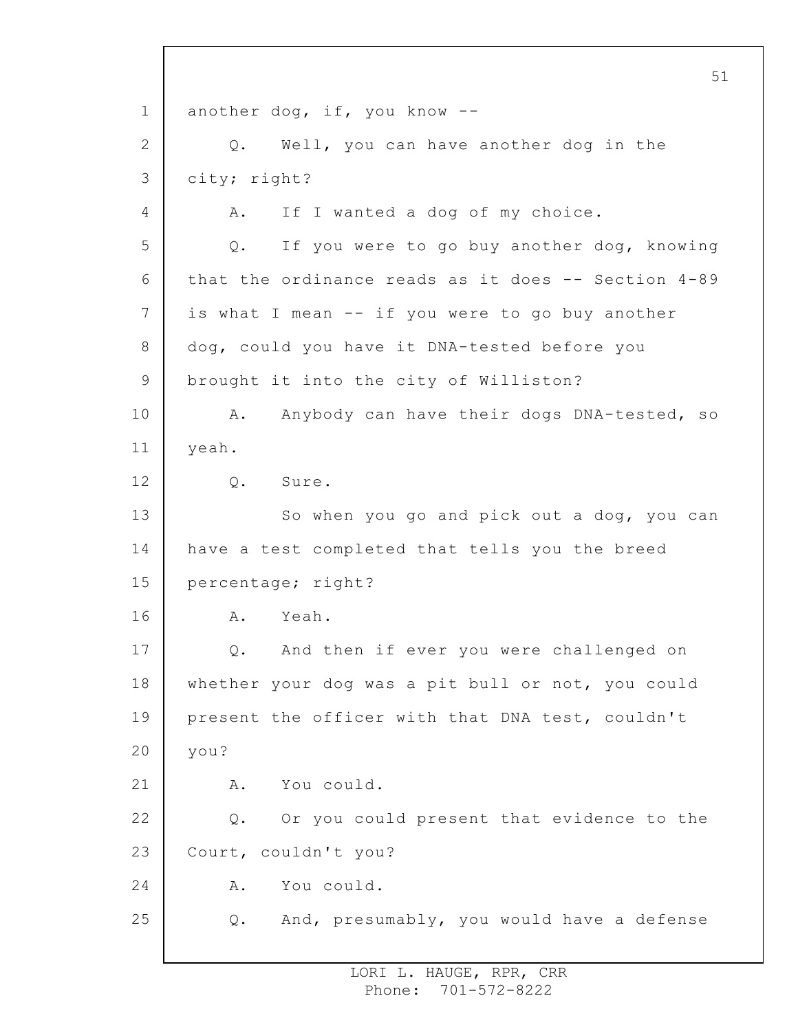1 2 3 4 5 6 7 8 9 10 11 12 13 14 15 16 17 18 19 20 21 22 23 24 25 another dog, if, you know -- Q. Well, you can have another dog in the city; right? A. If I wanted a dog of my choice. Q. If you were to go buy another dog, knowing that the ordinance reads as it does  $--$  Section  $4-89$ is what I mean -- if you were to go buy another dog, could you have it DNA-tested before you brought it into the city of Williston? A. Anybody can have their dogs DNA-tested, so yeah. Q. Sure. So when you go and pick out a dog, you can have a test completed that tells you the breed percentage; right? A. Yeah. Q. And then if ever you were challenged on whether your dog was a pit bull or not, you could present the officer with that DNA test, couldn't you? A. You could. Q. Or you could present that evidence to the Court, couldn't you? A. You could. Q. And, presumably, you would have a defense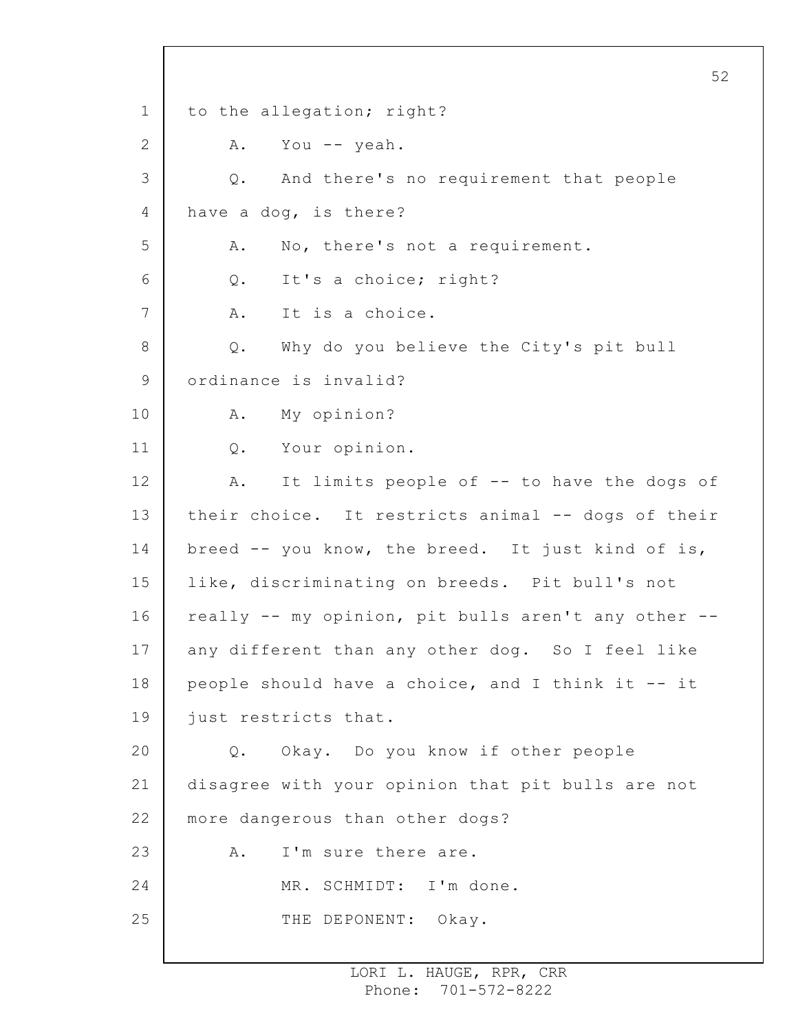1 2 3 4 5 6 7 8 9 10 11 12 13 14 15 16 17 18 19 20 21 22 23 24 25 52 to the allegation; right? A. You -- yeah. Q. And there's no requirement that people have a dog, is there? A. No, there's not a requirement. Q. It's a choice; right? A. It is a choice. Q. Why do you believe the City's pit bull ordinance is invalid? A. My opinion? Q. Your opinion. A. It limits people of -- to have the dogs of their choice. It restricts animal -- dogs of their breed -- you know, the breed. It just kind of is, like, discriminating on breeds. Pit bull's not really -- my opinion, pit bulls aren't any other - any different than any other dog. So I feel like people should have a choice, and I think it -- it just restricts that. Q. Okay. Do you know if other people disagree with your opinion that pit bulls are not more dangerous than other dogs? A. I'm sure there are. MR. SCHMIDT: I'm done. THE DEPONENT: Okay.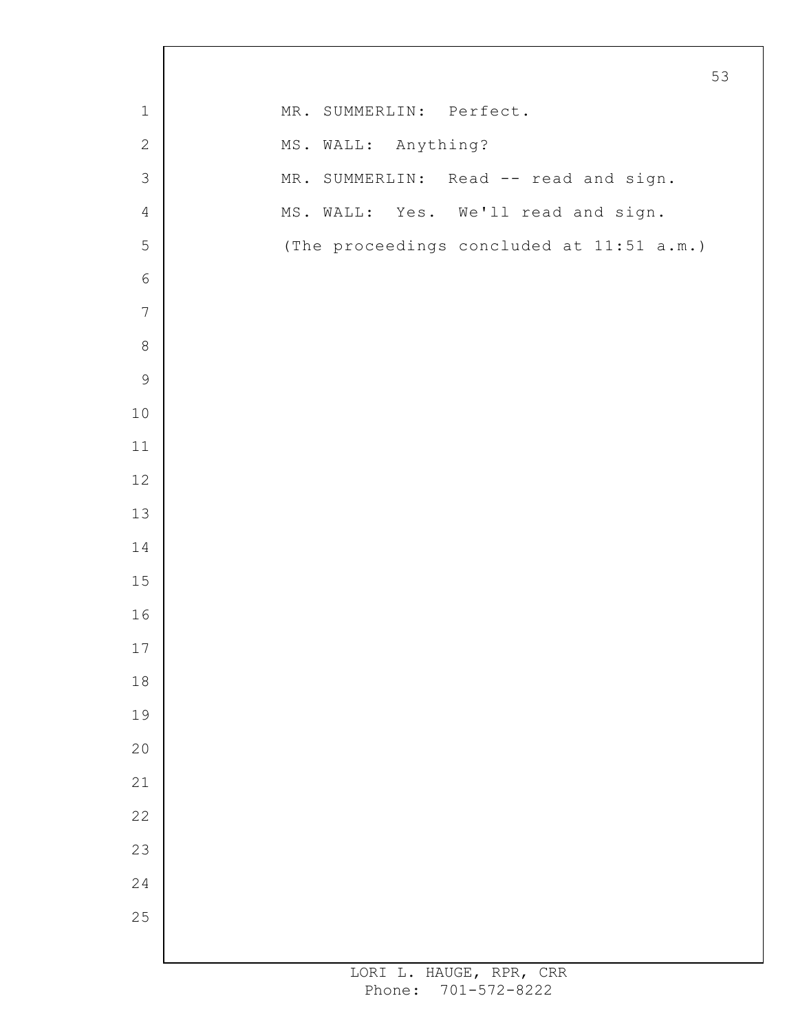|                  | 53                                        |
|------------------|-------------------------------------------|
| $\mathbf 1$      | MR. SUMMERLIN: Perfect.                   |
| $\sqrt{2}$       | MS. WALL: Anything?                       |
| $\mathfrak{Z}$   | MR. SUMMERLIN: Read -- read and sign.     |
| $\overline{4}$   | MS. WALL: Yes. We'll read and sign.       |
| 5                | (The proceedings concluded at 11:51 a.m.) |
| $\epsilon$       |                                           |
| $\boldsymbol{7}$ |                                           |
| $\,8\,$          |                                           |
| $\mathsf 9$      |                                           |
| $1\,0$           |                                           |
| 11               |                                           |
| 12               |                                           |
| 13               |                                           |
| $1\,4$           |                                           |
| 15               |                                           |
| 16               |                                           |
| $17\,$           |                                           |
| $1\,8$           |                                           |
| 19               |                                           |
| 20               |                                           |
| 21               |                                           |
| 22               |                                           |
| 23               |                                           |
| 24               |                                           |
| 25               |                                           |
|                  |                                           |

 $\Gamma$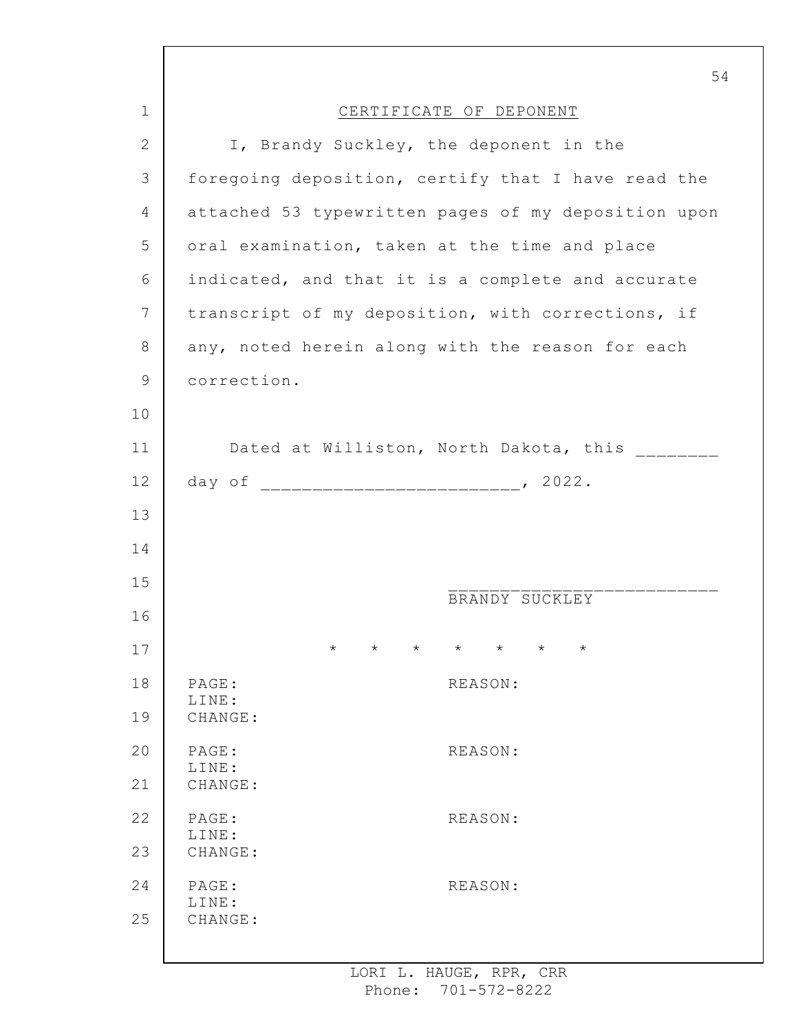|              | 54                                                                         |
|--------------|----------------------------------------------------------------------------|
| $\mathbf 1$  | CERTIFICATE OF DEPONENT                                                    |
| $\mathbf{2}$ | I, Brandy Suckley, the deponent in the                                     |
| 3            | foregoing deposition, certify that I have read the                         |
| 4            | attached 53 typewritten pages of my deposition upon                        |
| 5            | oral examination, taken at the time and place                              |
| 6            | indicated, and that it is a complete and accurate                          |
| 7            | transcript of my deposition, with corrections, if                          |
| 8            | any, noted herein along with the reason for each                           |
| 9            | correction.                                                                |
| 10           |                                                                            |
| 11           | Dated at Williston, North Dakota, this _______                             |
| 12           |                                                                            |
| 13           |                                                                            |
| 14           |                                                                            |
| 15           |                                                                            |
| 16           | BRANDY SUCKLEY                                                             |
| 17           | $\star$<br>$\star$<br>$\star$<br>$\star$<br>$\star$<br>$\star$<br>$^\star$ |
| 18           | PAGE:<br>REASON:                                                           |
| 19           | LINE:<br>CHANGE:                                                           |
| 20           | PAGE:<br>REASON:                                                           |
| 21           | LINE:<br>CHANGE:                                                           |
| 22           | PAGE:<br>REASON:                                                           |
| 23           | LINE:<br>CHANGE:                                                           |
| 24           | PAGE:<br>REASON:                                                           |
| 25           | LINE:<br>CHANGE:                                                           |
|              |                                                                            |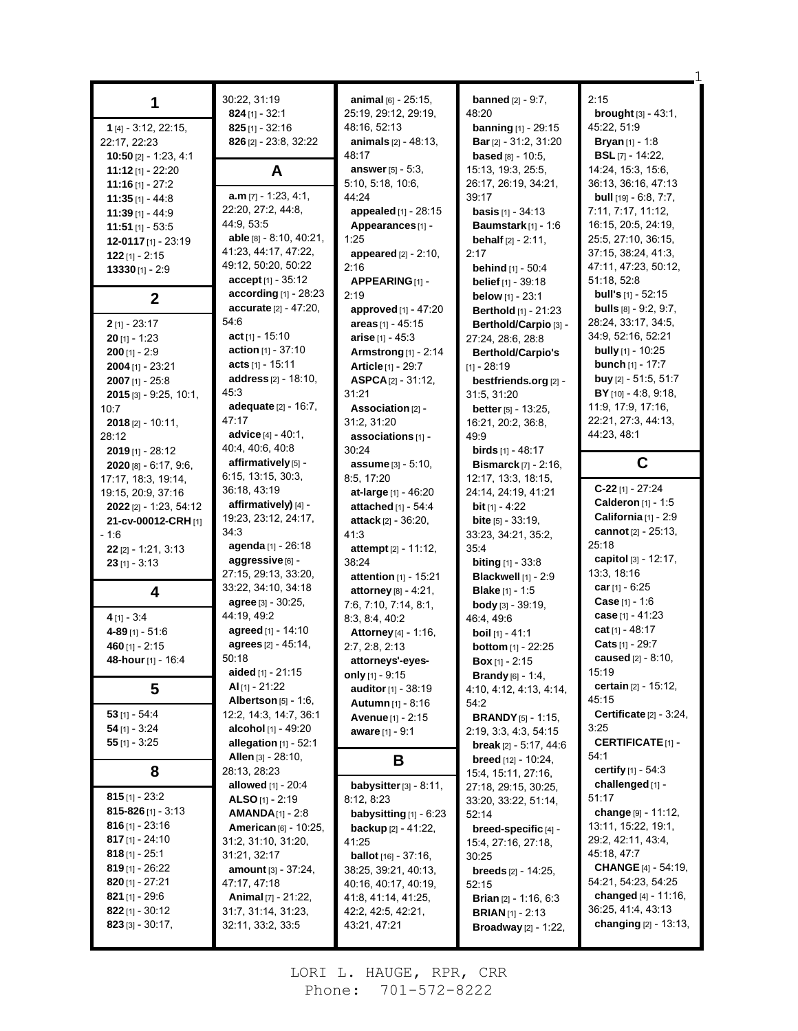| 1                                               | 30:22, 31:19                     | animal [6] - 25:15,                         | <b>banned</b> $[2] - 9:7$ ,                                  | 2:15                                |
|-------------------------------------------------|----------------------------------|---------------------------------------------|--------------------------------------------------------------|-------------------------------------|
|                                                 | $824$ [1] - 32:1                 | 25:19, 29:12, 29:19,                        | 48:20                                                        | <b>brought</b> $[3] - 43:1$ ,       |
| 1 [4] - 3:12, 22:15,                            | $825$ [1] - 32:16                | 48:16, 52:13                                | <b>banning</b> $[1]$ - 29:15                                 | 45:22, 51:9                         |
| 22:17, 22:23                                    | 826 [2] - 23.8, 32:22            | <b>animals</b> $[2] - 48:13$ ,              | <b>Bar</b> [2] - 31:2, 31:20                                 | <b>Bryan</b> $[1]$ - 1:8            |
| <b>10:50</b> [2] - 1:23, 4:1                    |                                  | 48:17                                       | <b>based</b> $[8] - 10:5$ ,                                  | <b>BSL</b> $[7]$ - 14:22,           |
| $11:12$ [1] - 22:20                             | A                                | <b>answer</b> $[5] - 5:3$ ,                 | 15:13, 19:3, 25:5,                                           | 14:24, 15:3, 15:6,                  |
| 11:16 $[1] - 27:2$                              |                                  | 5:10, 5:18, 10:6,                           | 26:17, 26:19, 34:21,                                         | 36:13, 36:16, 47:13                 |
| $11:35$ [1] - 44:8                              | $a.m$ [7] - 1:23, 4:1,           | 44:24                                       | 39:17                                                        | <b>bull</b> [19] - 6:8, 7:7,        |
| $11:39$ [1] - 44:9                              | 22:20, 27:2, 44:8,<br>44:9, 53:5 | appealed [1] - 28:15                        | <b>basis</b> $[1] - 34:13$                                   | 7:11, 7:17, 11:12,                  |
| $11:51$ [1] - 53:5                              | able [8] - 8:10, 40:21,          | Appearances [1] -                           | Baumstark [1] - 1:6                                          | 16:15, 20:5, 24:19,                 |
| 12-0117 [1] - 23:19                             | 41:23, 44:17, 47:22,             | 1:25                                        | <b>behalf</b> $[2] - 2:11$ ,                                 | 25:5, 27:10, 36:15,                 |
| $122$ [1] - 2:15                                | 49:12, 50:20, 50:22              | appeared $[2] - 2:10$ ,                     | 2:17                                                         | 37:15, 38:24, 41:3,                 |
| $13330$ [1] - 2:9                               | $accept$ [1] - 35:12             | 2:16                                        | <b>behind</b> [1] - 50:4                                     | 47:11, 47:23, 50:12,<br>51:18, 52:8 |
|                                                 | according $[1]$ - 28:23          | APPEARING[1]-                               | <b>belief</b> $[1] - 39:18$                                  | <b>bull's</b> [1] - 52:15           |
| $\boldsymbol{2}$                                | accurate [2] - 47:20,            | 2:19                                        | <b>below</b> $[1] - 23:1$                                    | <b>bulls</b> $[8] - 9.2, 9.7$ ,     |
|                                                 | 54.6                             | approved [1] - 47:20<br>areas $[1]$ - 45:15 | <b>Berthold</b> [1] - 21:23                                  | 28:24, 33:17, 34:5,                 |
| $2$ [1] - 23:17<br>$20$ [1] - 1:23              | $act$ [1] - 15:10                | arise $[1] - 45:3$                          | Berthold/Carpio [3] -<br>27:24, 28:6, 28:8                   | 34:9, 52:16, 52:21                  |
| $200$ [1] - 2:9                                 | <b>action</b> $[1] - 37:10$      |                                             |                                                              | <b>bully</b> $[1]$ - 10:25          |
|                                                 | $acts$ [1] - 15:11               | <b>Armstrong</b> [1] - 2:14                 | <b>Berthold/Carpio's</b>                                     | <b>bunch</b> $[1] - 17:7$           |
| $2004$ [1] - 23:21                              | address [2] - 18:10,             | Article [1] - 29:7                          | $[1] - 28:19$                                                | buy [2] - 51:5, 51:7                |
| $2007$ [1] - $25:8$<br>$2015$ [3] - 9:25, 10:1, | 45:3                             | ASPCA[2] - 31:12,<br>31:21                  | bestfriends.org [2] -<br>31:5, 31:20                         | $BY$ [10] - 4:8, 9:18,              |
| 10:7                                            | adequate $[2] - 16:7$ ,          | Association [2] -                           | <b>better</b> $[5] - 13:25$ ,                                | 11:9, 17:9, 17:16,                  |
| $2018$ [2] - 10:11,                             | 47:17                            | 31:2, 31:20                                 | 16:21, 20:2, 36:8,                                           | 22:21, 27:3, 44:13,                 |
| 28:12                                           | advice $[4] - 40:1$ ,            | associations [1] -                          | 49:9                                                         | 44:23, 48:1                         |
| $2019$ [1] - 28:12                              | 40:4, 40:6, 40:8                 | 30:24                                       | <b>birds</b> $[1] - 48:17$                                   |                                     |
| $2020$ [8] - 6:17, 9:6,                         | affirmatively [5] -              | <b>assume</b> [3] - 5:10,                   | <b>Bismarck</b> $[7] - 2:16$ ,                               | C                                   |
| 17:17, 18:3, 19:14,                             | 6:15, 13:15, 30:3,               | 8:5, 17:20                                  | 12:17, 13:3, 18:15,                                          |                                     |
| 19:15, 20:9, 37:16                              | 36:18, 43:19                     | at-large [1] - 46:20                        | 24:14, 24:19, 41:21                                          | $C-22$ [1] - 27:24                  |
| 2022 [2] - 1:23, 54:12                          | affirmatively) [4] -             | attached [1] - 54:4                         | <b>bit</b> $[1] - 4:22$                                      | <b>Calderon</b> $[1] - 1.5$         |
| 21-cv-00012-CRH [1]                             | 19:23, 23:12, 24:17,             | <b>attack</b> [2] - 36:20,                  | <b>bite</b> $[5] - 33:19$ ,                                  | California [1] - 2:9                |
| $-1.6$                                          | 34:3                             | 41:3                                        | 33:23, 34:21, 35:2,                                          | cannot [2] - 25:13,                 |
| $22$ [2] - 1:21, 3:13                           | agenda [1] - 26:18               | <b>attempt</b> $[2] - 11:12$                | 35:4                                                         | 25:18                               |
| $23$ [1] - 3:13                                 | aggressive [6] -                 | 38:24                                       | <b>biting</b> $[1] - 33.8$                                   | capitol $[3] - 12:17$ ,             |
|                                                 | 27:15, 29:13, 33:20,             | attention [1] - 15:21                       | <b>Blackwell</b> [1] - 2:9                                   | 13:3, 18:16                         |
| 4                                               | 33:22, 34:10, 34:18              | attorney [8] - 4:21,                        | <b>Blake</b> [1] - 1:5                                       | car $[1] - 6.25$                    |
|                                                 | <b>agree</b> [3] - 30:25,        | 7.6, 7.10, 7.14, 8.1,                       | <b>body</b> $[3] - 39:19$ .                                  | Case [1] - 1:6                      |
| $4$ [1] - 3:4                                   | 44:19, 49:2                      | 8:3, 8:4, 40:2                              | 46:4, 49:6                                                   | <b>case</b> [1] - 41:23             |
| $4 - 89$ [1] - 51:6                             | agreed [1] - 14:10               | <b>Attorney</b> [4] - 1:16,                 | <b>boil</b> $[1] - 41:1$                                     | cat [1] - 48:17<br>Cats [1] - 29:7  |
| 460 $[1] - 2:15$                                | agrees [2] - 45:14,              | 2:7, 2:8, 2:13                              | <b>bottom</b> [1] - 22:25                                    |                                     |
| 48-hour [1] - 16:4                              | 50:18<br>aided $[1] - 21:15$     | attorneys'-eyes-                            | $Box [1] - 2:15$                                             | caused [2] - 8:10,<br>15:19         |
|                                                 | Al $[1]$ - 21:22                 | only [1] - 9:15                             | <b>Brandy</b> $[6] - 1:4$ ,                                  | <b>certain</b> [2] - 15:12,         |
| 5                                               | Albertson $[5] - 1.6$ ,          | auditor [1] - 38:19                         | 4:10, 4:12, 4:13, 4:14,                                      | 45:15                               |
| $53$ [1] - 54:4                                 | 12:2, 14:3, 14:7, 36:1           | <b>Autumn</b> [1] - 8:16                    | 54:2                                                         | Certificate [2] - 3:24,             |
| $54$ [1] - 3:24                                 | alcohol [1] - 49:20              | Avenue [1] - 2:15                           | <b>BRANDY</b> [5] - 1:15,                                    | 3:25                                |
| 55 [1] - $3:25$                                 | allegation $[1]$ - 52:1          | <b>aware</b> [1] - 9:1                      | 2:19, 3:3, 4:3, 54:15                                        | <b>CERTIFICATE</b> [1]-             |
|                                                 | Allen $[3]$ - 28:10,             |                                             | <b>break</b> [2] $-5:17, 44:6$<br><b>breed</b> [12] - 10:24, | 54:1                                |
| 8                                               | 28:13, 28:23                     | В                                           | 15:4, 15:11, 27:16,                                          | certify [1] - 54:3                  |
|                                                 | <b>allowed</b> $[1] - 20:4$      | babysitter $[3] - 8.11$ ,                   | 27:18, 29:15, 30:25,                                         | challenged [1] -                    |
| 815 $[1] - 23:2$                                | ALSO $[1] - 2:19$                | 8:12, 8:23                                  | 33:20, 33:22, 51:14,                                         | 51:17                               |
| 815-826 [1] - 3:13                              | <b>AMANDA</b> $[1]$ - 2:8        | babysitting $[1]$ - $6:23$                  | 52:14                                                        | change [9] - 11:12,                 |
| $816$ [1] - 23:16                               | <b>American</b> $[6] - 10:25$    | <b>backup</b> $[2] - 41:22$                 | breed-specific [4] -                                         | 13:11, 15:22, 19:1,                 |
| $817$ [1] - 24:10                               | 31:2, 31:10, 31:20,              | 41:25                                       | 15:4, 27:16, 27:18,                                          | 29.2, 42.11, 43.4,                  |
| $818$ [1] - 25:1                                | 31:21, 32:17                     | <b>ballot</b> $[16] - 37:16$ ,              | 30:25                                                        | 45:18, 47:7                         |
| $819$ [1] - 26:22                               | <b>amount</b> [3] - 37:24,       | 38:25, 39:21, 40:13,                        | <b>breeds</b> $[2] - 14:25$ ,                                | <b>CHANGE</b> [4] - 54:19,          |
| 820 $[1] - 27:21$                               | 47:17, 47:18                     | 40:16, 40:17, 40:19,                        | 52:15                                                        | 54:21, 54:23, 54:25                 |
| 821 [1] - 29:6                                  | Animal [7] - 21:22,              | 41.8, 41.14, 41.25,                         | <b>Brian</b> $[2] - 1:16, 6:3$                               | changed [4] - 11:16,                |
| $822$ [1] - 30:12                               | 31:7, 31:14, 31:23,              | 42:2, 42:5, 42:21,                          | <b>BRIAN</b> $[1]$ - 2:13                                    | 36:25, 41:4, 43:13                  |
| $823$ [3] - 30:17,                              | 32:11, 33:2, 33:5                | 43.21, 47:21                                | <b>Broadway</b> [2] - 1:22,                                  | changing $[2] - 13:13$ ,            |

1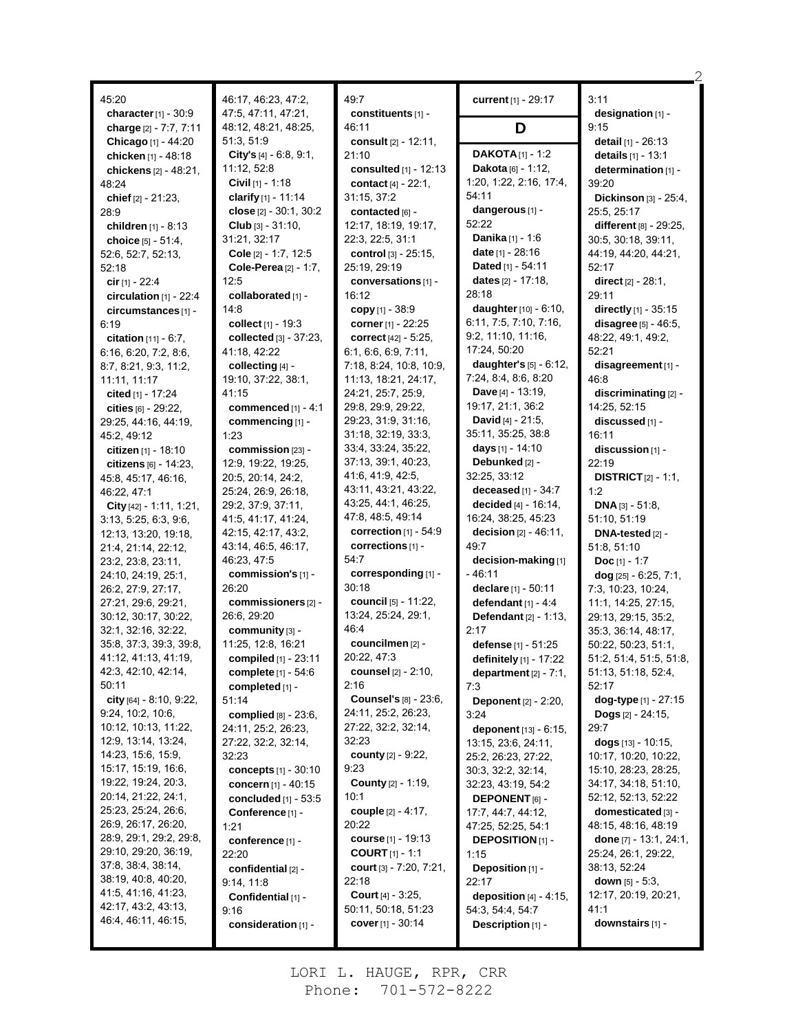| 45:20<br>character $[1]$ - 30:9                 | 46:17, 46:23, 47:2,<br>47:5, 47:11, 47:21, | 49:7<br>constituents [1] -               | current [1] - 29:17                           | 3:11<br>designation [1] -                              |
|-------------------------------------------------|--------------------------------------------|------------------------------------------|-----------------------------------------------|--------------------------------------------------------|
| charge [2] - 7:7, 7:11                          | 48:12, 48:21, 48:25,                       | 46:11                                    | D                                             | 9:15                                                   |
| Chicago [1] - 44:20<br>chicken [1] - 48:18      | 51:3, 51:9<br>City's $[4] - 6.8, 9.1,$     | consult [2] - 12:11,<br>21:10            | <b>DAKOTA</b> $[1]$ - 1:2                     | detail [1] - 26:13<br>details [1] - 13:1               |
| chickens [2] - 48:21,                           | 11:12, 52:8                                | consulted $[1]$ - 12:13                  | Dakota [6] - 1:12,                            | determination [1] -                                    |
| 48:24                                           | <b>Civil</b> $[1]$ - 1:18                  | contact [4] - 22:1,                      | 1:20, 1:22, 2:16, 17:4,                       | 39:20                                                  |
| chief $[2] - 21:23$ ,                           | clarify $[1] - 11.14$                      | 31:15, 37:2                              | 54:11                                         | Dickinson [3] - 25:4,                                  |
| 28:9                                            | close $[2] - 30.1, 30.2$                   | contacted [6] -                          | dangerous [1] -                               | 25:5, 25:17                                            |
| children [1] - 8:13                             | <b>Club</b> $[3] - 31:10$ ,                | 12:17, 18:19, 19:17,                     | 52:22                                         | different [8] - 29:25,                                 |
| choice $[5] - 51.4$ ,                           | 31:21, 32:17                               | 22:3, 22:5, 31:1                         | Danika [1] - 1:6                              | 30:5, 30:18, 39:11,                                    |
| 52:6, 52:7, 52:13,                              | Cole [2] - 1:7, 12:5                       | control [3] - 25:15,                     | <b>date</b> $[1]$ - 28:16                     | 44:19, 44:20, 44:21,                                   |
| 52:18                                           | <b>Cole-Perea</b> $[2] - 1:7$ ,            | 25:19, 29:19                             | Dated [1] - 54:11                             | 52:17                                                  |
| cir $[1] - 22:4$                                | 12:5                                       | conversations [1] -                      | dates $[2] - 17:18$ ,                         | <b>direct</b> $[2] - 28:1$ ,                           |
| circulation $[1]$ - 22:4                        | collaborated [1] -                         | 16:12                                    | 28:18<br>daughter [10] - 6:10,                | 29:11                                                  |
| circumstances [1] -<br>6:19                     | 14:8<br>collect [1] - 19:3                 | copy $[1] - 38.9$<br>corner [1] - 22:25  | 6:11, 7:5, 7:10, 7:16,                        | directly [1] - 35:15<br><b>disagree</b> $[5] - 46.5$ , |
| <b>citation</b> $[11] - 6:7$ ,                  | collected [3] - 37:23,                     | correct [42] - 5:25.                     | 9.2, 11.10, 11.16,                            | 48:22, 49:1, 49:2,                                     |
| 6:16, 6:20, 7:2, 8:6,                           | 41:18, 42:22                               | 6:1, 6:6, 6:9, 7:11,                     | 17:24, 50:20                                  | 52:21                                                  |
| 8:7, 8:21, 9:3, 11:2,                           | collecting [4] -                           | 7:18, 8:24, 10:8, 10:9,                  | daughter's $[5] - 6:12$ ,                     | disagreement [1] -                                     |
| 11:11, 11:17                                    | 19:10, 37:22, 38:1,                        | 11:13, 18:21, 24:17,                     | 7:24, 8:4, 8:6, 8:20                          | 46.8                                                   |
| cited [1] - 17:24                               | 41:15                                      | 24:21, 25:7, 25:9,                       | Dave [4] - 13:19,                             | discriminating [2] -                                   |
| cities $[6] - 29.22$ ,                          | commenced $[1] - 4:1$                      | 29:8, 29:9, 29:22,                       | 19:17, 21:1, 36:2                             | 14:25, 52:15                                           |
| 29:25, 44:16, 44:19,                            | commencing [1] -                           | 29:23, 31:9, 31:16,                      | <b>David</b> [4] - 21:5,                      | discussed [1] -                                        |
| 45:2, 49:12                                     | 1:23                                       | 31:18, 32:19, 33:3,                      | 35:11, 35:25, 38:8                            | 16:11                                                  |
| citizen $[1]$ - 18:10                           | commission [23] -                          | 33.4, 33.24, 35:22,                      | days [1] - 14:10                              | discussion [1] -                                       |
| <b>citizens</b> $[6] - 14:23$ ,                 | 12:9, 19:22, 19:25,                        | 37:13, 39:1, 40:23,<br>41:6, 41:9, 42:5, | Debunked [2] -                                | 22:19                                                  |
| 45:8, 45:17, 46:16,                             | 20:5, 20:14, 24:2,<br>25:24, 26:9, 26:18,  | 43.11, 43.21, 43.22,                     | 32:25, 33:12<br>deceased [1] - 34:7           | <b>DISTRICT</b> $[2] - 1:1$ ,<br>1:2                   |
| 46:22, 47:1<br>City $[42] - 1.11, 1.21,$        | 29:2, 37:9, 37:11,                         | 43:25, 44:1, 46:25,                      | decided $[4] - 16:14$ ,                       | <b>DNA</b> $[3] - 51:8$                                |
| 3:13, 5:25, 6:3, 9:6,                           | 41:5, 41:17, 41:24,                        | 47:8, 48:5, 49:14                        | 16:24, 38:25, 45:23                           | 51:10, 51:19                                           |
| 12:13, 13:20, 19:18,                            | 42:15, 42:17, 43:2,                        | correction $[1] - 54.9$                  | <b>decision</b> $[2] - 46:11$ ,               | DNA-tested [2] -                                       |
| 21:4, 21:14, 22:12,                             | 43:14, 46:5, 46:17,                        | corrections [1] -                        | 49:7                                          | 51:8, 51:10                                            |
| 23.2, 23.8, 23.11,                              | 46:23, 47:5                                | 54:7                                     | decision-making [1]                           | <b>Doc</b> [1] - 1:7                                   |
| 24:10, 24:19, 25:1,                             | commission's $[1]$ -                       | corresponding [1] -                      | - 46:11                                       | $dog$ [25] - 6:25, 7:1,                                |
| 26:2, 27:9, 27:17,                              | 26:20                                      | 30:18                                    | declare [1] - 50:11                           | 7:3, 10:23, 10:24,                                     |
| 27:21, 29:6, 29:21,                             | commissioners <sup>[2]</sup> -             | council [5] - 11:22,                     | defendant $[1] - 4.4$                         | 11:1, 14:25, 27:15,                                    |
| 30:12, 30:17, 30:22,                            | 26:6, 29:20                                | 13:24, 25:24, 29:1,                      | <b>Defendant</b> $[2] - 1:13$ ,               | 29:13, 29:15, 35:2,                                    |
| 32:1, 32:16, 32:22,                             | community $[3]$ -                          | 46:4<br>councilmen [2] -                 | 2:17                                          | 35:3, 36:14, 48:17,                                    |
| 35:8, 37:3, 39:3, 39:8,<br>41:12, 41:13, 41:19, | 11:25, 12:8, 16:21<br>compiled [1] - 23:11 | 20:22, 47:3                              | defense [1] - 51:25<br>definitely [1] - 17:22 | 50:22, 50:23, 51:1,<br>51:2, 51:4, 51:5, 51:8,         |
| 42:3, 42:10, 42:14,                             | complete [1] - 54:6                        | <b>counsel</b> $[2] - 2:10$ ,            | department $[2] - 7:1$ ,                      | 51:13, 51:18, 52:4,                                    |
| 50:11                                           | completed [1] -                            | 2:16                                     | 7:3                                           | 52:17                                                  |
| city $[64] - 8:10, 9:22$ ,                      | 51:14                                      | <b>Counsel's [8] - 23:6,</b>             | Deponent [2] - 2:20,                          | dog-type [1] - 27:15                                   |
| 9.24, 10.2, 10.6,                               | complied $[8] - 23.6$ ,                    | 24:11, 25:2, 26:23,                      | 3:24                                          | <b>Dogs</b> $[2] - 24:15$ ,                            |
| 10:12, 10:13, 11:22,                            | 24:11, 25:2, 26:23,                        | 27:22, 32:2, 32:14,                      | deponent [13] - 6:15,                         | 29:7                                                   |
| 12:9, 13:14, 13:24,                             | 27:22, 32:2, 32:14,                        | 32:23                                    | 13:15, 23:6, 24:11,                           | dogs $[13] - 10.15$ ,                                  |
| 14:23, 15:6, 15:9,                              | 32:23                                      | <b>county</b> [2] - 9:22,                | 25:2, 26:23, 27:22,                           | 10:17, 10:20, 10:22,                                   |
| 15:17, 15:19, 16:6,                             | concepts [1] - 30:10                       | 9:23                                     | 30:3, 32:2, 32:14,                            | 15:10, 28:23, 28:25,                                   |
| 19:22, 19:24, 20:3,<br>20:14, 21:22, 24:1,      | concern [1] - 40:15                        | <b>County [2] - 1:19,</b><br>10:1        | 32:23, 43:19, 54:2                            | 34:17, 34:18, 51:10,                                   |
| 25:23, 25:24, 26:6,                             | concluded $[1]$ - 53:5                     | couple [2] - 4:17,                       | <b>DEPONENT</b> [6] -<br>17:7, 44:7, 44:12,   | 52:12, 52:13, 52:22<br>domesticated [3] -              |
| 26.9, 26.17, 26.20,                             | Conference [1] -<br>1:21                   | 20:22                                    | 47:25, 52:25, 54:1                            | 48:15, 48:16, 48:19                                    |
| 28:9, 29:1, 29:2, 29:8,                         | conference [1] -                           | <b>course</b> [1] - 19:13                | <b>DEPOSITION [1] -</b>                       | done $[7] - 13:1, 24:1,$                               |
| 29:10, 29:20, 36:19,                            | 22:20                                      | <b>COURT</b> $[1] - 1:1$                 | 1:15                                          | 25:24, 26:1, 29:22,                                    |
| 37.8, 38.4, 38.14,                              | confidential [2] -                         | court $[3] - 7:20, 7:21,$                | Deposition [1] -                              | 38:13, 52:24                                           |
| 38:19, 40:8, 40:20,                             | 9:14, 11:8                                 | 22:18                                    | 22:17                                         | down $[5] - 5.3$ ,                                     |
| 41.5, 41.16, 41.23,                             | Confidential [1] -                         | <b>Court</b> $[4] - 3:25$ ,              | deposition $[4] - 4:15$ ,                     | 12:17, 20:19, 20:21,                                   |
| 42:17, 43:2, 43:13,                             | 9:16                                       | 50:11, 50:18, 51:23                      | 54:3, 54:4, 54:7                              | 41:1                                                   |
| 46.4, 46.11, 46.15,                             | consideration [1] -                        | cover $[1] - 30.14$                      | Description [1] -                             | downstairs [1] -                                       |

2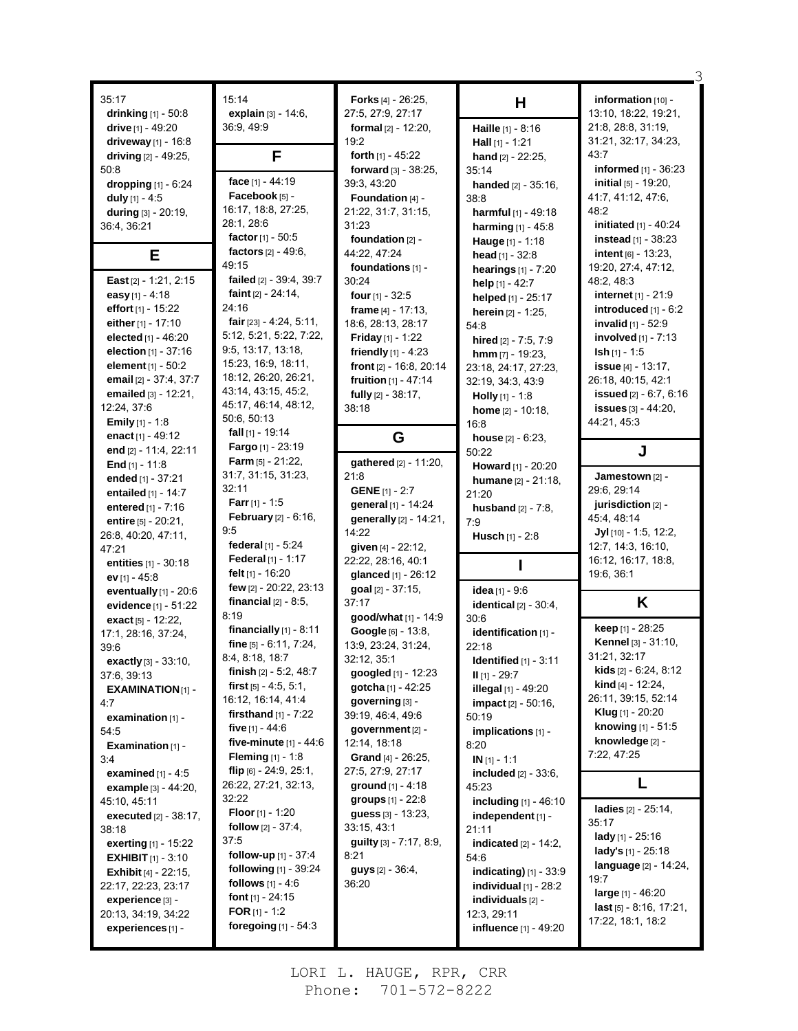| 35:17                          | 15:14                           | <b>Forks</b> $[4]$ - 26:25, |                               | information [10] -                           |
|--------------------------------|---------------------------------|-----------------------------|-------------------------------|----------------------------------------------|
| drinking [1] - 50:8            | explain [3] - 14:6.             | 27:5, 27:9, 27:17           | н                             | 13:10, 18:22, 19:21,                         |
| drive $[1] - 49:20$            | 36:9, 49:9                      | formal $[2] - 12:20$ ,      | Haille [1] - 8:16             | 21:8, 28:8, 31:19,                           |
| driveway [1] - 16:8            |                                 | 19:2                        |                               | 31:21, 32:17, 34:23,                         |
| driving [2] - 49:25.           | F                               | forth $[1]$ - 45:22         | Hall $[1] - 1:21$             | 43.7                                         |
|                                |                                 |                             | hand $[2] - 22:25$ ,          | informed $[1]$ - 36:23                       |
| 50:8                           | face [1] - 44:19                | forward [3] - 38:25,        | 35:14                         | <b>initial</b> $[5]$ - 19:20,                |
| dropping [1] - 6:24            | Facebook [5] -                  | 39:3, 43:20                 | handed [2] - 35:16,           |                                              |
| duly $[1] - 4.5$               | 16:17, 18:8, 27:25,             | Foundation [4] -            | 38:8                          | 41:7, 41:12, 47:6,                           |
| during [3] - 20:19,            | 28:1, 28:6                      | 21:22, 31:7, 31:15,         | harmful [1] - 49:18           | 48:2                                         |
| 36:4, 36:21                    | factor [1] - 50:5               | 31:23                       | harming [1] - 45:8            | initiated [1] - 40:24                        |
|                                | factors [2] - 49:6,             | foundation $[2]$ -          | Hauge [1] - 1:18              | <b>instead</b> $[1] - 38:23$                 |
| Е                              | 49:15                           | 44:22, 47:24                | head $[1] - 32:8$             | intent $[6] - 13:23$ ,                       |
|                                |                                 | foundations [1] -           | <b>hearings</b> $[1] - 7:20$  | 19:20, 27:4, 47:12,                          |
| East [2] - 1:21, 2:15          | failed [2] - 39:4, 39:7         | 30:24                       | help $[1] - 42:7$             | 48.2, 48.3                                   |
| easy [1] - 4:18                | faint $[2] - 24:14$ ,           | four $[1] - 32:5$           | helped [1] - 25:17            | <b>internet</b> $[1]$ - 21:9                 |
| effort [1] - 15:22             | 24:16                           | frame $[4] - 17:13$ ,       | <b>herein</b> $[2] - 1:25$ ,  | introduced $[1] - 6:2$                       |
| either [1] - 17:10             | fair $[23] - 4.24, 5.11$ ,      | 18:6, 28:13, 28:17          | 54:8                          | invalid [1] - 52:9                           |
| elected [1] - 46:20            | 5:12, 5:21, 5:22, 7:22,         | <b>Friday</b> [1] - 1:22    | hired [2] - 7:5, 7:9          | <b>involved</b> $[1]$ - $7:13$               |
| election $[1] - 37:16$         | 9:5, 13:17, 13:18,              | friendly $[1] - 4:23$       | $\text{hmm}$ [7] - 19:23,     | $\mathsf{lsh}[1] - 1.5$                      |
| element [1] - 50:2             | 15:23, 16:9, 18:11,             | front [2] - 16:8, 20:14     | 23:18, 24:17, 27:23,          | <b>issue</b> $[4] - 13:17$ ,                 |
| email [2] - 37:4, 37:7         | 18:12, 26:20, 26:21,            | fruition [1] - 47:14        | 32:19, 34:3, 43:9             | 26:18, 40:15, 42:1                           |
| emailed [3] - 12:21,           | 43:14, 43:15, 45:2,             | fully [2] - 38:17,          | Holly [1] - 1:8               | <b>issued</b> [2] - 6:7, 6:16                |
| 12:24, 37:6                    | 45:17, 46:14, 48:12,            | 38:18                       | home [2] - 10:18.             | <b>issues</b> [3] - 44:20,                   |
| <b>Emily</b> [1] - 1:8         | 50:6, 50:13                     |                             | 16:8                          | 44:21, 45:3                                  |
| enact $[1] - 49:12$            | fall $[1]$ - 19:14              | G                           | house $[2] - 6:23$ ,          |                                              |
| end [2] - 11:4, 22:11          | Fargo [1] - 23:19               |                             | 50:22                         | J                                            |
| End $[1] - 11.8$               | <b>Farm</b> $[5] - 21:22$ ,     | gathered [2] - 11:20,       | Howard [1] - 20:20            |                                              |
| ended [1] - 37:21              | 31:7, 31:15, 31:23,             | 21.8                        | humane [2] - 21:18,           | Jamestown [2] -                              |
| entailed [1] - 14:7            | 32:11                           | <b>GENE</b> [1] - 2:7       | 21:20                         | 29:6, 29:14                                  |
| entered $[1] - 7:16$           | <b>Farr</b> [1] - 1:5           | general [1] - 14:24         | <b>husband</b> $[2] - 7:8$ ,  | jurisdiction [2] -                           |
| entire [5] - 20:21,            | <b>February</b> $[2] - 6:16$ ,  | generally [2] - 14:21,      | 7:9                           | 45:4, 48:14                                  |
| 26.8, 40.20, 47.11,            | 95                              | 14:22                       | <b>Husch</b> [1] - 2:8        | $Jyl$ [10] - 1:5, 12:2,                      |
| 47:21                          | federal [1] - 5:24              | given [4] - 22:12,          |                               | 12:7, 14:3, 16:10,                           |
| entities [1] - 30:18           | <b>Federal</b> [1] - 1:17       | 22:22, 28:16, 40:1          |                               | 16:12, 16:17, 18:8,                          |
| $ev$ [1] - 45:8                | felt [1] - 16:20                | glanced [1] - 26:12         |                               |                                              |
|                                |                                 |                             |                               | 19.6, 36:1                                   |
|                                | few [2] - 20:22, 23:13          | goal [2] - 37:15,           |                               |                                              |
| eventually $[1]$ - 20:6        | financial $[2] - 8:5$ ,         | 37:17                       | idea [1] - 9:6                |                                              |
| evidence [1] - 51:22           | 8:19                            | good/what [1] - 14:9        | identical $[2] - 30:4$ ,      | K                                            |
| exact [5] - 12:22,             | financially [1] - 8:11          |                             | 30:6                          | keep [1] - 28:25                             |
| 17:1, 28:16, 37:24,            | fine [5] - 6.11, 7:24,          | Google [6] - 13:8,          | identification [1] -          | Kennel [3] - 31:10,                          |
| 39:6                           | 8.4, 8.18, 18.7                 | 13.9, 23.24, 31.24,         | 22:18                         | 31:21, 32:17                                 |
| exactly [3] - 33:10,           | <b>finish</b> $[2] - 5.2, 48.7$ | 32:12, 35:1                 | Identified $[1] - 3.11$       | <b>kids</b> $[2] - 6:24, 8:12$               |
| 37:6, 39:13                    | first $[5] - 4.5, 5.1,$         | googled [1] - 12:23         | $II$ [1] - 29:7               | <b>kind</b> [4] - 12:24,                     |
| <b>EXAMINATION[1] -</b>        | 16:12, 16:14, 41:4              | gotcha [1] - 42:25          | illegal [1] - 49:20           | 26:11, 39:15, 52:14                          |
| 4:7                            | <b>firsthand</b> $[1] - 7:22$   | $governing$ [3] -           | <b>impact</b> $[2] - 50:16$ , | <b>Klug</b> $[1]$ - 20:20                    |
| examination $[1]$ -            | five $[1] - 44.6$               | 39:19, 46:4, 49:6           | 50:19                         | knowing [1] - 51:5                           |
| 54:5                           | five-minute $[1] - 44.6$        | government [2] -            | implications [1] -            | knowledge [2] -                              |
| Examination $[1]$ -            |                                 | 12:14, 18:18                | 8:20                          | 7:22, 47:25                                  |
| 3:4                            | <b>Fleming</b> $[1] - 1.8$      | <b>Grand</b> [4] - 26:25,   | $IN [1] - 1:1$                |                                              |
| examined $[1] - 4.5$           | flip [6] - 24:9, 25:1,          | 27:5, 27:9, 27:17           | included [2] - 33:6,          | L                                            |
| example [3] - 44:20,           | 26:22, 27:21, 32:13,            | <b>ground</b> $[1] - 4.18$  | 45.23                         |                                              |
| 45:10, 45:11                   | 32:22                           | groups [1] - 22:8           | including [1] - 46:10         | ladies [2] - 25:14,                          |
| <b>executed</b> [2] - 38:17,   | <b>Floor</b> $[1] - 1:20$       | guess [3] - 13:23,          | independent [1] -             | 35.17                                        |
| 38:18                          | <b>follow</b> $[2] - 37:4$ ,    | 33:15, 43:1                 | 21:11                         | <b>lady</b> [1] - 25:16                      |
| exerting [1] - 15:22           | 37:5                            | guilty [3] - 7:17, 8:9,     | indicated $[2] - 14:2$ ,      | <b>lady's</b> $[1]$ - 25:18                  |
| <b>EXHIBIT</b> $[1] - 3:10$    | <b>follow-up</b> $[1]$ - 37:4   | 8:21                        | 54:6                          | <b>language</b> [2] - 14:24,                 |
| <b>Exhibit</b> $[4] - 22:15$ , | following [1] - 39:24           | guys [2] - 36:4,            | indicating) [1] - 33:9        | 19:7                                         |
| 22:17, 22:23, 23:17            | <b>follows</b> $[1] - 4.6$      | 36:20                       | individual $[1]$ - $28:2$     | <b>large</b> $[1] - 46.20$                   |
| experience [3] -               | <b>font</b> $[1]$ - 24:15       |                             | individuals $[2]$ -           |                                              |
| 20:13, 34:19, 34:22            | <b>FOR</b> [1] - 1:2            |                             | 12:3, 29:11                   | last [5] - 8:16, 17:21,<br>17:22, 18:1, 18:2 |
| experiences [1] -              | foregoing $[1]$ - 54:3          |                             | influence [1] - 49:20         |                                              |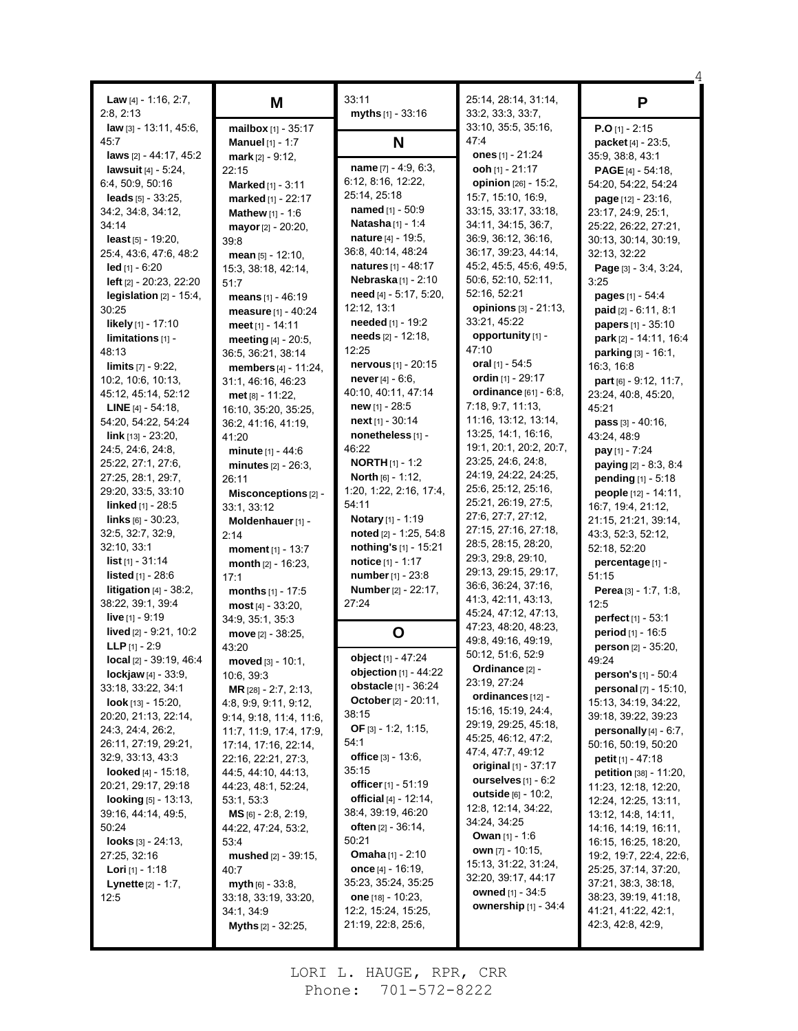| <b>Law</b> [4] - 1:16, 2:7,<br>2:8, 2:13 | M                             | 33:11<br>myths $[1] - 33:16$   | 25:14, 28:14, 31:14,<br>33.2, 33.3, 33.7, | P                               |
|------------------------------------------|-------------------------------|--------------------------------|-------------------------------------------|---------------------------------|
| law [3] - 13:11, 45:6,                   | mailbox [1] - 35:17           |                                | 33:10, 35:5, 35:16,                       | $P.O[1] - 2:15$                 |
| 45:7                                     | <b>Manuel</b> $[1] - 1:7$     | N                              | 47.4                                      | packet [4] - 23:5,              |
| laws [2] - 44:17, 45:2                   | mark $[2] - 9:12$ ,           |                                | ones $[1] - 21:24$                        | 35:9, 38:8, 43:1                |
| lawsuit $[4] - 5:24$ ,                   | 22:15                         | name $[7] - 4.9, 6.3$ ,        | ooh [1] - 21:17                           | <b>PAGE</b> $[4]$ - 54:18,      |
| 6:4, 50:9, 50:16                         | <b>Marked</b> [1] - $3:11$    | 6:12, 8:16, 12:22,             | opinion [26] - 15:2,                      | 54:20, 54:22, 54:24             |
| leads $[5] - 33:25$ ,                    | marked [1] - 22:17            | 25:14, 25:18                   | 15:7, 15:10, 16:9,                        | page [12] - 23:16,              |
| 34.2, 34.8, 34.12,                       | <b>Mathew</b> $[1] - 1:6$     | <b>named</b> $[1] - 50.9$      | 33:15, 33:17, 33:18,                      | 23:17, 24:9, 25:1,              |
| 34:14                                    | mayor [2] - 20:20,            | Natasha [1] - 1:4              | 34:11, 34:15, 36:7,                       | 25:22, 26:22, 27:21,            |
| <b>least</b> $[5]$ - 19:20,              |                               | nature [4] - 19:5,             | 36:9, 36:12, 36:16,                       | 30:13, 30:14, 30:19,            |
| 25:4, 43:6, 47:6, 48:2                   | 39.8                          | 36.8, 40.14, 48.24             | 36:17, 39:23, 44:14,                      | 32:13, 32:22                    |
| <b>led</b> [1] - 6:20                    | mean $[5] - 12:10$ ,          | <b>natures</b> $[1] - 48:17$   | 45:2, 45:5, 45:6, 49:5,                   | Page [3] - 3:4, 3:24,           |
|                                          | 15:3, 38:18, 42:14,           | Nebraska[1] - 2:10             | 50:6, 52:10, 52:11,                       | 3:25                            |
| left [2] - 20:23, 22:20                  | 51:7                          | need [4] - 5:17, 5:20,         | 52:16, 52:21                              |                                 |
| legislation $[2] - 15:4$ ,               | means [1] - 46:19             | 12:12, 13:1                    | opinions [3] - 21:13,                     | <b>pages</b> $[1] - 54.4$       |
| 30:25                                    | measure [1] - 40:24           | needed [1] - 19:2              | 33:21, 45:22                              | paid [2] - 6:11, 8:1            |
| likely [1] - 17:10                       | meet [1] - 14:11              |                                |                                           | papers [1] - 35:10              |
| $limitations 11 -$                       | meeting [4] - 20:5,           | needs [2] - 12:18,             | opportunity [1] -                         | park [2] - 14:11, 16:4          |
| 48:13                                    | 36:5, 36:21, 38:14            | 12:25                          | 47:10                                     | parking [3] - 16:1,             |
| <b>limits</b> [7] - 9:22,                | members [4] - 11:24,          | nervous [1] - 20:15            | oral $[1] - 54.5$                         | 16:3, 16:8                      |
| 10.2, 10.6, 10.13,                       | 31:1, 46:16, 46:23            | <b>never</b> $[4] - 6.6$ ,     | ordin [1] - 29:17                         | <b>part</b> [6] $-$ 9:12, 11:7, |
| 45:12, 45:14, 52:12                      | met [8] - 11:22.              | 40.10, 40.11, 47.14            | ordinance [61] - 6:8,                     | 23:24, 40:8, 45:20,             |
| <b>LINE</b> $[4]$ - 54:18,               | 16:10, 35:20, 35:25,          | <b>new</b> [1] - 28:5          | 7:18, 9:7, 11:13,                         | 45:21                           |
| 54:20, 54:22, 54:24                      | 36:2, 41:16, 41:19,           | next [1] - 30:14               | 11:16, 13:12, 13:14,                      | <b>pass</b> $[3] - 40.16$ ,     |
| $link$ [13] - 23:20,                     | 41:20                         | nonetheless [1] -              | 13:25, 14:1, 16:16,                       | 43:24, 48:9                     |
| 24:5, 24:6, 24:8,                        | minute [1] - 44:6             | 46:22                          | 19:1, 20:1, 20:2, 20:7,                   | <b>pay</b> $[1] - 7:24$         |
| 25.22, 27:1, 27:6,                       | minutes [2] - 26:3,           | <b>NORTH</b> $[1]$ - 1:2       | 23:25, 24:6, 24:8,                        | <b>paying</b> $[2] - 8:3, 8:4$  |
| 27:25, 28:1, 29:7,                       | 26:11                         | <b>North</b> $[6] - 1:12$ ,    | 24:19, 24:22, 24:25,                      | <b>pending</b> $[1] - 5:18$     |
| 29:20, 33:5, 33:10                       | Misconceptions [2] -          | 1:20, 1:22, 2:16, 17:4,        | 25:6, 25:12, 25:16,                       | people [12] - 14:11,            |
| linked [1] - 28:5                        | 33:1, 33:12                   | 54:11                          | 25:21, 26:19, 27:5,                       | 16:7, 19:4, 21:12,              |
| $\ln$ ks [6] - 30:23,                    | Moldenhauer [1] -             | Notary [1] - 1:19              | 27:6, 27:7, 27:12,                        | 21:15, 21:21, 39:14,            |
| 32.5, 32.7, 32.9,                        | 2:14                          | noted [2] - 1:25, 54:8         | 27:15, 27:16, 27:18,                      | 43:3, 52:3, 52:12,              |
| 32:10, 33:1                              | moment [1] - 13:7             | nothing's [1] - 15:21          | 28:5, 28:15, 28:20,                       | 52:18, 52:20                    |
| <b>list</b> $[1] - 31.14$                | month $[2] - 16:23$ ,         | notice [1] - 1:17              | 29:3, 29:8, 29:10,                        | percentage [1] -                |
| <b>listed</b> $[1] - 28.6$               | 17:1                          | number [1] - 23:8              | 29:13, 29:15, 29:17,                      | 51:15                           |
| <b>litigation</b> $[4]$ - 38:2,          | months [1] - 17:5             | <b>Number</b> [2] - 22:17,     | 36:6, 36:24, 37:16,                       | <b>Perea</b> $[3] - 1:7, 1:8,$  |
| 38:22, 39:1, 39:4                        | $most [4] - 33:20,$           | 27:24                          | 41:3, 42:11, 43:13,                       | 12:5                            |
| live $[1] - 9:19$                        | 34:9, 35:1, 35:3              |                                | 45:24, 47:12, 47:13,                      | perfect <sub>[1]</sub> - 53:1   |
| lived [2] - 9:21, 10:2                   | move $[2] - 38:25$ ,          | O                              | 47:23, 48:20, 48:23,                      | period [1] - 16:5               |
| <b>LLP</b> $[1] - 2:9$                   | 43:20                         |                                | 49:8, 49:16, 49:19,                       | person [2] - 35:20,             |
| local [2] - 39:19, 46:4                  | moved [3] - 10:1,             | object [1] - 47:24             | 50:12, 51:6, 52:9                         | 49:24                           |
| <b>lockjaw</b> $[4] - 33.9$ ,            | 10:6, 39:3                    | <b>objection</b> $[1] - 44.22$ | Ordinance <sup>[2]</sup> -                | <b>person's</b> $[1] - 50.4$    |
| 33:18, 33:22, 34:1                       | <b>MR</b> [28] $- 2:7, 2:13,$ | obstacle [1] - 36:24           | 23:19, 27:24                              | <b>personal</b> $[7] - 15:10$ , |
| look [13] - 15:20,                       | 4.8, 9.9, 9.11, 9.12,         | October [2] - 20:11,           | ordinances [12] -                         | 15:13, 34:19, 34:22,            |
| 20:20, 21:13, 22:14,                     | 9.14, 9.18, 11:4, 11:6,       | 38:15                          | 15:16, 15:19, 24:4,                       | 39:18, 39:22, 39:23             |
| 24.3, 24.4, 26.2,                        | 11:7, 11:9, 17:4, 17:9,       | OF $[3] - 1.2, 1.15,$          | 29:19, 29:25, 45:18,                      | personally $[4] - 6:7$ ,        |
| 26:11, 27:19, 29:21,                     | 17:14, 17:16, 22:14,          | 54:1                           | 45:25, 46:12, 47:2,                       | 50:16, 50:19, 50:20             |
| 32:9, 33:13, 43:3                        | 22:16, 22:21, 27:3,           | office $[3] - 13.6$ ,          | 47:4, 47:7, 49:12                         | <b>petit</b> $[1] - 47:18$      |
| <b>looked</b> $[4] - 15:18$ ,            | 44:5, 44:10, 44:13,           | 35:15                          | original [1] - 37:17                      | petition [38] - 11:20,          |
| 20:21, 29:17, 29:18                      | 44:23, 48:1, 52:24,           | officer [1] - 51:19            | ourselves $[1] - 6.2$                     | 11:23, 12:18, 12:20,            |
| <b>looking</b> $[5] - 13:13$ ,           | 53:1, 53:3                    | official $[4] - 12:14$ ,       | outside [6] - 10:2,                       | 12:24, 12:25, 13:11,            |
| 39:16, 44:14, 49:5,                      | $MS$ [6] - 2:8, 2:19,         | 38:4, 39:19, 46:20             | 12:8, 12:14, 34:22,                       | 13:12, 14:8, 14:11,             |
| 50:24                                    | 44:22, 47:24, 53:2,           | <b>often</b> $[2] - 36:14$ ,   | 34:24, 34:25                              | 14:16, 14:19, 16:11,            |
| <b>looks</b> $[3] - 24.13$ ,             | 53:4                          | 50:21                          | <b>Owan</b> [1] - 1:6                     | 16:15, 16:25, 18:20,            |
| 27:25, 32:16                             | mushed $[2] - 39:15$ ,        | <b>Omaha</b> $[1] - 2:10$      | own $[7] - 10:15$ ,                       | 19:2, 19:7, 22:4, 22:6,         |
| <b>Lori</b> $[1]$ - 1:18                 | 40:7                          | once $[4]$ - 16:19,            | 15:13, 31:22, 31:24,                      | 25:25, 37:14, 37:20,            |
| <b>Lynette</b> $[2] - 1:7$ ,             | <b>myth</b> $[6] - 33.8$ ,    | 35:23, 35:24, 35:25            | 32:20, 39:17, 44:17                       | 37:21, 38:3, 38:18,             |
| 12:5                                     | 33:18, 33:19, 33:20,          | <b>one</b> [18] - 10:23,       | owned [1] - 34:5                          | 38:23, 39:19, 41:18,            |
|                                          | 34:1, 34:9                    | 12:2, 15:24, 15:25,            | <b>ownership</b> $[1] - 34.4$             | 41:21, 41:22, 42:1,             |
|                                          |                               | 21:19, 22:8, 25:6,             |                                           | 42:3, 42:8, 42:9,               |
|                                          | <b>Myths</b> [2] - 32:25,     |                                |                                           |                                 |

4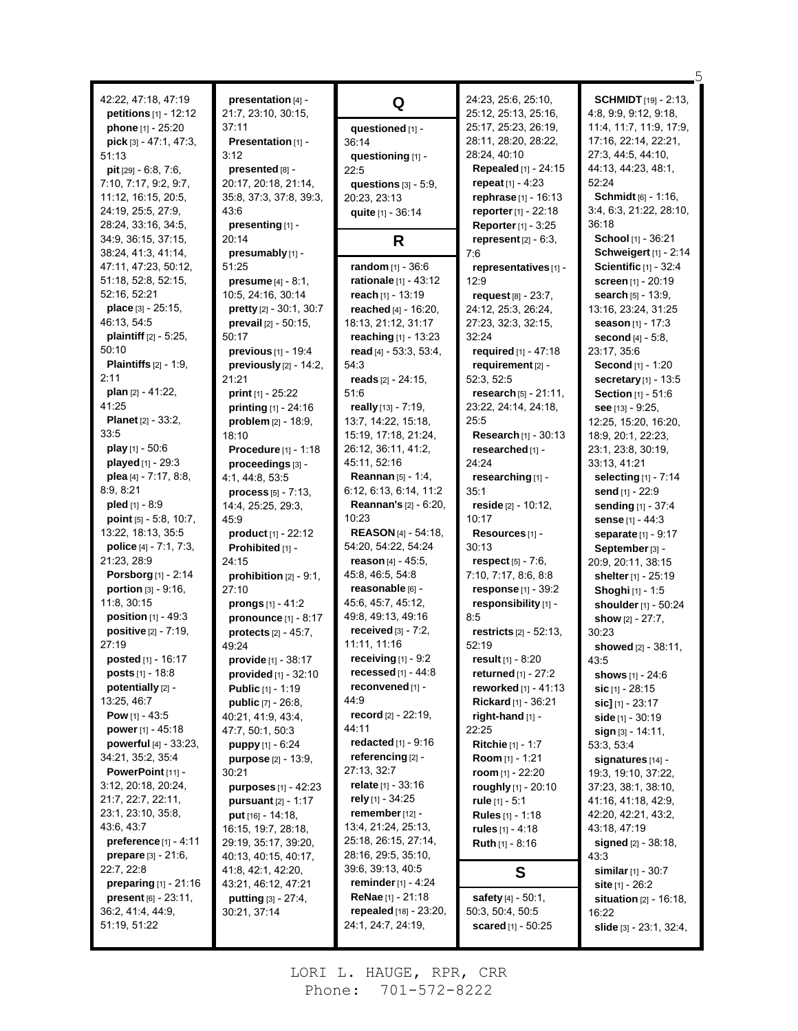42:22, 47:18, 47:19 **petitions** [1] - 12:12 **phone** [1] - 25:20 **pick** [3] - 47:1, 47:3, 51:13 **pit** [29] - 6:8, 7:6, 7:10, 7:17, 9:2, 9:7, 11:12, 16:15, 20:5, 24:19, 25:5, 27:9, 28:24, 33:16, 34:5, 34:9, 36:15, 37:15, 38:24, 41:3, 41:14, 47:11, 47:23, 50:12, 51:18, 52:8, 52:15, 52:16, 52:21 **place** [3] - 25:15, 46:13, 54:5 **plaintiff** [2] - 5:25, 50:10 **Plaintiffs** [2] - 1:9,  $2.11$ **plan** [2] - 41:22, 41:25 **Planet** [2] - 33:2, 33:5 **play** [1] - 50:6 **played** [1] - 29:3 **plea** [4] - 7:17, 8:8, 8:9, 8:21 **pled** [1] - 8:9 **point** [5] - 5:8, 10:7, 13:22, 18:13, 35:5 **police** [4] - 7:1, 7:3, 21:23, 28:9 **Porsborg** [1] - 2:14 **portion** [3] - 9:16, 11:8, 30:15 **position** [1] - 49:3 **positive** [2] - 7:19, 27:19 **posted** [1] - 16:17 **posts** [1] - 18:8 **potentially** [2] - 13:25, 46:7 **Pow** [1] - 43:5 **power** [1] - 45:18 **powerful** [4] - 33:23, 34:21, 35:2, 35:4 **PowerPoint** [11] - 3:12, 20:18, 20:24, 21:7, 22:7, 22:11, 23:1, 23:10, 35:8, 43:6, 43:7 **preference** [1] - 4:11 **prepare** [3] - 21:6, 22:7, 22:8 **preparing** [1] - 21:16 **present** [6] - 23:11, 36:2, 41:4, 44:9, 51:19, 51:22

**presentation** [4] - 21:7, 23:10, 30:15, 37:11 **Presentation** [1] - 3:12 **presented** [8] -20:17, 20:18, 21:14, 35:8, 37:3, 37:8, 39:3, 43:6 **presenting** [1] - 20:14 **presumably** [1] - 51:25 **presume** [4] - 8:1, 10:5, 24:16, 30:14 **pretty** [2] - 30:1, 30:7 **prevail** [2] - 50:15, 50:17 **previous** [1] - 19:4 **previously** [2] - 14:2, 21:21 **print** [1] - 25:22 **printing** [1] - 24:16 **problem** [2] - 18:9, 18:10 **Procedure** [1] - 1:18 **proceedings** [3] - 4:1, 44:8, 53:5 **process** [5] - 7:13, 14:4, 25:25, 29:3, 45:9 **product** [1] - 22:12 **Prohibited** [1] - 24:15 **prohibition** [2] - 9:1, 27:10 **prongs** [1] - 41:2 **pronounce** [1] - 8:17 **protects** [2] - 45:7, 49:24 **provide** [1] - 38:17 **provided** [1] - 32:10 **Public** [1] - 1:19 **public** [7] - 26:8, 40:21, 41:9, 43:4, 47:7, 50:1, 50:3 **puppy** [1] - 6:24 **purpose** [2] - 13:9, 30:21 **purposes** [1] - 42:23 **pursuant** [2] - 1:17 **put** [16] - 14:18, 16:15, 19:7, 28:18, 29:19, 35:17, 39:20, 40:13, 40:15, 40:17, 41:8, 42:1, 42:20, 43:21, 46:12, 47:21 **putting** [3] - 27:4, 30:21, 37:14

**Q questioned** [1] - 36:14 **questioning** [1] - 22:5 **questions** [3] - 5:9, 20:23, 23:13 **quite** [1] - 36:14 **R random** [1] - 36:6 **rationale** [1] - 43:12 **reach** [1] - 13:19 **reached** [4] - 16:20, 18:13, 21:12, 31:17 **reaching** [1] - 13:23 **read** [4] - 53:3, 53:4, 54:3 **reads** [2] - 24:15, 51:6 **really** [13] - 7:19, 13:7, 14:22, 15:18, 15:19, 17:18, 21:24, 26:12, 36:11, 41:2, 45:11, 52:16 **Reannan** [5] - 1:4, 6:12, 6:13, 6:14, 11:2 **Reannan's** [2] - 6:20, 10:23 **REASON** [4] - 54:18, 54:20, 54:22, 54:24 **reason** [4] - 45:5, 45:8, 46:5, 54:8 **reasonable** [6] - 45:6, 45:7, 45:12, 49:8, 49:13, 49:16 **received** [3] - 7:2, 11:11, 11:16 **receiving** [1] - 9:2 **recessed** [1] - 44:8 **reconvened** [1] - 44:9 **record** [2] - 22:19, 44:11 **redacted** [1] - 9:16 **referencing** [2] - 27:13, 32:7 **relate** [1] - 33:16 **rely** [1] - 34:25 **remember**[12] - 13:4, 21:24, 25:13, 25:18, 26:15, 27:14, 28:16, 29:5, 35:10, 39:6, 39:13, 40:5 **reminder**[1] - 4:24 **ReNae** [1] - 21:18 **repealed** [18] - 23:20, 24:1, 24:7, 24:19,

24:23, 25:6, 25:10, 25:12, 25:13, 25:16, 25:17, 25:23, 26:19, 28:11, 28:20, 28:22, 28:24, 40:10 **Repealed** [1] - 24:15 **repeat** [1] - 4:23 **rephrase** [1] - 16:13 **reporter**[1] - 22:18 **Reporter**[1] - 3:25 **represent** [2] - 6:3, 7:6 **representatives**[1] - 12:9 **request** [8] - 23:7, 24:12, 25:3, 26:24, 27:23, 32:3, 32:15, 32:24 **required** [1] - 47:18 **requirement** [2] - 52:3, 52:5 **research** [5] - 21:11, 23:22, 24:14, 24:18, 25:5 **Research** [1] - 30:13 **researched** [1] - 24:24 **researching** [1] - 35:1 **reside** [2] - 10:12, 10:17 **Resources** [1] - 30:13 **respect** [5] - 7:6, 7:10, 7:17, 8:6, 8:8 **response** [1] - 39:2 **responsibility** [1] - 8:5 **restricts** [2] - 52:13, 52:19 **result** [1] - 8:20 **returned** [1] - 27:2 **reworked** [1] - 41:13 **Rickard** [1] - 36:21 **right-hand** [1] - 22:25 **Ritchie** [1] - 1:7 **Room** [1] - 1:21 **room** [1] - 22:20 **roughly** [1] - 20:10 **rule** [1] - 5:1 **Rules** [1] - 1:18 **rules** [1] - 4:18 **Ruth** [1] - 8:16 **S safety** [4] - 50:1, 50:3, 50:4, 50:5

**scared** [1] - 50:25

**SCHMIDT** [19] - 2:13, 4:8, 9:9, 9:12, 9:18, 11:4, 11:7, 11:9, 17:9, 17:16, 22:14, 22:21, 27:3, 44:5, 44:10, 44:13, 44:23, 48:1, 52:24 **Schmidt** [6] - 1:16, 3:4, 6:3, 21:22, 28:10, 36:18 **School** [1] - 36:21 **Schweigert** [1] - 2:14 **Scientific** [1] - 32:4 **screen** [1] - 20:19 **search** [5] - 13:9, 13:16, 23:24, 31:25 **season** [1] - 17:3 **second** [4] - 5:8, 23:17, 35:6 **Second** [1] - 1:20 **secretary**[1] - 13:5 **Section** [1] - 51:6 **see** [13] - 9:25, 12:25, 15:20, 16:20, 18:9, 20:1, 22:23, 23:1, 23:8, 30:19, 33:13, 41:21 **selecting** [1] - 7:14 **send** [1] - 22:9 **sending** [1] - 37:4 **sense** [1] - 44:3 **separate** [1] - 9:17 **September**[3] - 20:9, 20:11, 38:15 **shelter**[1] - 25:19 **Shoghi** [1] - 1:5 **shoulder** [1] - 50:24 **show** [2] - 27:7, 30:23 **showed** [2] - 38:11, 43:5 **shows** [1] - 24:6 **sic** [1] - 28:15 **sic]** [1] - 23:17 **side** [1] - 30:19 **sign** [3] - 14:11, 53:3, 53:4 **signatures** [14] - 19:3, 19:10, 37:22, 37:23, 38:1, 38:10, 41:16, 41:18, 42:9, 42:20, 42:21, 43:2, 43:18, 47:19 **signed** [2] - 38:18, 43:3 **similar**[1] - 30:7 **site** [1] - 26:2 **situation** [2] - 16:18, 16:22 **slide** [3] - 23:1, 32:4,

5